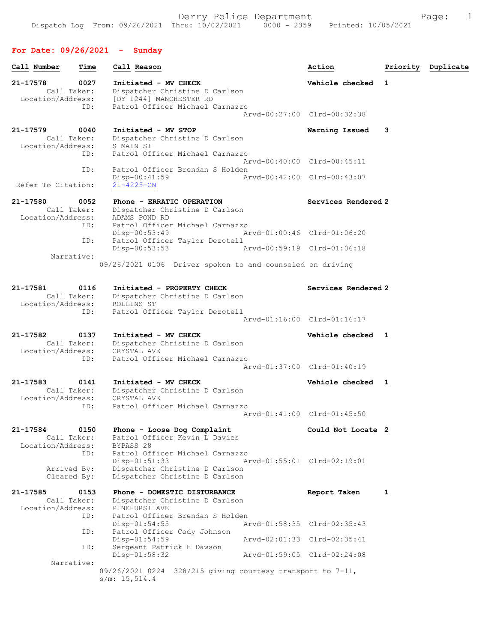# For Date: 09/26/2021 - Sunday

| Call Number                                  | Time        | Call Reason                                                                                                            | Action                      |   | Priority Duplicate |
|----------------------------------------------|-------------|------------------------------------------------------------------------------------------------------------------------|-----------------------------|---|--------------------|
| 21-17578<br>Call Taker:<br>Location/Address: | 0027<br>ID: | Initiated - MV CHECK<br>Dispatcher Christine D Carlson<br>[DY 1244] MANCHESTER RD<br>Patrol Officer Michael Carnazzo   | Vehicle checked             | 1 |                    |
|                                              |             |                                                                                                                        | Aryd-00:27:00 Clrd-00:32:38 |   |                    |
| 21-17579<br>Call Taker:<br>Location/Address: | 0040        | Initiated - MV STOP<br>Dispatcher Christine D Carlson<br>S MAIN ST                                                     | Warning Issued              | 3 |                    |
|                                              | ID:<br>ID:  | Patrol Officer Michael Carnazzo<br>Patrol Officer Brendan S Holden                                                     | Aryd-00:40:00 Clrd-00:45:11 |   |                    |
| Refer To Citation:                           |             | $Disp-00:41:59$<br>$21 - 4225 - CN$                                                                                    | Arvd-00:42:00 Clrd-00:43:07 |   |                    |
| 21-17580<br>Call Taker:<br>Location/Address: | 0052        | Phone - ERRATIC OPERATION<br>Dispatcher Christine D Carlson<br>ADAMS POND RD                                           | Services Rendered 2         |   |                    |
|                                              | ID:<br>ID:  | Patrol Officer Michael Carnazzo<br>$Disp-00:53:49$<br>Patrol Officer Taylor Dezotell                                   | Arvd-01:00:46 Clrd-01:06:20 |   |                    |
|                                              |             | $Disp-00:53:53$                                                                                                        | Arvd-00:59:19 Clrd-01:06:18 |   |                    |
| Narrative:                                   |             | 09/26/2021 0106 Driver spoken to and counseled on driving                                                              |                             |   |                    |
| 21-17581<br>Call Taker:<br>Location/Address: | 0116        | Initiated - PROPERTY CHECK<br>Dispatcher Christine D Carlson<br>ROLLINS ST                                             | Services Rendered 2         |   |                    |
|                                              | ID:         | Patrol Officer Taylor Dezotell                                                                                         | Arvd-01:16:00 Clrd-01:16:17 |   |                    |
| 21-17582<br>Call Taker:<br>Location/Address: | 0137        | Initiated - MV CHECK<br>Dispatcher Christine D Carlson<br>CRYSTAL AVE                                                  | Vehicle checked 1           |   |                    |
|                                              | ID:         | Patrol Officer Michael Carnazzo                                                                                        | Arvd-01:37:00 Clrd-01:40:19 |   |                    |
| 21-17583<br>Call Taker:<br>Location/Address: | 0141        | Initiated - MV CHECK<br>Dispatcher Christine D Carlson<br>CRYSTAL AVE                                                  | Vehicle checked 1           |   |                    |
|                                              | ID:         | Patrol Officer Michael Carnazzo                                                                                        | Arvd-01:41:00 Clrd-01:45:50 |   |                    |
| 21-17584<br>Call Taker:<br>Location/Address: | 0150        | Phone - Loose Dog Complaint<br>Patrol Officer Kevin L Davies<br>BYPASS 28                                              | Could Not Locate 2          |   |                    |
| Arrived By:<br>Cleared By:                   | ID:         | Patrol Officer Michael Carnazzo<br>$Disp-01:51:33$<br>Dispatcher Christine D Carlson<br>Dispatcher Christine D Carlson | Arvd-01:55:01 Clrd-02:19:01 |   |                    |
| 21-17585<br>Call Taker:<br>Location/Address: | 0153        | Phone - DOMESTIC DISTURBANCE<br>Dispatcher Christine D Carlson<br>PINEHURST AVE                                        | Report Taken                | 1 |                    |
|                                              | ID:         | Patrol Officer Brendan S Holden<br>$Disp-01:54:55$                                                                     | Arvd-01:58:35 Clrd-02:35:43 |   |                    |
|                                              | ID:<br>ID:  | Patrol Officer Cody Johnson<br>$Disp-01:54:59$                                                                         | Arvd-02:01:33 Clrd-02:35:41 |   |                    |
| Narrative:                                   |             | Sergeant Patrick H Dawson<br>$Disp-01:58:32$                                                                           | Arvd-01:59:05 Clrd-02:24:08 |   |                    |
|                                              |             | 09/26/2021 0224 328/215 giving courtesy transport to $7-11$ ,<br>s/m: 15, 514.4                                        |                             |   |                    |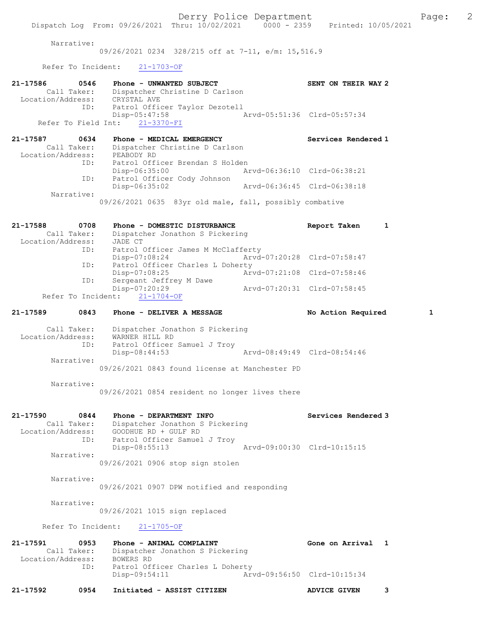Derry Police Department The Page: 2 Dispatch Log From: 09/26/2021 Thru: 10/02/2021 0000 - 2359 Printed: 10/05/2021 Narrative: 09/26/2021 0234 328/215 off at 7-11, e/m: 15,516.9 Refer To Incident: 21-1703-OF 21-17586 0546 Phone - UNWANTED SUBJECT SENT ON THEIR WAY 2 Call Taker: Dispatcher Christine D Carlson<br>Call Taker: Dispatcher Christine D Carlson Location/Address: CRYSTAL AVE ID: Patrol Officer Taylor Dezotell Disp-05:47:58 Arvd-05:51:36 Clrd-05:57:34 Refer To Field Int:  $21-3370-FI$ 21-17587 0634 Phone - MEDICAL EMERGENCY Services Rendered 1 Call Taker: Dispatcher Christine D Carlson Location/Address: PEABODY RD ID: Patrol Officer Brendan S Holden Disp-06:35:00 Arvd-06:36:10 Clrd-06:38:21 ID: Patrol Officer Cody Johnson<br>Disp-06:35:02 Disp-06:35:02 Arvd-06:36:45 Clrd-06:38:18 Narrative: 09/26/2021 0635 83yr old male, fall, possibly combative 21-17588 0708 Phone - DOMESTIC DISTURBANCE Report Taken 1 Call Taker: Dispatcher Jonathon S Pickering Location/Address: JADE CT ID: Patrol Officer James M McClafferty Disp-07:08:24 Arvd-07:20:28 Clrd-07:58:47<br>ID: Patrol Officer Charles L Doherty Patrol Officer Charles L Doherty<br>Disp-07:08:25 Arw Disp-07:08:25 Arvd-07:21:08 Clrd-07:58:46<br>TD: Sergeant Jeffrey M Dawe Sergeant Jeffrey M Dawe<br>Disp-07:20:29 Disp-07:20:29 Arvd-07:20:31 Clrd-07:58:45 Refer To Incident: 21-1704-OF 21-17589 0843 Phone - DELIVER A MESSAGE No Action Required 1 Call Taker: Dispatcher Jonathon S Pickering Location/Address: WARNER HILL RD ID: Patrol Officer Samuel J Troy Disp-08:44:53 Arvd-08:49:49 Clrd-08:54:46 Narrative: 09/26/2021 0843 found license at Manchester PD Narrative: 09/26/2021 0854 resident no longer lives there 21-17590 0844 Phone - DEPARTMENT INFO Services Rendered 3 Call Taker: Dispatcher Jonathon S Pickering Location/Address: GOODHUE RD + GULF RD ID: Patrol Officer Samuel J Troy Disp-08:55:13 Arvd-09:00:30 Clrd-10:15:15 Narrative: 09/26/2021 0906 stop sign stolen Narrative: 09/26/2021 0907 DPW notified and responding Narrative: 09/26/2021 1015 sign replaced Refer To Incident: 21-1705-OF 21-17591 0953 Phone - ANIMAL COMPLAINT Gone on Arrival 1 Call Taker: Dispatcher Jonathon S Pickering Location/Address: BOWERS RD ID: Patrol Officer Charles L Doherty<br>Disp-09:54:11 Art Disp-09:54:11 Arvd-09:56:50 Clrd-10:15:34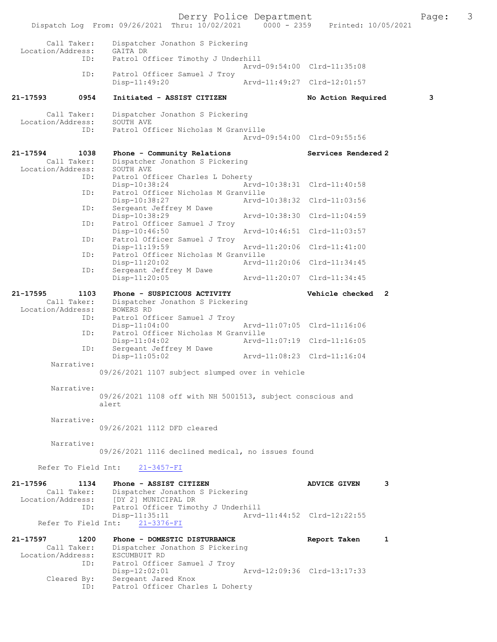Derry Police Department The Page: 3 Dispatch Log From: 09/26/2021 Thru: 10/02/2021 0000 - 2359 Printed: 10/05/2021 Call Taker: Dispatcher Jonathon S Pickering Location/Address: GAITA DR<br>D: Patrol O ID: Patrol Officer Timothy J Underhill Arvd-09:54:00 Clrd-11:35:08<br>TD: Patrol Officer Samuel J Trov Patrol Officer Samuel J Troy<br>Disp-11:49:20 Arvd-11:49:27 Clrd-12:01:57 21-17593 0954 Initiated - ASSIST CITIZEN No Action Required 3 Call Taker: Dispatcher Jonathon S Pickering Location/Address: SOUTH AVE<br>ID: Patrol Of: Patrol Officer Nicholas M Granville Arvd-09:54:00 Clrd-09:55:56 21-17594 1038 Phone - Community Relations Services Rendered 2 Call Taker: Dispatcher Jonathon S Pickering Location/Address: SOUTH AVE ID: Patrol Officer Charles L Doherty Disp-10:38:24 Arvd-10:38:31 Clrd-11:40:58 ID: Patrol Officer Nicholas M Granville Disp-10:38:27 Arvd-10:38:32 Clrd-11:03:56<br>TD: Sergeant Jeffrey M Dawe Sergeant Jeffrey M Dawe<br>Disp-10:38:29 Disp-10:38:29 Arvd-10:38:30 Clrd-11:04:59 ID: Patrol Officer Samuel J Troy<br>Disp-10:46:50 Disp-10:46:50 <br>Disp-10:46:50 Arvd-10:46:51 Clrd-11:03:57<br>D: Patrol Officer Samuel J Trov Patrol Officer Samuel J Troy<br>Disp-11:19:59 Disp-11:19:59 Arvd-11:20:06 Clrd-11:41:00<br>ID: Patrol Officer Nicholas M Granville ID: Patrol Officer Nicholas M Granville Disp-11:20:02 <br>
Disp-11:20:06 Clrd-11:34:45<br>
Display and Dawe Sergeant Jeffrey M Dawe<br>Disp-11:20:05 Disp-11:20:05 Arvd-11:20:07 Clrd-11:34:45 21-17595 1103 Phone - SUSPICIOUS ACTIVITY Vehicle checked 2 Call Taker: Dispatcher Jonathon S Pickering Location/Address: BOWERS RD ID: Patrol Officer Samuel J Troy<br>Disp-11:04:00 Disp-11:04:00 Arvd-11:07:05 Clrd-11:16:06 ID: Patrol Officer Nicholas M Granville Disp-11:04:02 <br>
D: Sergeant Jeffrey M Dawe <br>  $\frac{11:07:19}{100}$  Clrd-11:16:05 Sergeant Jeffrey M Dawe<br>Disp-11:05:02 Disp-11:05:02 Arvd-11:08:23 Clrd-11:16:04 Narrative: 09/26/2021 1107 subject slumped over in vehicle Narrative: 09/26/2021 1108 off with NH 5001513, subject conscious and alert Narrative: 09/26/2021 1112 DFD cleared Narrative: 09/26/2021 1116 declined medical, no issues found Refer To Field Int: 21-3457-FI 21-17596 1134 Phone - ASSIST CITIZEN ADVICE GIVEN 3 Call Taker: Dispatcher Jonathon S Pickering Location/Address: [DY 2] MUNICIPAL DR<br>TD: Patrol Officer Timot Patrol Officer Timothy J Underhill Disp-11:35:11 Arvd-11:44:52 Clrd-12:22:55 Refer To Field Int: 21-3376-FI 21-17597 1200 Phone - DOMESTIC DISTURBANCE Report Taken 1 Call Taker: Dispatcher Jonathon S Pickering Location/Address: ESCUMBUIT RD ID: Patrol Officer Samuel J Troy<br>Disp-12:02:01 Arvd-12:09:36 Clrd-13:17:33 Cleared By: Sergeant Jared Knox ID: Patrol Officer Charles L Doherty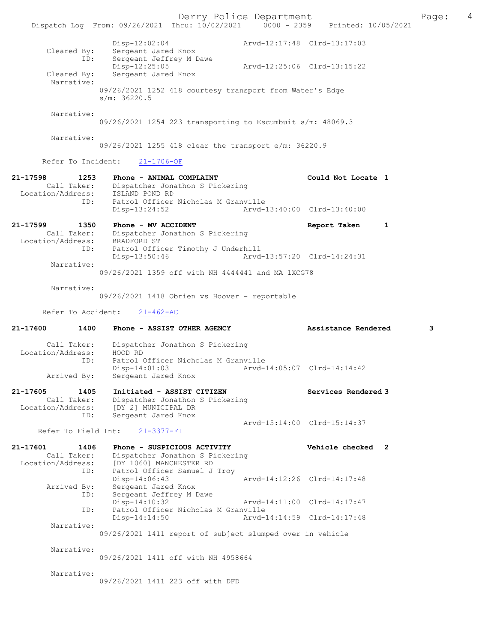Derry Police Department The Rage: 4 Dispatch Log From: 09/26/2021 Thru: 10/02/2021 0000 - 2359 Printed: 10/05/2021 Disp-12:02:04 Arvd-12:17:48 Clrd-13:17:03 Cleared By: Sergeant Jared Knox ID: Sergeant Jeffrey M Dawe Disp-12:25:05 <br>Cleared By: Sergeant Jared Knox Arvd-12:25:06 Clrd-13:15:22 Sergeant Jared Knox Narrative: 09/26/2021 1252 418 courtesy transport from Water's Edge s/m: 36220.5 Narrative: 09/26/2021 1254 223 transporting to Escumbuit s/m: 48069.3 Narrative: 09/26/2021 1255 418 clear the transport e/m: 36220.9 Refer To Incident: 21-1706-OF 21-17598 1253 Phone - ANIMAL COMPLAINT Could Not Locate 1 Call Taker: Dispatcher Jonathon S Pickering Location/Address: ISLAND POND RD ID: Patrol Officer Nicholas M Granville Disp-13:24:52 Arvd-13:40:00 Clrd-13:40:00 21-17599 1350 Phone - MV ACCIDENT Report Taken 1 Call Taker: Dispatcher Jonathon S Pickering Location/Address: BRADFORD ST ID: Patrol Officer Timothy J Underhill Disp-13:50:46 Arvd-13:57:20 Clrd-14:24:31 Narrative: 09/26/2021 1359 off with NH 4444441 and MA 1XCG78 Narrative: 09/26/2021 1418 Obrien vs Hoover - reportable Refer To Accident: 21-462-AC 21-17600 1400 Phone - ASSIST OTHER AGENCY Assistance Rendered 3 Call Taker: Dispatcher Jonathon S Pickering Location/Address: HOOD RD ID: Patrol Officer Nicholas M Granville<br>Disp-14:01:03 Arvd-2 Disp-14:01:03 Arvd-14:05:07 Clrd-14:14:42<br>Arrived By: Sergeant Jared Knox Arrived By: Sergeant Jared Knox 21-17605 1405 Initiated - ASSIST CITIZEN Services Rendered 3 Call Taker: Dispatcher Jonathon S Pickering Location/Address: [DY 2] MUNICIPAL DR ID: Sergeant Jared Knox Arvd-15:14:00 Clrd-15:14:37 Refer To Field Int: 21-3377-FI 21-17601 1406 Phone - SUSPICIOUS ACTIVITY Vehicle checked 2 Call Taker: Dispatcher Jonathon S Pickering Location/Address: [DY 1060] MANCHESTER RD ID: Patrol Officer Samuel J Troy Disp-14:06:43 Arvd-14:12:26 Clrd-14:17:48 ID: Patrol Officer Samuel Companion of the Disp-14:06:43<br>Arrived By: Sergeant Jared Knox ID: Sergeant Jeffrey M Dawe<br>Disp-14:10:32 Disp-14:10:32 Arvd-14:11:00 Clrd-14:17:47<br>ID: Patrol Officer Nicholas M Granville Patrol Officer Nicholas M Granville<br>Disp-14:14:50 Arvd-1 Disp-14:14:50 Arvd-14:14:59 Clrd-14:17:48 Narrative: 09/26/2021 1411 report of subject slumped over in vehicle Narrative: 09/26/2021 1411 off with NH 4958664 Narrative: 09/26/2021 1411 223 off with DFD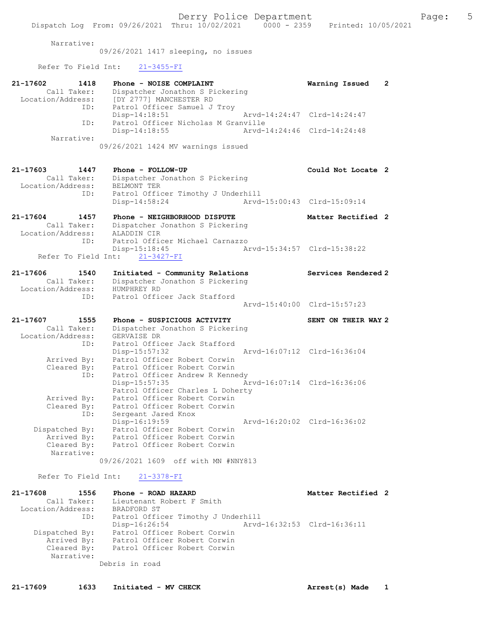Narrative:

09/26/2021 1417 sleeping, no issues

Refer To Field Int: 21-3455-FI

| 21-17602<br>1418<br>Call Taker:<br>Location/Address:                  | Phone - NOISE COMPLAINT<br>Dispatcher Jonathon S Pickering<br>[DY 2777] MANCHESTER RD                                                                           | Warning Issued<br>2         |
|-----------------------------------------------------------------------|-----------------------------------------------------------------------------------------------------------------------------------------------------------------|-----------------------------|
| ID:<br>ID:                                                            | Patrol Officer Samuel J Troy<br>$Disp-14:18:51$<br>Patrol Officer Nicholas M Granville                                                                          | Arvd-14:24:47 Clrd-14:24:47 |
|                                                                       | $Disp-14:18:55$                                                                                                                                                 | Arvd-14:24:46 Clrd-14:24:48 |
| Narrative:                                                            | 09/26/2021 1424 MV warnings issued                                                                                                                              |                             |
| 21-17603<br>1447<br>Call Taker:<br>Location/Address:<br>ID:           | Phone - FOLLOW-UP<br>Dispatcher Jonathon S Pickering<br>BELMONT TER<br>Patrol Officer Timothy J Underhill                                                       | Could Not Locate 2          |
|                                                                       | $Disp-14:58:24$                                                                                                                                                 | Arvd-15:00:43 Clrd-15:09:14 |
| 21-17604<br>1457<br>Call Taker:<br>Location/Address:<br>ID:           | Phone - NEIGHBORHOOD DISPUTE<br>Dispatcher Jonathon S Pickering<br>ALADDIN CIR<br>Patrol Officer Michael Carnazzo                                               | Matter Rectified 2          |
| Refer To Field Int:                                                   | $Disp-15:18:45$<br>$21 - 3427 - FI$                                                                                                                             | Arvd-15:34:57 Clrd-15:38:22 |
| 21-17606<br>1540<br>Call Taker:                                       | Initiated - Community Relations<br>Dispatcher Jonathon S Pickering                                                                                              | Services Rendered 2         |
| Location/Address:<br>ID:                                              | HUMPHREY RD<br>Patrol Officer Jack Stafford                                                                                                                     | Arvd-15:40:00 Clrd-15:57:23 |
| 21-17607<br>1555                                                      | Phone - SUSPICIOUS ACTIVITY                                                                                                                                     | SENT ON THEIR WAY 2         |
| Call Taker:<br>Location/Address:<br>ID:<br>Arrived By:<br>Cleared By: | Dispatcher Jonathon S Pickering<br>GERVAISE DR<br>Patrol Officer Jack Stafford<br>Disp-15:57:32<br>Patrol Officer Robert Corwin<br>Patrol Officer Robert Corwin | Arvd-16:07:12 Clrd-16:36:04 |
| ID:<br>Arrived By:<br>Cleared By:                                     | Patrol Officer Andrew R Kennedy<br>Disp-15:57:35<br>Patrol Officer Charles L Doherty<br>Patrol Officer Robert Corwin<br>Patrol Officer Robert Corwin            | Arvd-16:07:14 Clrd-16:36:06 |
| ID:<br>Dispatched By:<br>Arrived By:<br>Cleared By:<br>Narrative:     | Sergeant Jared Knox<br>Disp-16:19:59<br>Patrol Officer Robert Corwin<br>Patrol Officer Robert Corwin<br>Patrol Officer Robert Corwin                            | Arvd-16:20:02 Clrd-16:36:02 |
|                                                                       | 09/26/2021 1609 off with MN #NNY813                                                                                                                             |                             |
| Refer To Field Int:                                                   | $21 - 3378 - FI$                                                                                                                                                |                             |
| 21-17608<br>1556<br>Call Taker:<br>Location/Address:<br>ID:           | Phone - ROAD HAZARD<br>Lieutenant Robert F Smith<br>BRADFORD ST<br>Patrol Officer Timothy J Underhill                                                           | Matter Rectified 2          |
| Dispatched By:<br>Arrived By:<br>Cleared By:<br>Narrative:            | Disp-16:26:54<br>Patrol Officer Robert Corwin<br>Patrol Officer Robert Corwin<br>Patrol Officer Robert Corwin<br>Debris in road                                 | Arvd-16:32:53 Clrd-16:36:11 |

21-17609 1633 Initiated - MV CHECK 1 21-17609 Arrest(s) Made 1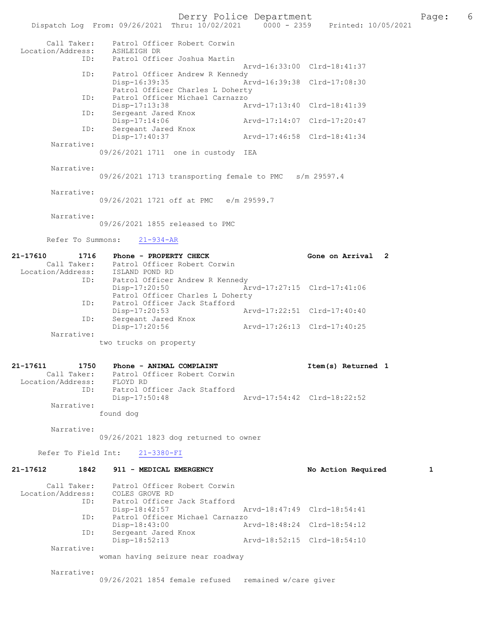Derry Police Department The Page: 6 Dispatch Log From: 09/26/2021 Thru: 10/02/2021 0000 - 2359 Printed: 10/05/2021 Call Taker: Patrol Officer Robert Corwin Location/Address: ASHLEIGH DR ID: Patrol Officer Joshua Martin Arvd-16:33:00 Clrd-18:41:37 ID: Patrol Officer Andrew R Kennedy<br>Disp-16:39:35 Ar Disp-16:39:35 Arvd-16:39:38 Clrd-17:08:30 Patrol Officer Charles L Doherty<br>ID: Patrol Officer Michael Carnazzo Patrol Officer Michael Carnazzo<br>Disp-17:13:38 Ar Disp-17:13:38 Arvd-17:13:40 Clrd-18:41:39 ID: Sergeant Jared Knox<br>Disp-17:14:06 Disp-17:14:06 Arvd-17:14:07 Clrd-17:20:47<br>ID: Sergeant Jared Knox Sergeant Jared Knox<br>Disp-17:40:37 Disp-17:40:37 Arvd-17:46:58 Clrd-18:41:34 Narrative: 09/26/2021 1711 one in custody IEA Narrative: 09/26/2021 1713 transporting female to PMC s/m 29597.4 Narrative: 09/26/2021 1721 off at PMC e/m 29599.7 Narrative: 09/26/2021 1855 released to PMC Refer To Summons: 21-934-AR 21-17610 1716 Phone - PROPERTY CHECK Gone on Arrival 2 Call Taker: Patrol Officer Robert Corwin Location/Address: ISLAND POND RD ID: Patrol Officer Andrew R Kennedy<br>Disp-17:20:50 Ar Disp-17:20:50 Arvd-17:27:15 Clrd-17:41:06 Patrol Officer Charles L Doherty ID: Patrol Officer Jack Stafford<br>Disp-17:20:53 Disp-17:20:53 Arvd-17:22:51 Clrd-17:40:40 ID: Sergeant Jared Knox<br>Disp-17:20:56 Disp-17:20:56 Arvd-17:26:13 Clrd-17:40:25 Narrative: two trucks on property 21-17611 1750 Phone - ANIMAL COMPLAINT Item(s) Returned 1 Call Taker: Patrol Officer Robert Corwin Location/Address: FLOYD RD ID: Patrol Officer Jack Stafford Disp-17:50:48 Arvd-17:54:42 Clrd-18:22:52 Narrative: found dog Narrative: 09/26/2021 1823 dog returned to owner Refer To Field Int: 21-3380-FI 21-17612 1842 911 - MEDICAL EMERGENCY No Action Required 1 Call Taker: Patrol Officer Robert Corwin Location/Address: COLES GROVE RD Patrol Officer Jack Stafford<br>Disp-18:42:57 Disp-18:42:57 Arvd-18:47:49 Clrd-18:54:41<br>TD: Patrol Officer Michael Carnazzo Patrol Officer Michael Carnazzo Disp-18:43:00 Arvd-18:48:24 Clrd-18:54:12 ID: Sergeant Jared Knox<br>Disp-18:52:13 Disp-18:52:13 Arvd-18:52:15 Clrd-18:54:10 Narrative: woman having seizure near roadway Narrative: 09/26/2021 1854 female refused remained w/care giver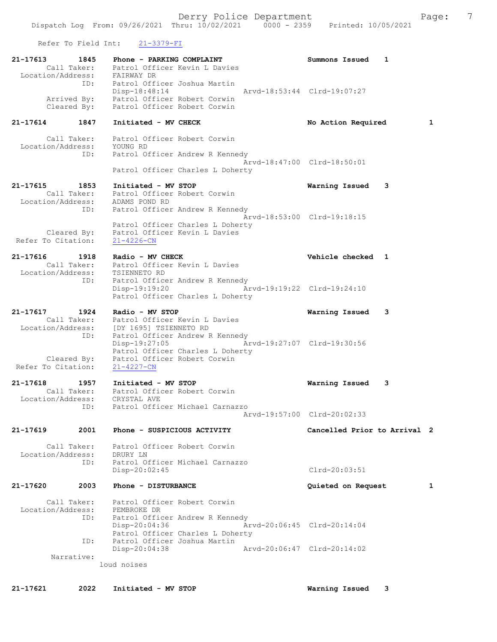Refer To Field Int: 21-3379-FI

| 21-17613<br>1845<br>Call Taker:<br>Location/Address:<br>ID:             | Phone - PARKING COMPLAINT<br>Patrol Officer Kevin L Davies<br>FAIRWAY DR<br>Patrol Officer Joshua Martin                                         | Summons Issued<br>1                                |
|-------------------------------------------------------------------------|--------------------------------------------------------------------------------------------------------------------------------------------------|----------------------------------------------------|
| Arrived By:<br>Cleared By:                                              | Disp-18:48:14<br>Patrol Officer Robert Corwin<br>Patrol Officer Robert Corwin                                                                    | Arvd-18:53:44 Clrd-19:07:27                        |
| 21-17614<br>1847                                                        | Initiated - MV CHECK                                                                                                                             | 1<br>No Action Required                            |
| Call Taker:<br>Location/Address:<br>ID:                                 | Patrol Officer Robert Corwin<br>YOUNG RD<br>Patrol Officer Andrew R Kennedy                                                                      |                                                    |
|                                                                         | Patrol Officer Charles L Doherty                                                                                                                 | Aryd-18:47:00 Clrd-18:50:01                        |
| 21-17615 1853<br>Call Taker:<br>Location/Address: ADAMS POND RD<br>ID:  | Initiated - MV STOP<br>Patrol Officer Robert Corwin<br>Patrol Officer Andrew R Kennedy                                                           | Warning Issued<br>3                                |
| Cleared By:<br>Refer To Citation:                                       | Patrol Officer Charles L Doherty<br>Patrol Officer Kevin L Davies<br>$21 - 4226 - CN$                                                            | Arvd-18:53:00 Clrd-19:18:15                        |
| 21-17616<br>1918<br>Call Taker:<br>Location/Address:<br>ID:             | Radio - MV CHECK<br>Patrol Officer Kevin L Davies<br>TSIENNETO RD<br>Patrol Officer Andrew R Kennedy                                             | Vehicle checked 1                                  |
|                                                                         | Disp-19:19:20<br>Patrol Officer Charles L Doherty                                                                                                | Arvd-19:19:22 Clrd-19:24:10                        |
| 21-17617 1924<br>Call Taker:<br>ID:                                     | Radio - MV STOP<br>Patrol Officer Kevin L Davies<br>Location/Address: [DY 1695] TSIENNETO RD<br>Patrol Officer Andrew R Kennedy<br>Disp-19:27:05 | Warning Issued<br>3<br>Arvd-19:27:07 Clrd-19:30:56 |
| Cleared By:<br>Refer To Citation:                                       | Patrol Officer Charles L Doherty<br>Patrol Officer Robert Corwin<br>$21 - 4227 - CN$                                                             |                                                    |
| 21-17618<br>1957<br>Call Taker:<br>Location/Address: CRYSTAL AVE<br>ID: | Initiated - MV STOP<br>Patrol Officer Robert Corwin<br>Patrol Officer Michael Carnazzo                                                           | Warning Issued<br>3                                |
|                                                                         |                                                                                                                                                  | Arvd-19:57:00 Clrd-20:02:33                        |
| 21-17619<br>2001                                                        | Phone - SUSPICIOUS ACTIVITY                                                                                                                      | Cancelled Prior to Arrival 2                       |
| Call Taker:<br>Location/Address:<br>ID:                                 | Patrol Officer Robert Corwin<br>DRURY LN<br>Patrol Officer Michael Carnazzo<br>$Disp-20:02:45$                                                   | $Clrd-20:03:51$                                    |
| 21-17620<br>2003                                                        | Phone - DISTURBANCE                                                                                                                              | 1<br>Quieted on Request                            |
| Call Taker:<br>Location/Address:<br>ID:                                 | Patrol Officer Robert Corwin<br>PEMBROKE DR<br>Patrol Officer Andrew R Kennedy<br>$Disp-20:04:36$<br>Patrol Officer Charles L Doherty            | Arvd-20:06:45 Clrd-20:14:04                        |
| ID:<br>Narrative:                                                       | Patrol Officer Joshua Martin<br>Disp-20:04:38                                                                                                    | Arvd-20:06:47 Clrd-20:14:02                        |
|                                                                         | loud noises                                                                                                                                      |                                                    |

21-17621 2022 Initiated - MV STOP Warning Issued 3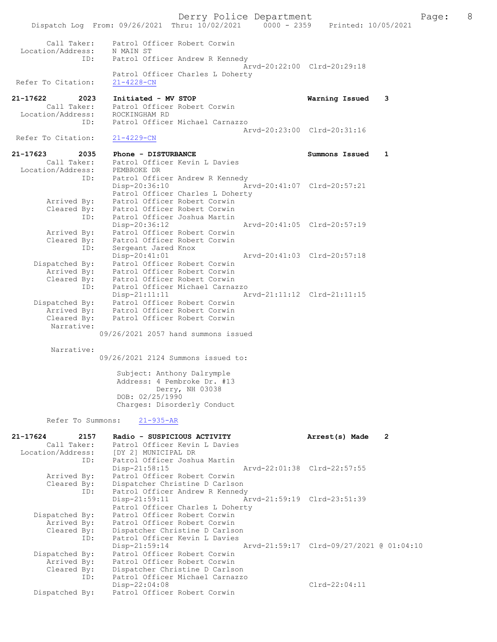Derry Police Department The Page: 8 Dispatch Log From: 09/26/2021 Thru: 10/02/2021 0000 - 2359 Printed: 10/05/2021 Call Taker: Patrol Officer Robert Corwin Location/Address: N MAIN ST ID: Patrol Officer Andrew R Kennedy Arvd-20:22:00 Clrd-20:29:18 Patrol Officer Charles L Doherty<br>21-4228-CN Refer To Citation: 21-17622 2023 Initiated - MV STOP Warning Issued 3 Call Taker: Patrol Officer Robert Corwin Location/Address: ROCKINGHAM RD ID: Patrol Officer Michael Carnazzo Arvd-20:23:00 Clrd-20:31:16<br>21-4229-CN Refer To Citation: 21-17623 2035 Phone - DISTURBANCE Call Taker: Patrol Officer Kevin L Davies Call Taker: Patrol Officer Kevin L Davies Location/Address: PEMBROKE DR ID: Patrol Officer Andrew R Kennedy Disp-20:36:10 Arvd-20:41:07 Clrd-20:57:21 Patrol Officer Charles L Doherty Arrived By: Patrol Officer Robert Corwin Cleared By: Patrol Officer Robert Corwin ID: Patrol Officer Joshua Martin Disp-20:36:12 Arvd-20:41:05 Clrd-20:57:19 Arrived By: Patrol Officer Robert Corwin Cleared By: Patrol Officer Robert Corwin ID: Sergeant Jared Knox Disp-20:41:01 Arvd-20:41:03 Clrd-20:57:18 Dispatched By: Patrol Officer Robert Corwin Arrived By: Patrol Officer Robert Corwin Cleared By: Patrol Officer Robert Corwin ID: Patrol Officer Michael Carnazzo Disp-21:11:11 Arvd-21:11:12 Clrd-21:11:15 Dispatched By: Patrol Officer Robert Corwin Arrived By: Patrol Officer Robert Corwin Cleared By: Patrol Officer Robert Corwin Narrative: 09/26/2021 2057 hand summons issued Narrative: 09/26/2021 2124 Summons issued to: Subject: Anthony Dalrymple Address: 4 Pembroke Dr. #13 Derry, NH 03038 DOB: 02/25/1990 Charges: Disorderly Conduct Refer To Summons: 21-935-AR 21-17624 2157 Radio - SUSPICIOUS ACTIVITY Arrest(s) Made 2 Call Taker: Patrol Officer Kevin L Davies Location/Address: [DY 2] MUNICIPAL DR ID: Patrol Officer Joshua Martin<br>Disp-21:58:15 Arvd-22:01:38 Clrd-22:57:55 Arrived By: Patrol Officer Robert Corwin Cleared By: Dispatcher Christine D Carlson ID: Patrol Officer Andrew R Kennedy Disp-21:59:11 Arvd-21:59:19 Clrd-23:51:39 Patrol Officer Charles L Doherty Dispatched By: Patrol Officer Robert Corwin Arrived By: Patrol Officer Robert Corwin Cleared By: Dispatcher Christine D Carlson ID: Patrol Officer Kevin L Davies Disp-21:59:14 Arvd-21:59:17 Clrd-09/27/2021 @ 01:04:10 Dispatched By: Patrol Officer Robert Corwin Arrived By: Patrol Officer Robert Corwin Cleared By: Dispatcher Christine D Carlson ID: Patrol Officer Michael Carnazzo Disp-22:04:08 Clrd-22:04:11 Dispatched By: Patrol Officer Robert Corwin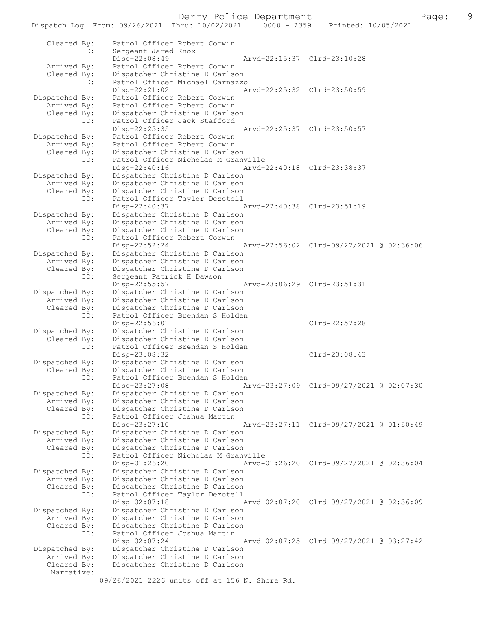Dispatch Log From: 09/26/2021 Thru: 10/02/2021

 Cleared By: Patrol Officer Robert Corwin ID: Sergeant Jared Knox<br>Disp-22:08:49 Disp-22:08:49 Arvd-22:15:37 Clrd-23:10:28<br>Arrived By: Patrol Officer Robert Corwin Arrived By: Patrol Officer Robert Corwin<br>Cleared By: Dispatcher Christine D Carls By: Dispatcher Christine D Carlson<br>ID: Patrol Officer Michael Carnazz Patrol Officer Michael Carnazzo Disp-22:21:02 Arvd-22:25:32 Clrd-23:50:59 Dispatched By: Patrol Officer Robert Corwin Patrol Officer Robert Corwin Cleared By: Dispatcher Christine D Carlson ID: Patrol Officer Jack Stafford Disp-22:25:35 Arvd-22:25:37 Clrd-23:50:57 Dispatched By: Patrol Officer Robert Corwin Arrived By: Patrol Officer Robert Corwin<br>Cleared By: Dispatcher Christine D Carls By: Dispatcher Christine D Carlson<br>ID: Patrol Officer Nicholas M Gran Patrol Officer Nicholas M Granville Disp-22:40:16 Arvd-22:40:18 Clrd-23:38:37<br>Dispatched By: Dispatcher Christine D Carlson Dispatcher Christine D Carlson Arrived By: Dispatcher Christine D Carlson<br>Cleared By: Dispatcher Christine D Carlson By: Dispatcher Christine D Carlson<br>ID: Patrol Officer Taylor Dezotell Patrol Officer Taylor Dezotell Disp-22:40:37 Arvd-22:40:38 Clrd-23:51:19<br>Dispatched By: Dispatcher Christine D Carlson patched By: Dispatcher Christine D Carlson<br>Arrived By: Dispatcher Christine D Carlson Arrived By: Dispatcher Christine D Carlson<br>Cleared By: Dispatcher Christine D Carlson By: Dispatcher Christine D Carlson<br>ID: Patrol Officer Robert Corwin Patrol Officer Robert Corwin Disp-22:52:24 Arvd-22:56:02 Clrd-09/27/2021 @ 02:36:06<br>Dispatched By: Dispatcher Christine D Carlson Dispatcher Christine D Carlson Arrived By: Dispatcher Christine D Carlson Cleared By: Dispatcher Christine D Carlson ID: Sergeant Patrick H Dawson<br>Disp-22:55:57 Disp-22:55:57 Arvd-23:06:29 Clrd-23:51:31 Dispatched By: Dispatcher Christine D Carlson Arrived By: Dispatcher Christine D Carlson<br>Cleared By: Dispatcher Christine D Carlson Dispatcher Christine D Carlson ID: Patrol Officer Brendan S Holden Disp-22:56:01 Clrd-22:57:28 Dispatched By: Dispatcher Christine D Carlson<br>Cleared By: Dispatcher Christine D Carlson By: Dispatcher Christine D Carlson<br>TD: Patrol Officer Brendan S Holder Patrol Officer Brendan S Holden Disp-23:08:32 Clrd-23:08:43 Dispatched By: Dispatcher Christine D Carlson<br>Cleared By: Dispatcher Christine D Carlson Dispatcher Christine D Carlson ID: Patrol Officer Brendan S Holden<br>Disp-23:27:08 A Disp-23:27:08 Arvd-23:27:09 Clrd-09/27/2021 @ 02:07:30<br>Dispatched By: Dispatcher Christine D Carlson Dispatcher Christine D Carlson Arrived By: Dispatcher Christine D Carlson<br>Cleared By: Dispatcher Christine D Carlson Dispatcher Christine D Carlson ID: Patrol Officer Joshua Martin Disp-23:27:10 Arvd-23:27:11 Clrd-09/27/2021 @ 01:50:49<br>Dispatched By: Dispatcher Christine D Carlson Dispatcher Christine D Carlson Arrived By: Dispatcher Christine D Carlson Cleared By: Dispatcher Christine D Carlson ID: Patrol Officer Nicholas M Granville Disp-01:26:20 Arvd-01:26:20 Clrd-09/27/2021 @ 02:36:04<br>Dispatched By: Dispatcher Christine D Carlson Dispatcher Christine D Carlson Arrived By: Dispatcher Christine D Carlson Cleared By: Dispatcher Christine D Carlson<br>ID: Patrol Officer Taylor Dezotell Patrol Officer Taylor Dezotell<br>Disp-02:07:18 Arvd-02:07:20 Clrd-09/27/2021 @ 02:36:09 Dispatched By: Dispatcher Christine D Carlson<br>Arrived By: Dispatcher Christine D Carlson Dispatcher Christine D Carlson Cleared By: Dispatcher Christine D Carlson<br>TD: Patrol Officer Joshua Martin Patrol Officer Joshua Martin<br>Disp-02:07:24 Disp-02:07:24 Arvd-02:07:25 Clrd-09/27/2021 @ 03:27:42 Dispatched By: Dispatcher Christine D Carlson<br>Arrived By: Dispatcher Christine D Carlson Arrived By: Dispatcher Christine D Carlson<br>Cleared By: Dispatcher Christine D Carlson Dispatcher Christine D Carlson Narrative: 09/26/2021 2226 units off at 156 N. Shore Rd.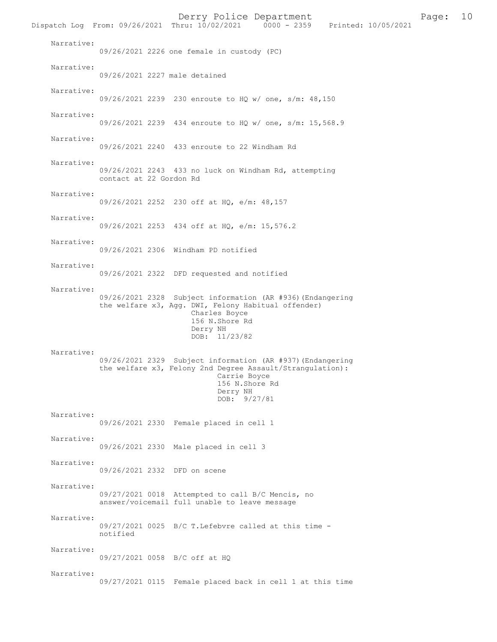Derry Police Department Page: 10 Dispatch Log From: 09/26/2021 Thru: 10/02/2021 Narrative: 09/26/2021 2226 one female in custody (PC) Narrative: 09/26/2021 2227 male detained Narrative: 09/26/2021 2239 230 enroute to HQ w/ one, s/m: 48,150 Narrative: 09/26/2021 2239 434 enroute to HQ w/ one, s/m: 15,568.9 Narrative: 09/26/2021 2240 433 enroute to 22 Windham Rd Narrative: 09/26/2021 2243 433 no luck on Windham Rd, attempting contact at 22 Gordon Rd Narrative: 09/26/2021 2252 230 off at HQ, e/m: 48,157 Narrative: 09/26/2021 2253 434 off at HQ, e/m: 15,576.2 Narrative: 09/26/2021 2306 Windham PD notified Narrative: 09/26/2021 2322 DFD requested and notified Narrative: 09/26/2021 2328 Subject information (AR #936)(Endangering the welfare x3, Agg. DWI, Felony Habitual offender) Charles Boyce 156 N.Shore Rd Derry NH DOB: 11/23/82 Narrative: 09/26/2021 2329 Subject information (AR #937)(Endangering the welfare x3, Felony 2nd Degree Assault/Strangulation): Carrie Boyce 156 N.Shore Rd Derry NH DOB: 9/27/81 Narrative: 09/26/2021 2330 Female placed in cell 1 Narrative: 09/26/2021 2330 Male placed in cell 3 Narrative: 09/26/2021 2332 DFD on scene Narrative: 09/27/2021 0018 Attempted to call B/C Mencis, no answer/voicemail full unable to leave message Narrative: 09/27/2021 0025 B/C T.Lefebvre called at this time notified Narrative: 09/27/2021 0058 B/C off at HQ Narrative: 09/27/2021 0115 Female placed back in cell 1 at this time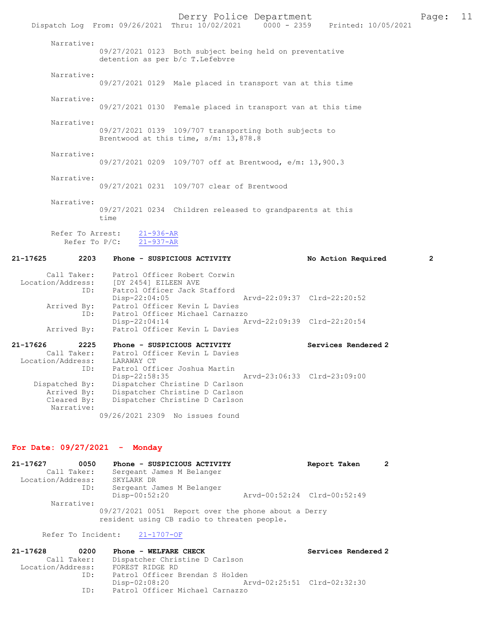Derry Police Department Fage: 11 Dispatch Log From: 09/26/2021 Thru: 10/02/2021 0000 - 2359 Printed: 10/05/2021 Narrative: 09/27/2021 0123 Both subject being held on preventative detention as per b/c T.Lefebvre Narrative: 09/27/2021 0129 Male placed in transport van at this time Narrative: 09/27/2021 0130 Female placed in transport van at this time Narrative: 09/27/2021 0139 109/707 transporting both subjects to Brentwood at this time, s/m: 13,878.8 Narrative: 09/27/2021 0209 109/707 off at Brentwood, e/m: 13,900.3 Narrative: 09/27/2021 0231 109/707 clear of Brentwood Narrative: 09/27/2021 0234 Children released to grandparents at this time Refer To Arrest: 21-936-AR Refer To P/C: 21-937-AR 21-17625 2203 Phone - SUSPICIOUS ACTIVITY No Action Required 2 Call Taker: Patrol Officer Robert Corwin Location/Address: [DY 2454] EILEEN AVE ID: Patrol Officer Jack Stafford Disp-22:04:05 Arvd-22:09:37 Clrd-22:20:52 Arrived By: Patrol Officer Kevin L Davies ID: Patrol Officer Michael Carnazzo Disp-22:04:14 Arvd-22:09:39 Clrd-22:20:54<br>Arrived By: Patrol Officer Kevin L Davies Patrol Officer Kevin L Davies 21-17626 2225 Phone - SUSPICIOUS ACTIVITY Services Rendered 2 Call Taker: Patrol Officer Kevin L Davies Location/Address: LARAWAY CT ID: Patrol Officer Joshua Martin Disp-22:58:35 Arvd-23:06:33 Clrd-23:09:00 Dispatched By: Dispatcher Christine D Carlson Arrived By: Dispatcher Christine D Carlson Cleared By: Dispatcher Christine D Carlson Narrative: 09/26/2021 2309 No issues found

#### For Date: 09/27/2021 - Monday

21-17627 0050 Phone - SUSPICIOUS ACTIVITY Report Taken 2 Call Taker: Sergeant James M Belanger Location/Address: SKYLARK DR ID: Sergeant James M Belanger<br>Disp-00:52:20 Disp-00:52:20 Arvd-00:52:24 Clrd-00:52:49 Narrative: 09/27/2021 0051 Report over the phone about a Derry resident using CB radio to threaten people.

Refer To Incident: 21-1707-OF

| 21-17628<br>0200  | Phone - WELFARE CHECK           | Services Rendered 2         |
|-------------------|---------------------------------|-----------------------------|
| Call Taker:       | Dispatcher Christine D Carlson  |                             |
| Location/Address: | FOREST RIDGE RD                 |                             |
| ID:               | Patrol Officer Brendan S Holden |                             |
|                   | Disp-02:08:20                   | Arvd-02:25:51 Clrd-02:32:30 |
| ID:               | Patrol Officer Michael Carnazzo |                             |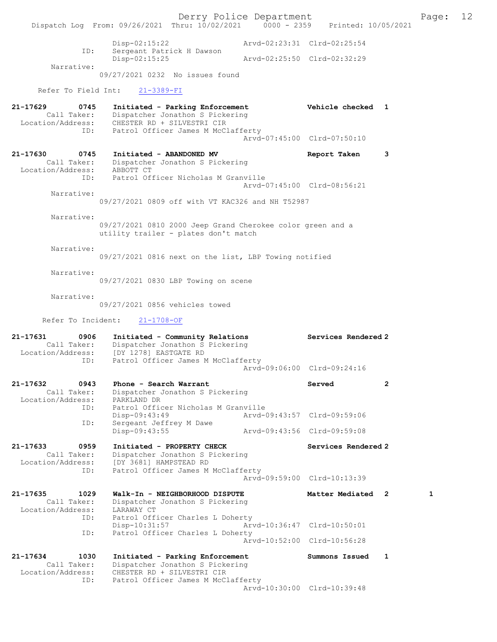Derry Police Department Fage: 12 Dispatch Log From: 09/26/2021 Thru: 10/02/2021 0000 - 2359 Printed: 10/05/2021 Disp-02:15:22 Arvd-02:23:31 Clrd-02:25:54 Disp-02:15:22<br>ID: Sergeant Patrick H Dawson<br>Disp-02:15:25 Disp-02:15:25 Arvd-02:25:50 Clrd-02:32:29 Narrative: 09/27/2021 0232 No issues found Refer To Field Int: 21-3389-FI 21-17629 0745 Initiated - Parking Enforcement Vehicle checked 1 Call Taker: Dispatcher Jonathon S Pickering Location/Address: CHESTER RD + SILVESTRI CIR ID: Patrol Officer James M McClafferty Arvd-07:45:00 Clrd-07:50:10 21-17630 0745 Initiated - ABANDONED MV Report Taken 3 Call Taker: Dispatcher Jonathon S Pickering Location/Address: ABBOTT CT ID: Patrol Officer Nicholas M Granville Arvd-07:45:00 Clrd-08:56:21 Narrative: 09/27/2021 0809 off with VT KAC326 and NH T52987 Narrative: 09/27/2021 0810 2000 Jeep Grand Cherokee color green and a utility trailer - plates don't match Narrative: 09/27/2021 0816 next on the list, LBP Towing notified Narrative: 09/27/2021 0830 LBP Towing on scene Narrative: 09/27/2021 0856 vehicles towed Refer To Incident: 21-1708-OF 21-17631 0906 Initiated - Community Relations Services Rendered 2 Call Taker: Dispatcher Jonathon S Pickering Location/Address: [DY 1278] EASTGATE RD ID: Patrol Officer James M McClafferty Arvd-09:06:00 Clrd-09:24:16 21-17632 0943 Phone - Search Warrant 2011-17632 0943 2 Call Taker: Dispatcher Jonathon S Pickering Location/Address: PARKLAND DR ID: Patrol Officer Nicholas M Granville Disp-09:43:49 Arvd-09:43:57 Clrd-09:59:06 ID: Sergeant Jeffrey M Dawe Disp-09:43:55 Arvd-09:43:56 Clrd-09:59:08 21-17633 0959 Initiated - PROPERTY CHECK Services Rendered 2 Call Taker: Dispatcher Jonathon S Pickering Location/Address: [DY 3681] HAMPSTEAD RD ID: Patrol Officer James M McClafferty Arvd-09:59:00 Clrd-10:13:39 21-17635 1029 Walk-In - NEIGHBORHOOD DISPUTE Matter Mediated 2 1 Call Taker: Dispatcher Jonathon S Pickering Location/Address: LARAWAY CT ID: Patrol Officer Charles L Doherty Disp-10:31:57 Arvd-10:36:47 Clrd-10:50:01 ID: Patrol Officer Charles L Doherty Arvd-10:52:00 Clrd-10:56:28 21-17634 1030 Initiated - Parking Enforcement Summons Issued 1 Call Taker: Dispatcher Jonathon S Pickering Location/Address: CHESTER RD + SILVESTRI CIR ID: Patrol Officer James M McClafferty Arvd-10:30:00 Clrd-10:39:48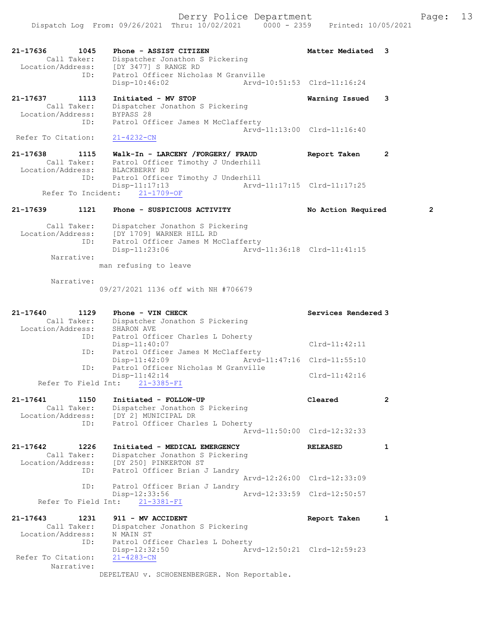| 21-17636<br>1045<br>Call Taker:<br>Location/Address:<br>ID:               | Phone - ASSIST CITIZEN<br>Dispatcher Jonathon S Pickering<br>[DY 3477] S RANGE RD<br>Patrol Officer Nicholas M Granville | Matter Mediated 3           |                |
|---------------------------------------------------------------------------|--------------------------------------------------------------------------------------------------------------------------|-----------------------------|----------------|
|                                                                           | $Disp-10:46:02$                                                                                                          | Arvd-10:51:53 Clrd-11:16:24 |                |
| 21-17637<br>1113<br>Call Taker:<br>Location/Address:<br>ID:               | Initiated - MV STOP<br>Dispatcher Jonathon S Pickering<br>BYPASS 28<br>Patrol Officer James M McClafferty                | Warning Issued              | 3              |
| Refer To Citation:                                                        | $21 - 4232 - CN$                                                                                                         | Arvd-11:13:00 Clrd-11:16:40 |                |
| 21-17638<br>1115<br>Call Taker:<br>Location/Address: BLACKBERRY RD<br>ID: | Walk-In - LARCENY /FORGERY/ FRAUD<br>Patrol Officer Timothy J Underhill<br>Patrol Officer Timothy J Underhill            | Report Taken                | $\mathbf{2}$   |
| Refer To Incident:                                                        | $Disp-11:17:13$<br>21-1709-OF                                                                                            | Arvd-11:17:15 Clrd-11:17:25 |                |
| 21-17639<br>1121                                                          | Phone - SUSPICIOUS ACTIVITY                                                                                              | No Action Required          | $\overline{2}$ |
| Call Taker:<br>Location/Address:<br>ID:<br>Narrative:                     | Dispatcher Jonathon S Pickering<br>[DY 1709] WARNER HILL RD<br>Patrol Officer James M McClafferty<br>$Disp-11:23:06$     | Aryd-11:36:18 Clrd-11:41:15 |                |
|                                                                           | man refusing to leave                                                                                                    |                             |                |
| Narrative:                                                                | 09/27/2021 1136 off with NH #706679                                                                                      |                             |                |
|                                                                           |                                                                                                                          |                             |                |
| 21-17640<br>1129<br>Call Taker:<br>Location/Address:                      | Phone - VIN CHECK<br>Dispatcher Jonathon S Pickering<br>SHARON AVE                                                       | Services Rendered 3         |                |
| ID:                                                                       | Patrol Officer Charles L Doherty<br>$Disp-11:40:07$                                                                      | $Clrd-11:42:11$             |                |
| ID:                                                                       | Patrol Officer James M McClafferty<br>$Disp-11:42:09$                                                                    | Arvd-11:47:16 Clrd-11:55:10 |                |
| ID:<br>Refer To Field Int:                                                | Patrol Officer Nicholas M Granville<br>Disp-11:42:14                                                                     | $Clrd-11:42:16$             |                |
| 21-17641<br>1150<br>Call Taker:<br>Location/Address:                      | $21 - 3385 - FI$<br>Initiated - FOLLOW-UP<br>Dispatcher Jonathon S Pickering<br>[DY 2] MUNICIPAL DR                      | Cleared                     | $\overline{2}$ |
| ID:                                                                       | Patrol Officer Charles L Doherty                                                                                         | Arvd-11:50:00 Clrd-12:32:33 |                |
| 21-17642<br>1226<br>Call Taker:<br>Location/Address:<br>ID:               | Initiated - MEDICAL EMERGENCY<br>Dispatcher Jonathon S Pickering<br>[DY 250] PINKERTON ST                                | <b>RELEASED</b>             | 1              |
| ID:                                                                       | Patrol Officer Brian J Landry<br>Patrol Officer Brian J Landry                                                           | Arvd-12:26:00 Clrd-12:33:09 |                |
| Refer To Field Int:                                                       | Disp-12:33:56<br>$21 - 3381 - FI$                                                                                        | Arvd-12:33:59 Clrd-12:50:57 |                |
| $21 - 17643$<br>1231<br>Call Taker:<br>Location/Address:                  | 911 - MV ACCIDENT<br>Dispatcher Jonathon S Pickering<br>N MAIN ST                                                        | Report Taken                | 1              |
| ID:<br>Refer To Citation:<br>Narrative:                                   | Patrol Officer Charles L Doherty<br>$Disp-12:32:50$<br>$21 - 4283 - CN$                                                  | Arvd-12:50:21 Clrd-12:59:23 |                |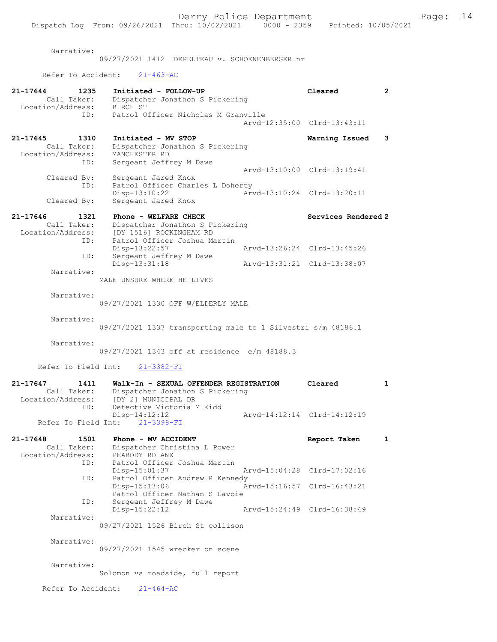Narrative:

09/27/2021 1412 DEPELTEAU v. SCHOENENBERGER nr

Refer To Accident: 21-463-AC

| $21 - 17644$<br>1235<br>Call Taker:<br>Location/Address:        | Initiated - FOLLOW-UP<br>Dispatcher Jonathon S Pickering<br><b>BIRCH ST</b>                                                   | Cleared                                                    | $\mathbf{2}$ |
|-----------------------------------------------------------------|-------------------------------------------------------------------------------------------------------------------------------|------------------------------------------------------------|--------------|
| ID:                                                             | Patrol Officer Nicholas M Granville                                                                                           | Arvd-12:35:00 Clrd-13:43:11                                |              |
| 21-17645<br>1310<br>Call Taker:<br>Location/Address:<br>ID:     | Initiated - MV STOP<br>Dispatcher Jonathon S Pickering<br>MANCHESTER RD<br>Sergeant Jeffrey M Dawe                            | Warning Issued                                             | 3            |
| Cleared By:<br>ID:                                              | Sergeant Jared Knox<br>Patrol Officer Charles L Doherty                                                                       | Arvd-13:10:00 Clrd-13:19:41                                |              |
| Cleared By:                                                     | Disp-13:10:22<br>Sergeant Jared Knox                                                                                          | Arvd-13:10:24 Clrd-13:20:11                                |              |
| $21 - 17646$<br>1321<br>Call Taker:<br>Location/Address:<br>ID: | Phone - WELFARE CHECK<br>Dispatcher Jonathon S Pickering<br>[DY 1516] ROCKINGHAM RD<br>Patrol Officer Joshua Martin           | Services Rendered 2                                        |              |
| ID:                                                             | Disp-13:22:57<br>Sergeant Jeffrey M Dawe                                                                                      | Arvd-13:26:24 Clrd-13:45:26                                |              |
| Narrative:                                                      | Disp-13:31:18<br>MALE UNSURE WHERE HE LIVES                                                                                   | Arvd-13:31:21 Clrd-13:38:07                                |              |
| Narrative:                                                      | 09/27/2021 1330 OFF W/ELDERLY MALE                                                                                            |                                                            |              |
| Narrative:                                                      | 09/27/2021 1337 transporting male to 1 Silvestri s/m 48186.1                                                                  |                                                            |              |
| Narrative:                                                      | 09/27/2021 1343 off at residence e/m 48188.3                                                                                  |                                                            |              |
| Refer To Field Int:                                             | $21 - 3382 - FI$                                                                                                              |                                                            |              |
| $21 - 17647$<br>1411<br>Call Taker:<br>Location/Address:<br>ID: | Walk-In - SEXUAL OFFENDER REGISTRATION<br>Dispatcher Jonathon S Pickering<br>[DY 2] MUNICIPAL DR<br>Detective Victoria M Kidd | Cleared                                                    | $\mathbf{1}$ |
| Refer To Field Int:                                             | Disp-14:12:12<br>$21 - 3398 - FI$                                                                                             | Arvd-14:12:14 Clrd-14:12:19                                |              |
| $21 - 17648$<br>1501<br>Call Taker:<br>Location/Address:        | Phone - MV ACCIDENT<br>Dispatcher Christina L Power<br>PEABODY RD ANX                                                         | Report Taken                                               | $\mathbf{1}$ |
| ID:<br>ID:                                                      | Patrol Officer Joshua Martin<br>Disp-15:01:37<br>Patrol Officer Andrew R Kennedy<br>Disp-15:13:06                             | Arvd-15:04:28 Clrd-17:02:16<br>Arvd-15:16:57 Clrd-16:43:21 |              |
| ID:                                                             | Patrol Officer Nathan S Lavoie<br>Sergeant Jeffrey M Dawe<br>Disp-15:22:12                                                    | Aryd-15:24:49 Clrd-16:38:49                                |              |
| Narrative:                                                      | 09/27/2021 1526 Birch St collison                                                                                             |                                                            |              |
| Narrative:                                                      | 09/27/2021 1545 wrecker on scene                                                                                              |                                                            |              |
| Narrative:                                                      | Solomon vs roadside, full report                                                                                              |                                                            |              |
| Refer To Accident:                                              | $21 - 464 - AC$                                                                                                               |                                                            |              |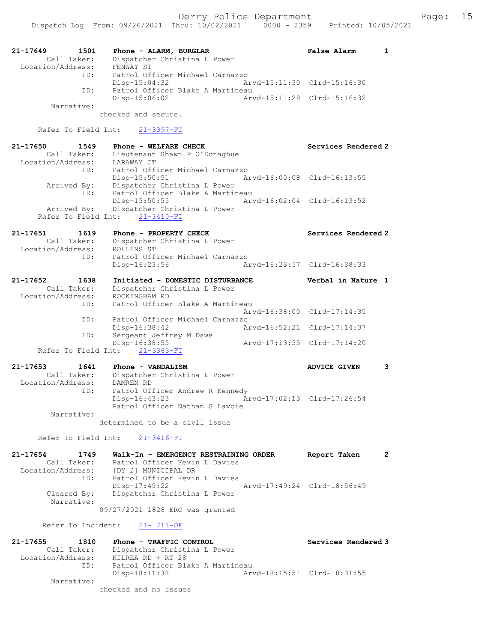| 21-17649<br>1501                 | Phone - ALARM, BURGLAR                                           | <b>False Alarm</b><br>$\mathbf{1}$ |  |
|----------------------------------|------------------------------------------------------------------|------------------------------------|--|
| Call Taker:<br>Location/Address: | Dispatcher Christina L Power<br>FENWAY ST                        |                                    |  |
| ID:                              | Patrol Officer Michael Carnazzo<br>Disp-15:04:32                 | Arvd-15:11:30 Clrd-15:16:30        |  |
| ID:                              | Patrol Officer Blake A Martineau<br>Disp-15:06:02                | Arvd-15:11:28 Clrd-15:16:32        |  |
| Narrative:                       |                                                                  |                                    |  |
|                                  | checked and secure.                                              |                                    |  |
| Refer To Field Int:              | $21 - 3397 - FI$                                                 |                                    |  |
| 21-17650<br>1549                 | Phone - WELFARE CHECK                                            | Services Rendered 2                |  |
| Call Taker:<br>Location/Address: | Lieutenant Shawn P O'Donaghue<br>LARAWAY CT                      |                                    |  |
| ID:                              | Patrol Officer Michael Carnazzo<br>Disp-15:50:51                 | Arvd-16:00:08 Clrd-16:13:55        |  |
| Arrived By:                      | Dispatcher Christina L Power                                     |                                    |  |
| ID:                              | Patrol Officer Blake A Martineau<br>Disp-15:50:55                | Arvd-16:02:04 Clrd-16:13:52        |  |
| Arrived By:                      | Dispatcher Christina L Power                                     |                                    |  |
| Refer To Field Int:              | $21 - 3410 - FI$                                                 |                                    |  |
| 21-17651<br>1619<br>Call Taker:  | Phone - PROPERTY CHECK                                           | Services Rendered 2                |  |
| Location/Address:                | Dispatcher Christina L Power<br>ROLLINS ST                       |                                    |  |
| ID:                              | Patrol Officer Michael Carnazzo<br>Disp-16:23:56                 | Arvd-16:23:57 Clrd-16:38:33        |  |
|                                  |                                                                  |                                    |  |
| 21-17652<br>1638<br>Call Taker:  | Initiated - DOMESTIC DISTURBANCE<br>Dispatcher Christina L Power | Verbal in Nature 1                 |  |
| Location/Address:                | ROCKINGHAM RD                                                    |                                    |  |
| ID:                              | Patrol Officer Blake A Martineau                                 | Arvd-16:38:00 Clrd-17:14:35        |  |
| ID:                              | Patrol Officer Michael Carnazzo<br>Disp-16:38:42                 | Arvd-16:52:21 Clrd-17:14:37        |  |
| ID:                              | Sergeant Jeffrey M Dawe                                          |                                    |  |
|                                  | Disp-16:38:55<br>Refer To Field Int: 21-3383-FI                  | Arvd-17:13:55 Clrd-17:14:20        |  |
| 21-17653<br>1641                 | Phone - VANDALISM                                                | <b>ADVICE GIVEN</b><br>3           |  |
| Call Taker:                      | Dispatcher Christina L Power                                     |                                    |  |
| Location/Address:<br>ID:         | DAMREN RD<br>Patrol Officer Andrew R Kennedy                     |                                    |  |
|                                  | Disp-16:43:23<br>Patrol Officer Nathan S Lavoie                  | Arvd-17:02:13 Clrd-17:26:54        |  |
| Narrative:                       |                                                                  |                                    |  |
|                                  | determined to be a civil issue                                   |                                    |  |
|                                  | Refer To Field Int: 21-3416-FI                                   |                                    |  |
| 21-17654<br>1749                 | Walk-In - EMERGENCY RESTRAINING ORDER                            | Report Taken<br>$\mathbf{2}$       |  |
| Call Taker:<br>Location/Address: | Patrol Officer Kevin L Davies<br>DY 2] MUNICIPAL DR              |                                    |  |
| ID:                              | Patrol Officer Kevin L Davies<br>$Disp-17:49:22$                 | Arvd-17:49:24 Clrd-18:56:49        |  |
| Cleared By:                      | Dispatcher Christina L Power                                     |                                    |  |
| Narrative:                       | 09/27/2021 1828 ERO was granted                                  |                                    |  |
| Refer To Incident:               | 21-1711-OF                                                       |                                    |  |
|                                  |                                                                  |                                    |  |
| 21-17655<br>1810<br>Call Taker:  | Phone - TRAFFIC CONTROL<br>Dispatcher Christina L Power          | Services Rendered 3                |  |
| Location/Address:                | KILREA RD + RT 28                                                |                                    |  |
| ID:                              | Patrol Officer Blake A Martineau<br>Disp-18:11:38                | Arvd-18:15:51 Clrd-18:31:55        |  |
| Narrative:                       | checked and no issues                                            |                                    |  |
|                                  |                                                                  |                                    |  |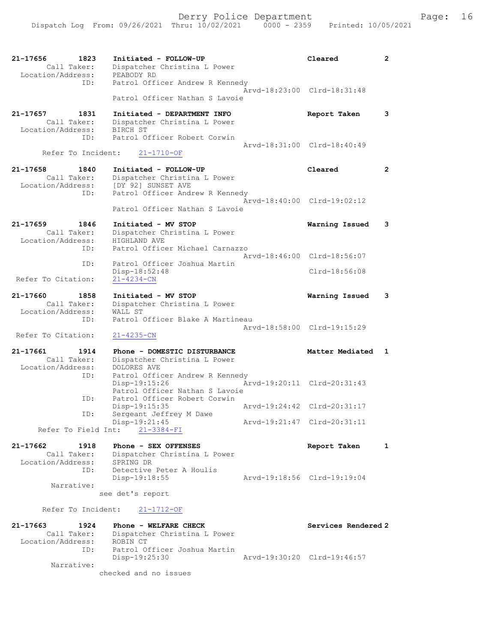| 21-17656<br>1823<br>Call Taker:<br>Location/Address:        | Initiated - FOLLOW-UP<br>Dispatcher Christina L Power<br>PEABODY RD                                                | Cleared                                            | $\overline{2}$ |
|-------------------------------------------------------------|--------------------------------------------------------------------------------------------------------------------|----------------------------------------------------|----------------|
| ID:                                                         | Patrol Officer Andrew R Kennedy<br>Patrol Officer Nathan S Lavoie                                                  | Aryd-18:23:00 Clrd-18:31:48                        |                |
| 21-17657<br>1831<br>Call Taker:<br>Location/Address:<br>ID: | Initiated - DEPARTMENT INFO<br>Dispatcher Christina L Power<br>BIRCH ST<br>Patrol Officer Robert Corwin            | Report Taken                                       | 3              |
| Refer To Incident:                                          | 21-1710-OF                                                                                                         | Arvd-18:31:00 Clrd-18:40:49                        |                |
| 21-17658<br>1840<br>Call Taker:<br>Location/Address:<br>ID: | Initiated - FOLLOW-UP<br>Dispatcher Christina L Power<br>[DY 92] SUNSET AVE<br>Patrol Officer Andrew R Kennedy     | Cleared                                            | $\overline{2}$ |
|                                                             | Patrol Officer Nathan S Lavoie                                                                                     | Arvd-18:40:00 Clrd-19:02:12                        |                |
| 21-17659<br>1846<br>Call Taker:<br>Location/Address:        | Initiated - MV STOP<br>Dispatcher Christina L Power<br>HIGHLAND AVE                                                | Warning Issued                                     | 3              |
| ID:<br>ID:                                                  | Patrol Officer Michael Carnazzo<br>Patrol Officer Joshua Martin                                                    | Arvd-18:46:00 Clrd-18:56:07                        |                |
| Refer To Citation:                                          | Disp-18:52:48<br>$21 - 4234 - CN$                                                                                  | Clrd-18:56:08                                      |                |
| 21-17660<br>1858<br>Call Taker:<br>Location/Address:        | Initiated - MV STOP<br>Dispatcher Christina L Power<br>WALL ST                                                     | Warning Issued                                     | 3              |
| ID:<br>Refer To Citation:                                   | Patrol Officer Blake A Martineau<br>$21 - 4235 - CN$                                                               | Arvd-18:58:00 Clrd-19:15:29                        |                |
| 21-17661<br>1914<br>Call Taker:<br>Location/Address:        | Phone - DOMESTIC DISTURBANCE<br>Dispatcher Christina L Power<br>DOLORES AVE                                        | Matter Mediated                                    | 1              |
| ID:                                                         | Patrol Officer Andrew R Kennedy<br>Disp-19:15:26<br>Patrol Officer Nathan S Lavoie                                 | Arvd-19:20:11 Clrd-20:31:43                        |                |
| ID:<br>ID:                                                  | Patrol Officer Robert Corwin<br>Disp-19:15:35<br>Sergeant Jeffrey M Dawe                                           | Arvd-19:24:42 Clrd-20:31:17                        |                |
|                                                             | Disp-19:21:45<br>Refer To Field Int: 21-3384-FI                                                                    | Arvd-19:21:47 Clrd-20:31:11                        |                |
| 21-17662<br>1918<br>Call Taker:<br>Location/Address:<br>ID: | Phone - SEX OFFENSES<br>Dispatcher Christina L Power<br>SPRING DR<br>Detective Peter A Houlis                      | Report Taken                                       | $\mathbf{1}$   |
| Narrative:                                                  | Disp-19:18:55<br>see det's report                                                                                  | Arvd-19:18:56 Clrd-19:19:04                        |                |
| Refer To Incident:<br>$21 - 17663$<br>1924                  | $21 - 1712 - OF$                                                                                                   |                                                    |                |
| Call Taker:<br>Location/Address:<br>ID:<br>Narrative:       | Phone - WELFARE CHECK<br>Dispatcher Christina L Power<br>ROBIN CT<br>Patrol Officer Joshua Martin<br>Disp-19:25:30 | Services Rendered 2<br>Arvd-19:30:20 Clrd-19:46:57 |                |
|                                                             | checked and no issues                                                                                              |                                                    |                |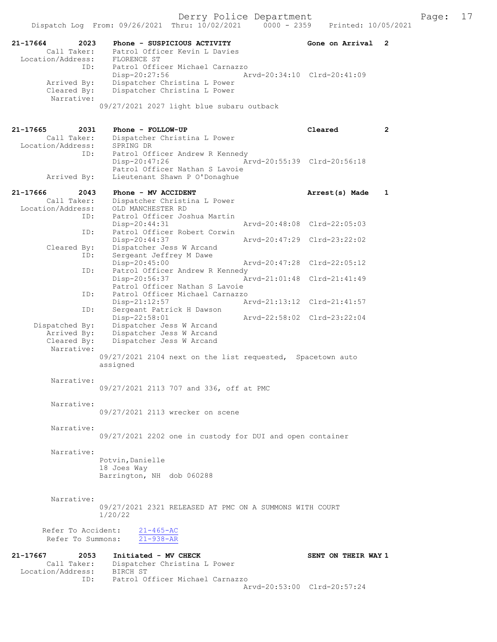| 21-17664<br>2023                 | Phone - SUSPICIOUS ACTIVITY                                            | Gone on Arrival             | 2 |
|----------------------------------|------------------------------------------------------------------------|-----------------------------|---|
| Call Taker:<br>Location/Address: | Patrol Officer Kevin L Davies<br>FLORENCE ST                           |                             |   |
| ID:                              | Patrol Officer Michael Carnazzo                                        |                             |   |
|                                  | Disp-20:27:56                                                          | Arvd-20:34:10 Clrd-20:41:09 |   |
| Arrived By:                      | Dispatcher Christina L Power                                           |                             |   |
| Cleared By:                      | Dispatcher Christina L Power                                           |                             |   |
| Narrative:                       |                                                                        |                             |   |
|                                  | 09/27/2021 2027 light blue subaru outback                              |                             |   |
|                                  |                                                                        |                             |   |
| 21-17665<br>2031                 | Phone - FOLLOW-UP                                                      | Cleared                     | 2 |
| Call Taker:                      | Dispatcher Christina L Power                                           |                             |   |
| Location/Address:<br>ID:         | SPRING DR<br>Patrol Officer Andrew R Kennedy                           |                             |   |
|                                  | Disp-20:47:26                                                          | Arvd-20:55:39 Clrd-20:56:18 |   |
|                                  | Patrol Officer Nathan S Lavoie                                         |                             |   |
| Arrived By:                      | Lieutenant Shawn P O'Donaghue                                          |                             |   |
| 21-17666<br>2043                 | Phone - MV ACCIDENT                                                    | Arrest(s) Made              | 1 |
| Call Taker:                      | Dispatcher Christina L Power                                           |                             |   |
| Location/Address:                | OLD MANCHESTER RD                                                      |                             |   |
| ID:                              | Patrol Officer Joshua Martin                                           |                             |   |
|                                  | Disp-20:44:31                                                          | Aryd-20:48:08 Clrd-22:05:03 |   |
| ID:                              | Patrol Officer Robert Corwin                                           |                             |   |
| Cleared By:                      | Disp-20:44:37<br>Dispatcher Jess W Arcand                              | Arvd-20:47:29 Clrd-23:22:02 |   |
| ID:                              | Sergeant Jeffrey M Dawe                                                |                             |   |
|                                  | Disp-20:45:00<br>Arvd-20:47:28                                         | $Clrd-22:05:12$             |   |
| ID:                              | Patrol Officer Andrew R Kennedy                                        |                             |   |
|                                  | Arvd-21:01:48<br>Disp-20:56:37                                         | $Clrd-21:41:49$             |   |
|                                  | Patrol Officer Nathan S Lavoie                                         |                             |   |
| ID:                              | Patrol Officer Michael Carnazzo<br>Disp-21:12:57<br>Arvd-21:13:12      | $Clrd-21:41:57$             |   |
| ID:                              | Sergeant Patrick H Dawson                                              |                             |   |
|                                  | $Disp-22:58:01$                                                        | Arvd-22:58:02 Clrd-23:22:04 |   |
| Dispatched By:                   | Dispatcher Jess W Arcand                                               |                             |   |
| Arrived By:                      | Dispatcher Jess W Arcand                                               |                             |   |
| Cleared By:                      | Dispatcher Jess W Arcand                                               |                             |   |
| Narrative:                       |                                                                        |                             |   |
|                                  | 09/27/2021 2104 next on the list requested, Spacetown auto<br>assigned |                             |   |
|                                  |                                                                        |                             |   |
| Narrative:                       |                                                                        |                             |   |
|                                  | 09/27/2021 2113 707 and 336, off at PMC                                |                             |   |
|                                  |                                                                        |                             |   |
| Narrative:                       |                                                                        |                             |   |
|                                  | 09/27/2021 2113 wrecker on scene                                       |                             |   |
| Narrative:                       |                                                                        |                             |   |
|                                  | 09/27/2021 2202 one in custody for DUI and open container              |                             |   |
|                                  |                                                                        |                             |   |
| Narrative:                       |                                                                        |                             |   |
|                                  | Potvin, Danielle                                                       |                             |   |
|                                  | 18 Joes Way                                                            |                             |   |
|                                  | Barrington, NH dob 060288                                              |                             |   |
|                                  |                                                                        |                             |   |
| Narrative:                       |                                                                        |                             |   |
|                                  | 09/27/2021 2321 RELEASED AT PMC ON A SUMMONS WITH COURT<br>1/20/22     |                             |   |
|                                  |                                                                        |                             |   |
| Refer To Accident:               | $21 - 465 - AC$                                                        |                             |   |
| Refer To Summons:                | $21 - 938 - AR$                                                        |                             |   |
| 21-17667<br>2053                 | Initiated - MV CHECK                                                   | SENT ON THEIR WAY 1         |   |
|                                  | Call Taker: Dispatcher Christina L Power                               |                             |   |
| Location/Address:                | BIRCH ST                                                               |                             |   |
| ID:                              | Patrol Officer Michael Carnazzo                                        |                             |   |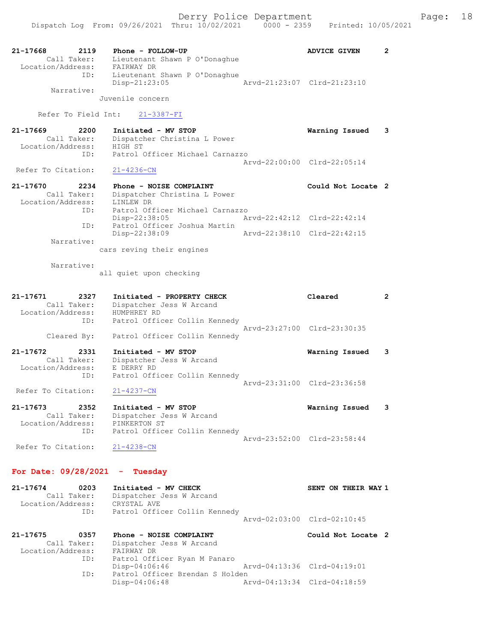21-17668 2119 Phone - FOLLOW-UP ADVICE GIVEN 2 Call Taker: Lieutenant Shawn P O'Donaghue Location/Address: FAIRWAY DR ID: Lieutenant Shawn P O'Donaghue Disp-21:23:05 Arvd-21:23:07 Clrd-21:23:10 Narrative: Juvenile concern Refer To Field Int: 21-3387-FI 21-17669 2200 Initiated - MV STOP Warning Issued 3 Call Taker: Dispatcher Christina L Power Location/Address: HIGH ST ID: Patrol Officer Michael Carnazzo Arvd-22:00:00 Clrd-22:05:14<br>21-4236-CN Refer To Citation: 21-17670 2234 Phone - NOISE COMPLAINT Could Not Locate 2 Call Taker: Dispatcher Christina L Power Location/Address: LINLEW DR ID: Patrol Officer Michael Carnazzo Disp-22:38:05 Arvd-22:42:12 Clrd-22:42:14 ID: Patrol Officer Joshua Martin<br>Disp-22:38:09 Disp-22:38:09 Arvd-22:38:10 Clrd-22:42:15 Narrative: cars reving their engines Narrative: all quiet upon checking 21-17671 2327 Initiated - PROPERTY CHECK Cleared 2 Call Taker: Dispatcher Jess W Arcand Location/Address: HUMPHREY RD ID: Patrol Officer Collin Kennedy Arvd-23:27:00 Clrd-23:30:35 Cleared By: Patrol Officer Collin Kennedy 21-17672 2331 Initiated - MV STOP Warning Issued 3 Call Taker: Dispatcher Jess W Arcand Location/Address: E DERRY RD ID: Patrol Officer Collin Kennedy Arvd-23:31:00 Clrd-23:36:58 Refer To Citation: 21-4237-CN 21-17673 2352 Initiated - MV STOP Warning Issued 3 Call Taker: Dispatcher Jess W Arcand Location/Address: PINKERTON ST ID: Patrol Officer Collin Kennedy Arvd-23:52:00 Clrd-23:58:44 Refer To Citation: 21-4238-CN For Date: 09/28/2021 - Tuesday 21-17674 0203 Initiated - MV CHECK SENT ON THEIR WAY 1 Call Taker: Dispatcher Jess W Arcand Location/Address: CRYSTAL AVE ID: Patrol Officer Collin Kennedy Arvd-02:03:00 Clrd-02:10:45

| 21-17675          | 0357        | Phone - NOISE COMPLAINT         |                             | Could Not Locate 2          |  |
|-------------------|-------------|---------------------------------|-----------------------------|-----------------------------|--|
|                   | Call Taker: | Dispatcher Jess W Arcand        |                             |                             |  |
| Location/Address: |             | FAIRWAY DR                      |                             |                             |  |
|                   | ID:         | Patrol Officer Ryan M Panaro    |                             |                             |  |
|                   |             | $Disp-04:06:46$                 | Arvd-04:13:36 Clrd-04:19:01 |                             |  |
|                   | ID:         | Patrol Officer Brendan S Holden |                             |                             |  |
|                   |             | $Disp-04:06:48$                 |                             | Arvd-04:13:34 Clrd-04:18:59 |  |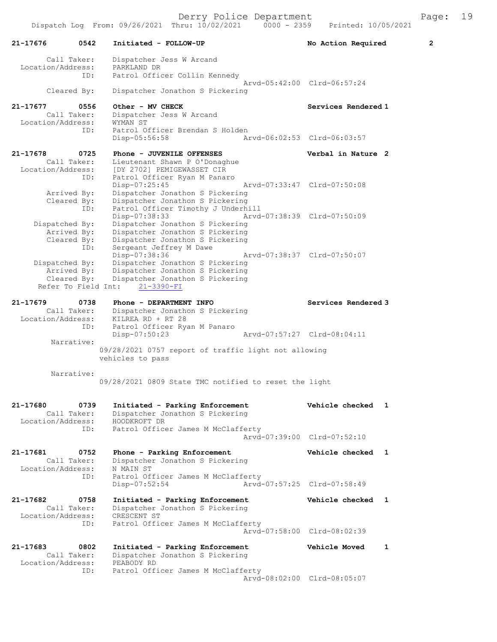Derry Police Department Fage: 19

| 21-17676                      | 0542                                              | Initiated - FOLLOW-UP                                                                                                                             | No Action Required          | $\overline{2}$ |
|-------------------------------|---------------------------------------------------|---------------------------------------------------------------------------------------------------------------------------------------------------|-----------------------------|----------------|
| Location/Address:             | Call Taker:                                       | Dispatcher Jess W Arcand<br>PARKLAND DR                                                                                                           |                             |                |
|                               | ID:                                               | Patrol Officer Collin Kennedy                                                                                                                     | Arvd-05:42:00 Clrd-06:57:24 |                |
|                               | Cleared By:                                       | Dispatcher Jonathon S Pickering                                                                                                                   |                             |                |
| 21-17677<br>Location/Address: | 0556<br>Call Taker:                               | Other - MV CHECK<br>Dispatcher Jess W Arcand<br>WYMAN ST                                                                                          | Services Rendered 1         |                |
|                               | ID:                                               | Patrol Officer Brendan S Holden<br>Disp-05:56:58                                                                                                  | Arvd-06:02:53 Clrd-06:03:57 |                |
| 21-17678<br>Location/Address: | 0725<br>Call Taker:<br>ID:                        | Phone - JUVENILE OFFENSES<br>Lieutenant Shawn P O'Donaghue<br>[DY 2702] PEMIGEWASSET CIR<br>Patrol Officer Ryan M Panaro                          | Verbal in Nature 2          |                |
|                               | Arrived By:<br>Cleared By:<br>ID:                 | $Disp-07:25:45$<br>Dispatcher Jonathon S Pickering<br>Dispatcher Jonathon S Pickering<br>Patrol Officer Timothy J Underhill                       | Arvd-07:33:47 Clrd-07:50:08 |                |
| Dispatched By:                | Arrived By:<br>Cleared By:<br>ID:                 | Disp-07:38:33<br>Dispatcher Jonathon S Pickering<br>Dispatcher Jonathon S Pickering<br>Dispatcher Jonathon S Pickering<br>Sergeant Jeffrey M Dawe | Arvd-07:38:39 Clrd-07:50:09 |                |
| Dispatched By:                | Arrived By:<br>Cleared By:<br>Refer To Field Int: | Disp-07:38:36<br>Dispatcher Jonathon S Pickering<br>Dispatcher Jonathon S Pickering<br>Dispatcher Jonathon S Pickering<br>21-3390-FI              | Aryd-07:38:37 Clrd-07:50:07 |                |
| 21-17679                      | 0738<br>Call Taker:                               | Phone - DEPARTMENT INFO<br>Dispatcher Jonathon S Pickering                                                                                        | Services Rendered 3         |                |
| Location/Address:             | ID:                                               | KILREA RD + RT 28<br>Patrol Officer Ryan M Panaro                                                                                                 |                             |                |
|                               | Narrative:                                        | Disp-07:50:23                                                                                                                                     | Arvd-07:57:27 Clrd-08:04:11 |                |
|                               |                                                   | 09/28/2021 0757 report of traffic light not allowing<br>vehicles to pass                                                                          |                             |                |
|                               | Narrative:                                        | 09/28/2021 0809 State TMC notified to reset the light                                                                                             |                             |                |
| 21-17680<br>Location/Address: | 0739<br>Call Taker:                               | Initiated - Parking Enforcement<br>Dispatcher Jonathon S Pickering<br>HOODKROFT DR                                                                | Vehicle checked 1           |                |
|                               | ID:                                               | Patrol Officer James M McClafferty                                                                                                                | Arvd-07:39:00 Clrd-07:52:10 |                |
| 21-17681<br>Location/Address: | 0752<br>Call Taker:                               | Phone - Parking Enforcement<br>Dispatcher Jonathon S Pickering<br>N MAIN ST                                                                       | Vehicle checked             | 1              |
|                               | ID:                                               | Patrol Officer James M McClafferty<br>$Disp-07:52:54$                                                                                             | Arvd-07:57:25 Clrd-07:58:49 |                |
| 21-17682<br>Location/Address: | 0758<br>Call Taker:                               | Initiated - Parking Enforcement<br>Dispatcher Jonathon S Pickering<br>CRESCENT ST                                                                 | Vehicle checked 1           |                |
|                               | ID:                                               | Patrol Officer James M McClafferty                                                                                                                | Arvd-07:58:00 Clrd-08:02:39 |                |
| 21-17683<br>Location/Address: | 0802<br>Call Taker:<br>ID:                        | Initiated - Parking Enforcement<br>Dispatcher Jonathon S Pickering<br>PEABODY RD<br>Patrol Officer James M McClafferty                            | <b>Vehicle Moved</b>        | 1              |
|                               |                                                   |                                                                                                                                                   | Arvd-08:02:00 Clrd-08:05:07 |                |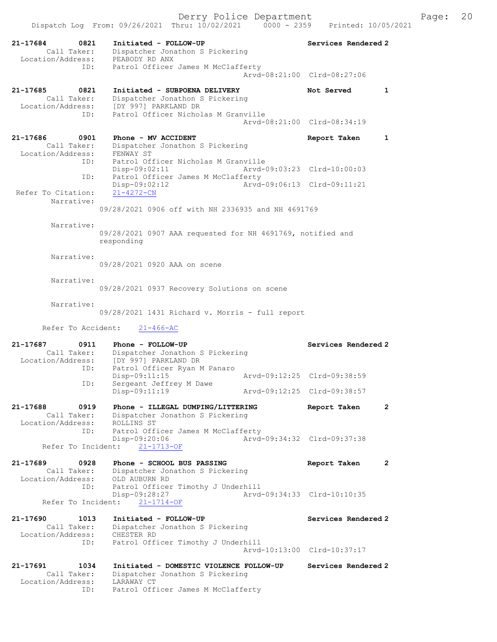| 21-17684<br>0821<br>Call Taker:<br>Location/Address:        | Initiated - FOLLOW-UP<br>Dispatcher Jonathon S Pickering<br>PEABODY RD ANX                                                      | Services Rendered 2          |
|-------------------------------------------------------------|---------------------------------------------------------------------------------------------------------------------------------|------------------------------|
| ID:                                                         | Patrol Officer James M McClafferty                                                                                              | Arvd-08:21:00 Clrd-08:27:06  |
| 21-17685<br>0821<br>Call Taker:<br>Location/Address:<br>ID: | Initiated - SUBPOENA DELIVERY<br>Dispatcher Jonathon S Pickering<br>[DY 997] PARKLAND DR<br>Patrol Officer Nicholas M Granville | Not Served<br>$\mathbf{1}$   |
|                                                             |                                                                                                                                 | Arvd-08:21:00 Clrd-08:34:19  |
| 21-17686<br>0901<br>Call Taker:<br>Location/Address:<br>ID: | Phone - MV ACCIDENT<br>Dispatcher Jonathon S Pickering<br>FENWAY ST<br>Patrol Officer Nicholas M Granville                      | Report Taken<br>$\mathbf{1}$ |
| ID:                                                         | Disp-09:02:11<br>Patrol Officer James M McClafferty                                                                             | Arvd-09:03:23 Clrd-10:00:03  |
| Refer To Citation:<br>Narrative:                            | Disp-09:02:12<br>$21 - 4272 - CN$                                                                                               | Arvd-09:06:13 Clrd-09:11:21  |
|                                                             | 09/28/2021 0906 off with NH 2336935 and NH 4691769                                                                              |                              |
| Narrative:                                                  | 09/28/2021 0907 AAA requested for NH 4691769, notified and<br>responding                                                        |                              |
| Narrative:                                                  | 09/28/2021 0920 AAA on scene                                                                                                    |                              |
| Narrative:                                                  | 09/28/2021 0937 Recovery Solutions on scene                                                                                     |                              |
| Narrative:                                                  | 09/28/2021 1431 Richard v. Morris - full report                                                                                 |                              |
| Refer To Accident:                                          | $21 - 466 - AC$                                                                                                                 |                              |
| 21-17687<br>0911<br>Call Taker:<br>Location/Address:        | Phone - FOLLOW-UP<br>Dispatcher Jonathon S Pickering                                                                            | Services Rendered 2          |
|                                                             | [DY 997] PARKLAND DR                                                                                                            |                              |
| ID:<br>ID:                                                  | Patrol Officer Ryan M Panaro<br>Disp-09:11:15<br>Sergeant Jeffrey M Dawe                                                        | Arvd-09:12:25 Clrd-09:38:59  |
|                                                             | Disp-09:11:19                                                                                                                   | Arvd-09:12:25 Clrd-09:38:57  |
| 0919<br>21-17688<br>Call Taker:<br>Location/Address:        | Phone - ILLEGAL DUMPING/LITTERING<br>Dispatcher Jonathon S Pickering<br>ROLLINS ST                                              | Report Taken<br>$\mathbf{2}$ |
| ID:<br>Refer To Incident:                                   | Patrol Officer James M McClafferty<br>Disp-09:20:06<br>$21 - 1713 - OF$                                                         | Arvd-09:34:32 Clrd-09:37:38  |
| 21-17689<br>0928<br>Call Taker:<br>Location/Address:        | Phone - SCHOOL BUS PASSING<br>Dispatcher Jonathon S Pickering<br>OLD AUBURN RD                                                  | Report Taken<br>$\mathbf{2}$ |
| ID:<br>Refer To Incident:                                   | Patrol Officer Timothy J Underhill<br>Disp-09:28:27<br>$21 - 1714 - OF$                                                         | Arvd-09:34:33 Clrd-10:10:35  |
| 21-17690<br>1013<br>Call Taker:                             | Initiated - FOLLOW-UP<br>Dispatcher Jonathon S Pickering                                                                        | Services Rendered 2          |
| Location/Address:<br>ID:                                    | CHESTER RD<br>Patrol Officer Timothy J Underhill                                                                                | Arvd-10:13:00 Clrd-10:37:17  |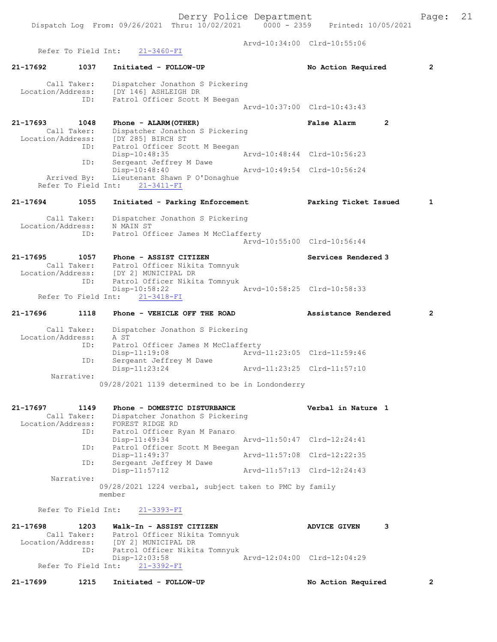Arvd-10:34:00 Clrd-10:55:06<br>21-3460-FI <br>21-3460 Refer To Field Int: 21-17692 1037 Initiated - FOLLOW-UP No Action Required 2 Call Taker: Dispatcher Jonathon S Pickering Location/Address: [DY 146] ASHLEIGH DR ID: Patrol Officer Scott M Beegan Arvd-10:37:00 Clrd-10:43:43 21-17693 1048 Phone - ALARM(OTHER) False Alarm 2 Call Taker: Dispatcher Jonathon S Pickering Location/Address: [DY 285] BIRCH ST ID: Patrol Officer Scott M Beegan Disp-10:48:35 Arvd-10:48:44 Clrd-10:56:23 ID: Sergeant Jeffrey M Dawe Disp-10:48:40 Arvd-10:49:54 Clrd-10:56:24 Arrived By: Lieutenant Shawn P O'Donaghue Refer To Field Int: 21-3411-FI 21-17694 1055 Initiated - Parking Enforcement Parking Ticket Issued 1 Call Taker: Dispatcher Jonathon S Pickering Location/Address: N MAIN ST ID: Patrol Officer James M McClafferty Arvd-10:55:00 Clrd-10:56:44 21-17695 1057 Phone - ASSIST CITIZEN North Services Rendered 3 Call Taker: Patrol Officer Nikita Tomnyuk Location/Address: [DY 2] MUNICIPAL DR ID: Patrol Officer Nikita Tomnyuk Disp-10:58:22 Arvd-10:58:25 Clrd-10:58:33 Refer To Field Int: 21-3418-FI 21-17696 1118 Phone - VEHICLE OFF THE ROAD **Assistance Rendered** 2 Call Taker: Dispatcher Jonathon S Pickering Location/Address: A ST ID: Patrol Officer James M McClafferty Disp-11:19:08 Arvd-11:23:05 Clrd-11:59:46 ID: Sergeant Jeffrey M Dawe Disp-11:23:24 Arvd-11:23:25 Clrd-11:57:10 Narrative: 09/28/2021 1139 determined to be in Londonderry 21-17697 1149 Phone - DOMESTIC DISTURBANCE Verbal in Nature 1 Call Taker: Dispatcher Jonathon S Pickering Location/Address: FOREST RIDGE RD ID: Patrol Officer Ryan M Panaro Disp-11:49:34 Arvd-11:50:47 Clrd-12:24:41 ID: Patrol Officer Scott M Beegan Disp-11:49:37 Arvd-11:57:08 Clrd-12:22:35 ID: Sergeant Jeffrey M Dawe Disp-11:57:12 Arvd-11:57:13 Clrd-12:24:43 Narrative: 09/28/2021 1224 verbal, subject taken to PMC by family member Refer To Field Int: 21-3393-FI 21-17698 1203 Walk-In - ASSIST CITIZEN ADVICE GIVEN 3 Call Taker: Patrol Officer Nikita Tomnyuk Location/Address: [DY 2] MUNICIPAL DR ID: Patrol Officer Nikita Tomnyuk Disp-12:03:58 Arvd-12:04:00 Clrd-12:04:29 Refer To Field Int: 21-3392-FI 21-17699 1215 Initiated - FOLLOW-UP No Action Required 2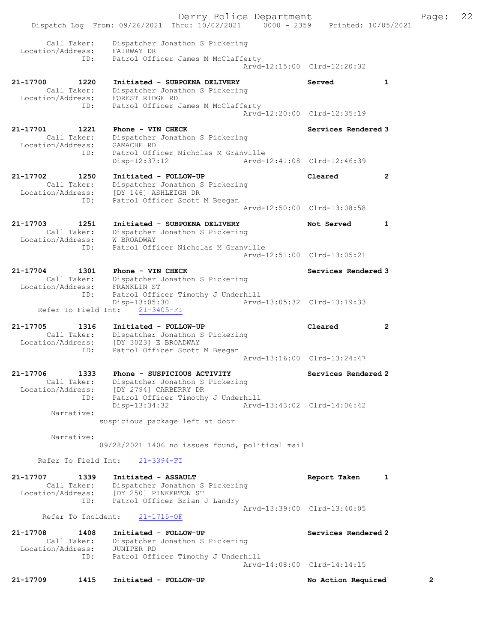| 21-17709                         | 1415                       | Initiated - FOLLOW-UP                                                                                                              |                             | No Action Required                  | 2                    |
|----------------------------------|----------------------------|------------------------------------------------------------------------------------------------------------------------------------|-----------------------------|-------------------------------------|----------------------|
|                                  | ID:                        | Patrol Officer Timothy J Underhill                                                                                                 | Arvd-14:08:00 Clrd-14:14:15 |                                     |                      |
| 21-17708<br>Location/Address:    | 1408<br>Call Taker:        | Initiated - FOLLOW-UP<br>Dispatcher Jonathon S Pickering<br>JUNIPER RD                                                             |                             | Services Rendered 2                 |                      |
| Refer To Incident:               |                            | $21 - 1715 - OF$                                                                                                                   | Arvd-13:39:00 Clrd-13:40:05 |                                     |                      |
| 21-17707                         | 1339<br>Call Taker:<br>ID: | Initiated - ASSAULT<br>Dispatcher Jonathon S Pickering<br>Location/Address: [DY 250] PINKERTON ST<br>Patrol Officer Brian J Landry |                             | Report Taken                        | 1                    |
| Refer To Field Int:              |                            | $21 - 3394 - FI$                                                                                                                   |                             |                                     |                      |
| Narrative:                       |                            | 09/28/2021 1406 no issues found, political mail                                                                                    |                             |                                     |                      |
|                                  |                            | suspicious package left at door                                                                                                    |                             |                                     |                      |
| Narrative:                       | ID:                        | Patrol Officer Timothy J Underhill<br>Disp-13:34:32                                                                                | Arvd-13:43:02 Clrd-14:06:42 |                                     |                      |
| Call Taker:<br>Location/Address: |                            | Dispatcher Jonathon S Pickering<br>[DY 2794] CARBERRY DR                                                                           |                             |                                     |                      |
| 21-17706                         | 1333                       | Phone - SUSPICIOUS ACTIVITY                                                                                                        |                             | Services Rendered 2                 |                      |
|                                  | Call Taker:<br>ID:         | Dispatcher Jonathon S Pickering<br>Location/Address: [DY 3023] E BROADWAY<br>Patrol Officer Scott M Beegan                         | Arvd-13:16:00 Clrd-13:24:47 |                                     |                      |
| 21-17705                         | 1316                       | Initiated - FOLLOW-UP                                                                                                              |                             | Cleared                             | $\mathbf{2}$         |
|                                  | ID:                        | Patrol Officer Timothy J Underhill<br>Disp-13:05:30<br>Refer To Field Int: 21-3405-FI                                              | Arvd-13:05:32 Clrd-13:19:33 |                                     |                      |
| Location/Address:                | Call Taker:                | Dispatcher Jonathon S Pickering<br>FRANKLIN ST                                                                                     |                             |                                     |                      |
| 21-17704                         | 1301                       | Phone - VIN CHECK                                                                                                                  | Arvd-12:51:00 Clrd-13:05:21 | Services Rendered 3                 |                      |
| Call Taker:<br>Location/Address: | ID:                        | Dispatcher Jonathon S Pickering<br>W BROADWAY<br>Patrol Officer Nicholas M Granville                                               |                             |                                     |                      |
| 21-17703                         | 1251                       | Initiated - SUBPOENA DELIVERY                                                                                                      |                             | Not Served                          | 1                    |
| Location/Address:                | ID:                        | [DY 146] ASHLEIGH DR<br>Patrol Officer Scott M Beegan                                                                              | Arvd-12:50:00 Clrd-13:08:58 |                                     |                      |
| 21-17702<br>Call Taker:          | 1250                       | Initiated - FOLLOW-UP<br>Dispatcher Jonathon S Pickering                                                                           |                             | Cleared                             | $\mathbf{2}^{\circ}$ |
| Location/Address:                | ID:                        | GAMACHE RD<br>Patrol Officer Nicholas M Granville<br>Disp-12:37:12                                                                 | Arvd-12:41:08 Clrd-12:46:39 |                                     |                      |
| 21-17701<br>Call Taker:          | 1221                       | Phone - VIN CHECK<br>Dispatcher Jonathon S Pickering                                                                               |                             | Services Rendered 3                 |                      |
| Location/Address:                | ID:                        | FOREST RIDGE RD<br>Patrol Officer James M McClafferty                                                                              | Arvd-12:20:00 Clrd-12:35:19 |                                     |                      |
| 21-17700                         | 1220<br>Call Taker:        | Initiated - SUBPOENA DELIVERY<br>Dispatcher Jonathon S Pickering                                                                   |                             | Served                              | $\mathbf{1}$         |
|                                  | ID:                        | Patrol Officer James M McClafferty                                                                                                 | Arvd-12:15:00 Clrd-12:20:32 |                                     |                      |
| Location/Address:                | Call Taker:                | Dispatcher Jonathon S Pickering<br>FAIRWAY DR                                                                                      |                             |                                     |                      |
|                                  |                            | Dispatch Log From: 09/26/2021 Thru: 10/02/2021                                                                                     |                             | $0000 - 2359$ Printed: $10/05/2021$ |                      |

Derry Police Department Page: 22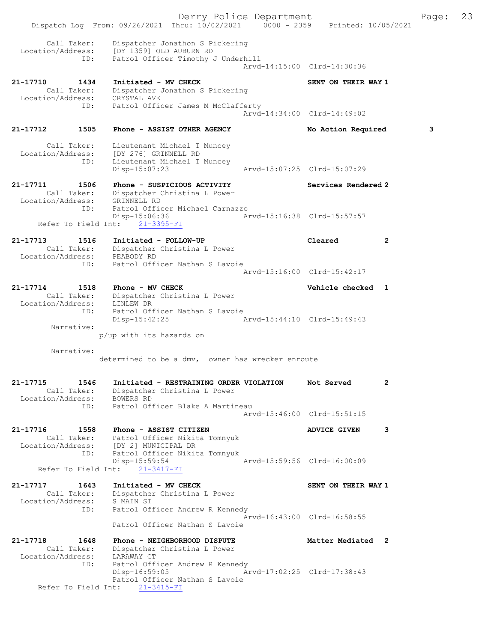Derry Police Department Fage: 23 Dispatch Log From: 09/26/2021 Thru: 10/02/2021 0000 - 2359 Printed: 10/05/2021 Call Taker: Dispatcher Jonathon S Pickering Location/Address: [DY 1359] OLD AUBURN RD ID: Patrol Officer Timothy J Underhill Arvd-14:15:00 Clrd-14:30:36 21-17710 1434 Initiated - MV CHECK SENT ON THEIR WAY 1 Call Taker: Dispatcher Jonathon S Pickering Location/Address: CRYSTAL AVE ID: Patrol Officer James M McClafferty Arvd-14:34:00 Clrd-14:49:02 21-17712 1505 Phone - ASSIST OTHER AGENCY No Action Required 3 Call Taker: Lieutenant Michael T Muncey Location/Address: [DY 276] GRINNELL RD ID: Lieutenant Michael T Muncey Disp-15:07:23 Arvd-15:07:25 Clrd-15:07:29 21-17711 1506 Phone - SUSPICIOUS ACTIVITY 1500 Services Rendered 2 Call Taker: Dispatcher Christina L Power Location/Address: GRINNELL RD ID: Patrol Officer Michael Carnazzo Disp-15:06:36 Arvd-15:16:38 Clrd-15:57:57 Refer To Field Int: 21-3395-FI 21-17713 1516 Initiated - FOLLOW-UP Cleared 2 Call Taker: Dispatcher Christina L Power Location/Address: PEABODY RD ID: Patrol Officer Nathan S Lavoie Arvd-15:16:00 Clrd-15:42:17 21-17714 1518 Phone - MV CHECK 21-17714 Vehicle checked 1 Call Taker: Dispatcher Christina L Power Location/Address: LINLEW DR ID: Patrol Officer Nathan S Lavoie Disp-15:42:25 Arvd-15:44:10 Clrd-15:49:43 Narrative: p/up with its hazards on Narrative: determined to be a dmv, owner has wrecker enroute 21-17715 1546 Initiated - RESTRAINING ORDER VIOLATION Not Served 2 Call Taker: Dispatcher Christina L Power Location/Address: BOWERS RD ID: Patrol Officer Blake A Martineau Arvd-15:46:00 Clrd-15:51:15 21-17716 1558 Phone - ASSIST CITIZEN 1988 ADVICE GIVEN 3 Call Taker: Patrol Officer Nikita Tomnyuk Location/Address: [DY 2] MUNICIPAL DR ID: Patrol Officer Nikita Tomnyuk Disp-15:59:54 Arvd-15:59:56 Clrd-16:00:09 Refer To Field Int: 21-3417-FI 21-17717 1643 Initiated - MV CHECK SENT ON THEIR WAY 1 Call Taker: Dispatcher Christina L Power Location/Address: S MAIN ST ID: Patrol Officer Andrew R Kennedy Arvd-16:43:00 Clrd-16:58:55 Patrol Officer Nathan S Lavoie 21-17718 1648 Phone - NEIGHBORHOOD DISPUTE 1618 Matter Mediated 2 Call Taker: Dispatcher Christina L Power Location/Address: LARAWAY CT ID: Patrol Officer Andrew R Kennedy Disp-16:59:05 Arvd-17:02:25 Clrd-17:38:43 Patrol Officer Nathan S Lavoie Refer To Field Int: 21-3415-FI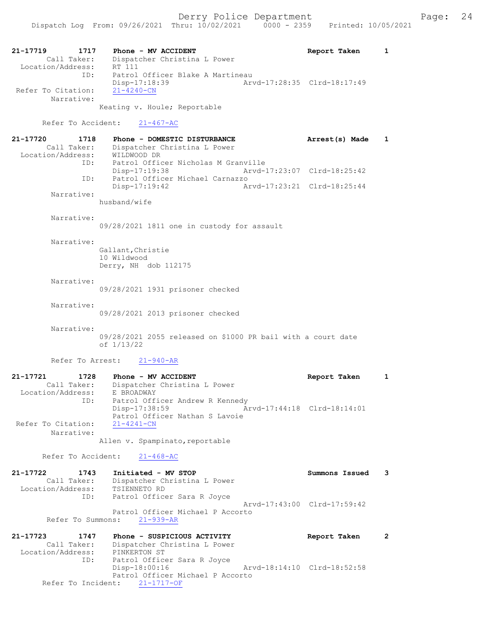21-17719 1717 Phone - MV ACCIDENT Report Taken 1 Call Taker: Dispatcher Christina L Power Location/Address: RT 111 ID: Patrol Officer Blake A Martineau Disp-17:18:39 Arvd-17:28:35 Clrd-18:17:49 Refer To Citation: 21-4240-CN Narrative: Keating v. Houle; Reportable Refer To Accident: 21-467-AC 21-17720 1718 Phone - DOMESTIC DISTURBANCE Arrest(s) Made 1 Call Taker: Dispatcher Christina L Power Location/Address: WILDWOOD DR ID: Patrol Officer Nicholas M Granville Disp-17:19:38 Arvd-17:23:07 Clrd-18:25:42 ID: Patrol Officer Michael Carnazzo<br>Disp-17:19:42 Ar Disp-17:19:42 Arvd-17:23:21 Clrd-18:25:44 Narrative: husband/wife Narrative: 09/28/2021 1811 one in custody for assault Narrative: Gallant,Christie 10 Wildwood Derry, NH dob 112175 Narrative: 09/28/2021 1931 prisoner checked Narrative: 09/28/2021 2013 prisoner checked Narrative: 09/28/2021 2055 released on \$1000 PR bail with a court date of 1/13/22 Refer To Arrest: 21-940-AR 21-17721 1728 Phone - MV ACCIDENT Report Taken 1 Call Taker: Dispatcher Christina L Power Call Taker: Dispatcher Christina L Power Location/Address: E BROADWAY ID: Patrol Officer Andrew R Kennedy Disp-17:38:59 Arvd-17:44:18 Clrd-18:14:01 Patrol Officer Nathan S Lavoie<br>21-4241-CN Refer To Citation: Narrative: Allen v. Spampinato, reportable Refer To Accident: 21-468-AC 21-17722 1743 Initiated - MV STOP Summons Issued 3 Call Taker: Dispatcher Christina L Power Location/Address: TSIENNETO RD ID: Patrol Officer Sara R Joyce Arvd-17:43:00 Clrd-17:59:42 Patrol Officer Michael P Accorto Refer To Summons: 21-939-AR 21-17723 1747 Phone - SUSPICIOUS ACTIVITY Report Taken 2 Call Taker: Dispatcher Christina L Power Location/Address: PINKERTON ST ID: Patrol Officer Sara R Joyce Disp-18:00:16 Arvd-18:14:10 Clrd-18:52:58 Patrol Officer Michael P Accorto Refer To Incident: 21-1717-OF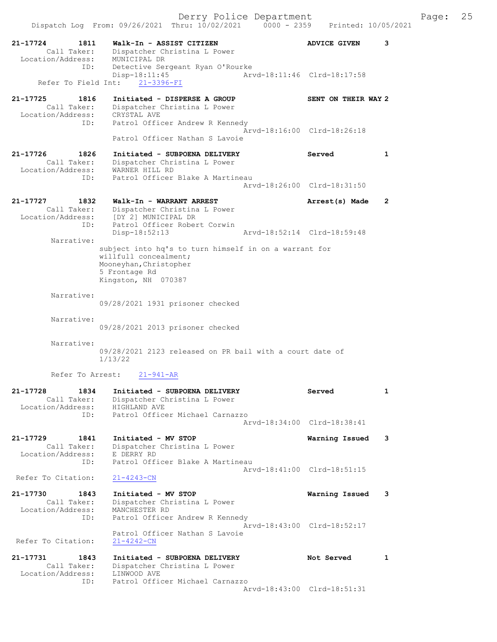|                                                             | Dispatch Log From: 09/26/2021 Thru: 10/02/2021<br>$0000 - 2359$                                                                                  | Printed: 10/05/2021         |                |
|-------------------------------------------------------------|--------------------------------------------------------------------------------------------------------------------------------------------------|-----------------------------|----------------|
| 21-17724<br>1811<br>Call Taker:<br>Location/Address:        | Walk-In - ASSIST CITIZEN<br>Dispatcher Christina L Power<br>MUNICIPAL DR                                                                         | <b>ADVICE GIVEN</b>         | 3              |
| ID:<br>Refer To Field Int:                                  | Detective Sergeant Ryan O'Rourke<br>Disp-18:11:45<br>$21 - 3396 - FI$                                                                            | Arvd-18:11:46 Clrd-18:17:58 |                |
| 21-17725<br>1816<br>Call Taker:<br>Location/Address:        | Initiated - DISPERSE A GROUP<br>Dispatcher Christina L Power<br>CRYSTAL AVE                                                                      | SENT ON THEIR WAY 2         |                |
| ID:                                                         | Patrol Officer Andrew R Kennedy<br>Patrol Officer Nathan S Lavoie                                                                                | Arvd-18:16:00 Clrd-18:26:18 |                |
| 21-17726<br>1826<br>Call Taker:<br>Location/Address:        | Initiated - SUBPOENA DELIVERY<br>Dispatcher Christina L Power<br>WARNER HILL RD                                                                  | Served                      | $\mathbf{1}$   |
| ID:                                                         | Patrol Officer Blake A Martineau                                                                                                                 | Arvd-18:26:00 Clrd-18:31:50 |                |
| 21-17727<br>1832<br>Call Taker:<br>Location/Address:<br>ID: | Walk-In - WARRANT ARREST<br>Dispatcher Christina L Power<br>[DY 2] MUNICIPAL DR<br>Patrol Officer Robert Corwin                                  | Arrest(s) Made              | $\overline{2}$ |
| Narrative:                                                  | Disp-18:52:13                                                                                                                                    | Arvd-18:52:14 Clrd-18:59:48 |                |
|                                                             | subject into hq's to turn himself in on a warrant for<br>willfull concealment;<br>Mooneyhan, Christopher<br>5 Frontage Rd<br>Kingston, NH 070387 |                             |                |
| Narrative:                                                  | 09/28/2021 1931 prisoner checked                                                                                                                 |                             |                |
| Narrative:                                                  | 09/28/2021 2013 prisoner checked                                                                                                                 |                             |                |
| Narrative:<br>Refer To Arrest:                              | 09/28/2021 2123 released on PR bail with a court date of<br>1/13/22<br>$21 - 941 - AR$                                                           |                             |                |
| 1834<br>21-17728<br>Call Taker:<br>Location/Address:        | Initiated - SUBPOENA DELIVERY<br>Dispatcher Christina L Power<br>HIGHLAND AVE                                                                    | Served                      | 1              |
| ID:                                                         | Patrol Officer Michael Carnazzo                                                                                                                  | Arvd-18:34:00 Clrd-18:38:41 |                |
| 21-17729<br>1841<br>Call Taker:<br>Location/Address:        | Initiated - MV STOP<br>Dispatcher Christina L Power<br>E DERRY RD                                                                                | Warning Issued              | 3              |
| ID:<br>Refer To Citation:                                   | Patrol Officer Blake A Martineau<br>$21 - 4243 - CN$                                                                                             | Arvd-18:41:00 Clrd-18:51:15 |                |
| 21-17730<br>1843                                            | Initiated - MV STOP                                                                                                                              | Warning Issued              | 3              |
| Call Taker:<br>Location/Address:<br>ID:                     | Dispatcher Christina L Power<br>MANCHESTER RD<br>Patrol Officer Andrew R Kennedy                                                                 | Arvd-18:43:00 Clrd-18:52:17 |                |
| Refer To Citation:                                          | Patrol Officer Nathan S Lavoie<br>$21 - 4242 - CN$                                                                                               |                             |                |
| 21-17731<br>1843<br>Call Taker:<br>Location/Address:        | Initiated - SUBPOENA DELIVERY<br>Dispatcher Christina L Power<br>LINWOOD AVE                                                                     | Not Served                  | 1              |
| ID:                                                         | Patrol Officer Michael Carnazzo                                                                                                                  | Arvd-18:43:00 Clrd-18:51:31 |                |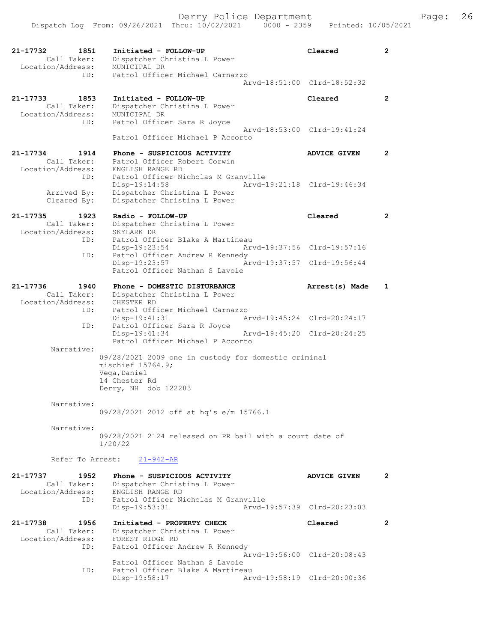|                                                                       | Derry Police Department<br>Dispatch Log From: 09/26/2021 Thru: 10/02/2021 0000 - 2359 Printed: 10/05/2021              |                             |                | Page: | 26 |
|-----------------------------------------------------------------------|------------------------------------------------------------------------------------------------------------------------|-----------------------------|----------------|-------|----|
| 21-17732<br>1851<br>Location/Address: MUNICIPAL DR                    | Initiated - FOLLOW-UP<br>Call Taker: Dispatcher Christina L Power                                                      | Cleared                     | $\overline{2}$ |       |    |
| ID:                                                                   | Patrol Officer Michael Carnazzo                                                                                        | Arvd-18:51:00 Clrd-18:52:32 |                |       |    |
| 21-17733 1853<br>Location/Address: MUNICIPAL DR                       | Initiated - FOLLOW-UP<br>Call Taker: Dispatcher Christina L Power                                                      | Cleared                     | $\overline{2}$ |       |    |
| ID:                                                                   | Patrol Officer Sara R Joyce<br>Patrol Officer Michael P Accorto                                                        | Arvd-18:53:00 Clrd-19:41:24 |                |       |    |
| 21-17734<br>1914<br>Call Taker:<br>Location/Address: ENGLISH RANGE RD | Phone - SUSPICIOUS ACTIVITY<br>Patrol Officer Robert Corwin                                                            | <b>ADVICE GIVEN</b>         | $\overline{2}$ |       |    |
| ID:<br>Arrived By:<br>Cleared By:                                     | Patrol Officer Nicholas M Granville<br>$Disp-19:14:58$<br>Dispatcher Christina L Power<br>Dispatcher Christina L Power | Arvd-19:21:18 Clrd-19:46:34 |                |       |    |
| 21-17735<br>1923                                                      | Radio - FOLLOW-UP                                                                                                      | Cleared                     | $\overline{2}$ |       |    |
| Call Taker:<br>Location/Address:<br>ID:                               | Dispatcher Christina L Power<br>SKYLARK DR<br>Patrol Officer Blake A Martineau                                         |                             |                |       |    |
|                                                                       | Disp-19:23:54                                                                                                          | Arvd-19:37:56 Clrd-19:57:16 |                |       |    |
| ID:                                                                   | Patrol Officer Andrew R Kennedy<br>Disp-19:23:57<br>Patrol Officer Nathan S Lavoie                                     | Arvd-19:37:57 Clrd-19:56:44 |                |       |    |
| 21-17736<br>1940                                                      | Phone - DOMESTIC DISTURBANCE                                                                                           | Arrest(s) Made 1            |                |       |    |
| Call Taker:<br>Location/Address:<br>ID:                               | Dispatcher Christina L Power<br>CHESTER RD<br>Patrol Officer Michael Carnazzo                                          |                             |                |       |    |
| ID:                                                                   | Disp-19:41:31<br>Patrol Officer Sara R Joyce                                                                           | Arvd-19:45:24 Clrd-20:24:17 |                |       |    |
|                                                                       | Disp-19:41:34<br>Patrol Officer Michael P Accorto                                                                      | Arvd-19:45:20 Clrd-20:24:25 |                |       |    |
| Narrative:                                                            | . <i>. .</i>                                                                                                           |                             |                |       |    |

09/28/2021 2009 one in custody for domestic criminal mischief 15764.9; Vega,Daniel 14 Chester Rd Derry, NH dob 122283

 Narrative: 09/28/2021 2012 off at hq's e/m 15766.1

 Narrative: 09/28/2021 2124 released on PR bail with a court date of 1/20/22

Refer To Arrest: 21-942-AR

| 21-17737<br>Location/Address: | 1952<br>Call Taker:<br>ID: | Phone - SUSPICIOUS ACTIVITY<br>Dispatcher Christina L Power<br>ENGLISH RANGE RD<br>Patrol Officer Nicholas M Granville | <b>ADVICE GIVEN</b>                                        | 2 |
|-------------------------------|----------------------------|------------------------------------------------------------------------------------------------------------------------|------------------------------------------------------------|---|
|                               |                            | Disp-19:53:31                                                                                                          | Arvd-19:57:39 Clrd-20:23:03                                |   |
| 21-17738<br>Location/Address: | 1956<br>Call Taker:<br>ID: | Initiated - PROPERTY CHECK<br>Dispatcher Christina L Power<br>FOREST RIDGE RD<br>Patrol Officer Andrew R Kennedy       | Cleared                                                    |   |
|                               | ID:                        | Patrol Officer Nathan S Lavoie<br>Patrol Officer Blake A Martineau<br>$Disp-19:58:17$                                  | Arvd-19:56:00 Clrd-20:08:43<br>Arvd-19:58:19 Clrd-20:00:36 |   |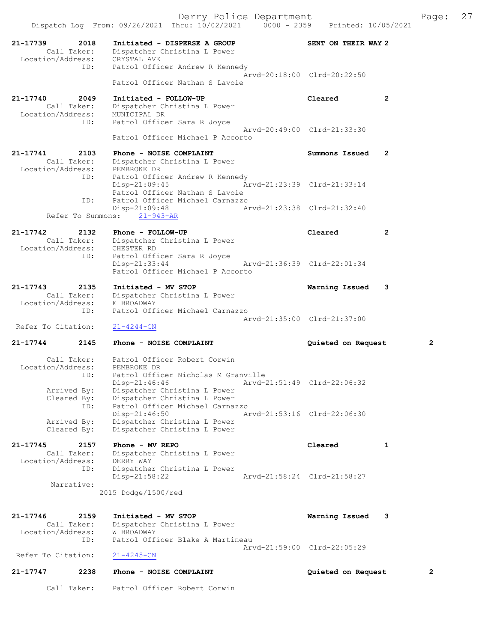|                               |                                           | Derry Police Department<br>Dispatch Log From: 09/26/2021 Thru: 10/02/2021 0000 - 2359 Printed: 10/05/2021                                                                 |                             | 27<br>Page:    |
|-------------------------------|-------------------------------------------|---------------------------------------------------------------------------------------------------------------------------------------------------------------------------|-----------------------------|----------------|
| 21-17739                      | 2018                                      | Initiated - DISPERSE A GROUP<br>Call Taker: Dispatcher Christina L Power                                                                                                  | SENT ON THEIR WAY 2         |                |
|                               | ID:                                       | Location/Address: CRYSTAL AVE<br>ID: Patrol Offic<br>Patrol Officer Andrew R Kennedy<br>Patrol Officer Nathan S Lavoie                                                    | Arvd-20:18:00 Clrd-20:22:50 |                |
| 21-17740                      | 2049<br>Call Taker:                       | Initiated - FOLLOW-UP<br>Dispatcher Christina L Power                                                                                                                     | Cleared<br>2                |                |
| Location/Address:             | ID:                                       | MUNICIPAL DR<br>Patrol Officer Sara R Joyce                                                                                                                               | Arvd-20:49:00 Clrd-21:33:30 |                |
|                               |                                           | Patrol Officer Michael P Accorto                                                                                                                                          |                             |                |
| 21-17741                      | 2103<br>Call Taker:                       | Phone - NOISE COMPLAINT<br>Dispatcher Christina L Power                                                                                                                   | Summons Issued<br>2         |                |
|                               | ID:                                       | Location/Address: PEMBROKE DR<br>Patrol Officer Andrew R Kennedy<br>Disp-21:09:45<br>Patrol Officer Nathan S Lavoie                                                       | Arvd-21:23:39 Clrd-21:33:14 |                |
|                               | ID:<br>Refer To Summons:                  | Patrol Officer Michael Carnazzo<br>Disp-21:09:48<br>Arvd-21:23:38 Clrd-21:32:40<br>$21 - 943 - AR$                                                                        |                             |                |
| 21-17742<br>Location/Address: | 2132                                      | Phone - FOLLOW-UP<br>Call Taker: Dispatcher Christina L Power<br>CHESTER RD                                                                                               | Cleared<br>$\overline{2}$   |                |
|                               | ID:                                       | Patrol Officer Sara R Joyce<br>Disp-21:33:44 Arvd-21:36:39 Clrd-22:01:34<br>Patrol Officer Michael P Accorto                                                              |                             |                |
| 21-17743                      | 2135                                      | Initiated - MV STOP<br>Call Taker: Dispatcher Christina L Power                                                                                                           | Warning Issued<br>3         |                |
|                               | ID:                                       | Location/Address: E BROADWAY<br>Patrol Officer Michael Carnazzo                                                                                                           | Arvd-21:35:00 Clrd-21:37:00 |                |
| Refer To Citation:            |                                           | $21 - 4244 - CN$                                                                                                                                                          |                             |                |
| 21-17744                      | 2145                                      | Phone - NOISE COMPLAINT                                                                                                                                                   | Quieted on Request          | $\overline{2}$ |
| Location/Address:             | Call Taker:<br>Arrived By:<br>Cleared By: | Patrol Officer Robert Corwin<br>PEMBROKE DR<br>ID: Patrol Officer Nicholas M Granville<br>$Disp-21:46:46$<br>Dispatcher Christina L Power<br>Dispatcher Christina L Power | Arvd-21:51:49 Clrd-22:06:32 |                |
|                               | ID:<br>Arrived By:<br>Cleared By:         | Patrol Officer Michael Carnazzo<br>Disp-21:46:50<br>Dispatcher Christina L Power<br>Dispatcher Christina L Power                                                          | Arvd-21:53:16 Clrd-22:06:30 |                |
| $21 - 17745$                  | 2157                                      | Phone - MV REPO                                                                                                                                                           | Cleared<br>1                |                |
| Location/Address:             | Call Taker:<br>ID:                        | Dispatcher Christina L Power<br>DERRY WAY<br>Dispatcher Christina L Power<br>$Disp-21:58:22$                                                                              | Arvd-21:58:24 Clrd-21:58:27 |                |
|                               | Narrative:                                | 2015 Dodge/1500/red                                                                                                                                                       |                             |                |
| 21-17746<br>Location/Address: | 2159<br>Call Taker:                       | Initiated - MV STOP<br>Dispatcher Christina L Power<br>W BROADWAY                                                                                                         | Warning Issued<br>3         |                |
| Refer To Citation:            | ID:                                       | Patrol Officer Blake A Martineau<br>$21 - 4245 - CN$                                                                                                                      | Arvd-21:59:00 Clrd-22:05:29 |                |
| 21-17747                      | 2238                                      | Phone - NOISE COMPLAINT                                                                                                                                                   | Quieted on Request          | $\overline{2}$ |

Call Taker: Patrol Officer Robert Corwin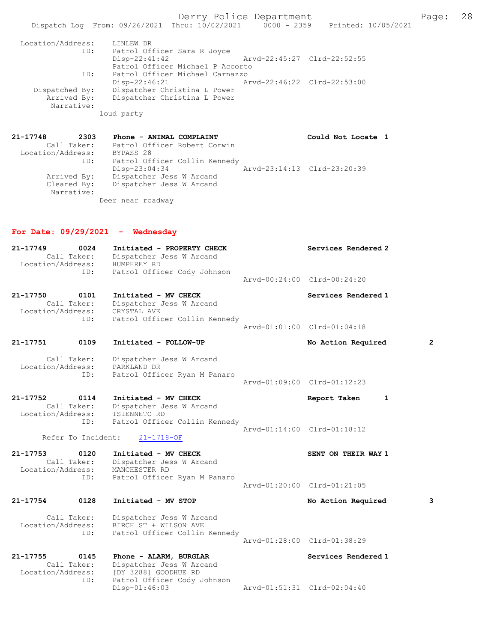Derry Police Department Page: 28

|                   | Dispatch Log From: 09/26/2021 Thru: 10/02/2021 | $0000 - 2359$               | Printed: 10/05/2021 |
|-------------------|------------------------------------------------|-----------------------------|---------------------|
|                   |                                                |                             |                     |
| Location/Address: | LINLEW DR                                      |                             |                     |
| ID:               | Patrol Officer Sara R Joyce                    |                             |                     |
|                   | $Disp-22:41:42$                                | Arvd-22:45:27 Clrd-22:52:55 |                     |
|                   | Patrol Officer Michael P Accorto               |                             |                     |
| ID:               | Patrol Officer Michael Carnazzo                |                             |                     |
|                   | $Disp-22:46:21$                                | Arvd-22:46:22 Clrd-22:53:00 |                     |
| Dispatched By:    | Dispatcher Christina L Power                   |                             |                     |
| Arrived By:       | Dispatcher Christina L Power                   |                             |                     |
| Narrative:        |                                                |                             |                     |
|                   | loud party                                     |                             |                     |

#### 21-17748 2303 Phone - ANIMAL COMPLAINT Could Not Locate 1 Call Taker: Patrol Officer Robert Corwin Location/Address: BYPASS 28 ID: Patrol Officer Collin Kennedy Disp-23:04:34 Arvd-23:14:13 Clrd-23:20:39 Arrived By: Dispatcher Jess W Arcand Cleared By: Dispatcher Jess W Arcand Narrative: Deer near roadway

# For Date: 09/29/2021 - Wednesday

| 21-17749<br>Location/Address: | 0024<br>Call Taker:<br>ID: | Initiated - PROPERTY CHECK<br>Dispatcher Jess W Arcand<br>HUMPHREY RD<br>Patrol Officer Cody Johnson      | Services Rendered 2         |   |
|-------------------------------|----------------------------|-----------------------------------------------------------------------------------------------------------|-----------------------------|---|
|                               |                            |                                                                                                           | Arvd-00:24:00 Clrd-00:24:20 |   |
| 21-17750<br>Location/Address: | 0101<br>Call Taker:<br>ID: | Initiated - MV CHECK<br>Dispatcher Jess W Arcand<br>CRYSTAL AVE<br>Patrol Officer Collin Kennedy          | Services Rendered 1         |   |
|                               |                            |                                                                                                           | Arvd-01:01:00 Clrd-01:04:18 |   |
| 21-17751                      | 0109                       | Initiated - FOLLOW-UP                                                                                     | No Action Required          | 2 |
| Location/Address:             | Call Taker:<br>ID:         | Dispatcher Jess W Arcand<br>PARKLAND DR<br>Patrol Officer Ryan M Panaro                                   |                             |   |
|                               |                            |                                                                                                           | Arvd-01:09:00 Clrd-01:12:23 |   |
| 21-17752<br>Location/Address: | 0114<br>Call Taker:        | Initiated - MV CHECK<br>Dispatcher Jess W Arcand<br>TSIENNETO RD                                          | Report Taken<br>1           |   |
|                               | ID:                        | Patrol Officer Collin Kennedy                                                                             | Arvd-01:14:00 Clrd-01:18:12 |   |
|                               | Refer To Incident:         | $21 - 1718 - OF$                                                                                          |                             |   |
| 21-17753<br>Location/Address: | 0120<br>Call Taker:<br>ID: | Initiated - MV CHECK<br>Dispatcher Jess W Arcand<br>MANCHESTER RD<br>Patrol Officer Ryan M Panaro         | SENT ON THEIR WAY 1         |   |
|                               |                            |                                                                                                           | Arvd-01:20:00 Clrd-01:21:05 |   |
| 21-17754                      | 0128                       | Initiated - MV STOP                                                                                       | No Action Required          | 3 |
| Location/Address:             | Call Taker:<br>ID:         | Dispatcher Jess W Arcand<br>BIRCH ST + WILSON AVE<br>Patrol Officer Collin Kennedy                        |                             |   |
|                               |                            |                                                                                                           | Arvd-01:28:00 Clrd-01:38:29 |   |
| 21-17755<br>Location/Address: | 0145<br>Call Taker:<br>ID: | Phone - ALARM, BURGLAR<br>Dispatcher Jess W Arcand<br>[DY 3288] GOODHUE RD<br>Patrol Officer Cody Johnson | Services Rendered 1         |   |
|                               |                            | Disp-01:46:03                                                                                             | Arvd-01:51:31 Clrd-02:04:40 |   |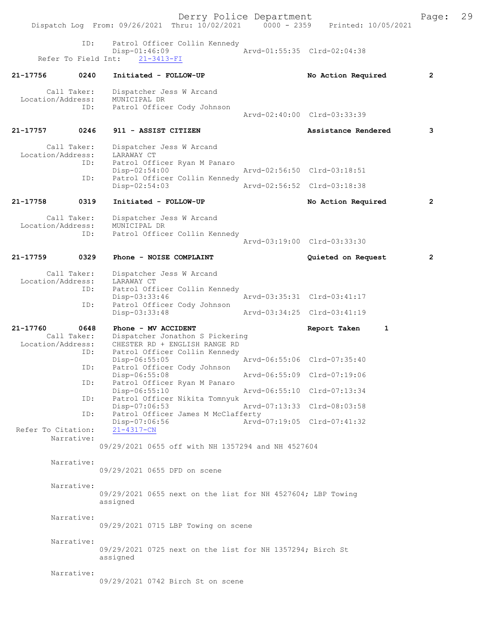|                     |             | Dispatch Log From: 09/26/2021 Thru: 10/02/2021 0000 - 2359              | Derry Police Department     | Printed: 10/05/2021         | Page:        | 29 |
|---------------------|-------------|-------------------------------------------------------------------------|-----------------------------|-----------------------------|--------------|----|
|                     | ID:         | Patrol Officer Collin Kennedy<br>$Disp-01:46:09$                        |                             | Arvd-01:55:35 Clrd-02:04:38 |              |    |
| Refer To Field Int: |             | $21 - 3413 - FI$                                                        |                             |                             |              |    |
| 21-17756            | 0240        | Initiated - FOLLOW-UP                                                   |                             | No Action Required          | $\mathbf{2}$ |    |
| Location/Address:   | Call Taker: | Dispatcher Jess W Arcand<br>MUNICIPAL DR                                |                             |                             |              |    |
|                     | ID:         | Patrol Officer Cody Johnson                                             |                             | Arvd-02:40:00 Clrd-03:33:39 |              |    |
| 21-17757            | 0246        | 911 - ASSIST CITIZEN                                                    |                             | Assistance Rendered         | 3            |    |
|                     | Call Taker: | Dispatcher Jess W Arcand                                                |                             |                             |              |    |
| Location/Address:   |             | LARAWAY CT                                                              |                             |                             |              |    |
|                     | ID:         | Patrol Officer Ryan M Panaro<br>$Disp-02:54:00$                         |                             | Arvd-02:56:50 Clrd-03:18:51 |              |    |
|                     | ID:         | Patrol Officer Collin Kennedy<br>$Disp-02:54:03$                        |                             | Arvd-02:56:52 Clrd-03:18:38 |              |    |
| 21-17758            | 0319        | Initiated - FOLLOW-UP                                                   |                             | No Action Required          | 2            |    |
|                     |             |                                                                         |                             |                             |              |    |
| Location/Address:   | Call Taker: | Dispatcher Jess W Arcand<br>MUNICIPAL DR                                |                             |                             |              |    |
|                     | ID:         | Patrol Officer Collin Kennedy                                           |                             | Arvd-03:19:00 Clrd-03:33:30 |              |    |
| 21-17759            | 0329        | Phone - NOISE COMPLAINT                                                 |                             |                             | 2            |    |
|                     |             |                                                                         |                             | Quieted on Request          |              |    |
| Location/Address:   | Call Taker: | Dispatcher Jess W Arcand<br>LARAWAY CT                                  |                             |                             |              |    |
|                     | ID:         | Patrol Officer Collin Kennedy                                           |                             |                             |              |    |
|                     | ID:         | Disp-03:33:46<br>Patrol Officer Cody Johnson                            |                             | Arvd-03:35:31 Clrd-03:41:17 |              |    |
|                     |             | Disp-03:33:48                                                           |                             | Arvd-03:34:25 Clrd-03:41:19 |              |    |
| 21-17760            | 0648        | Phone - MV ACCIDENT                                                     |                             | Report Taken<br>1           |              |    |
| Location/Address:   | Call Taker: | Dispatcher Jonathon S Pickering<br>CHESTER RD + ENGLISH RANGE RD        |                             |                             |              |    |
|                     | ID:         | Patrol Officer Collin Kennedy<br>$Disp-06:55:05$                        |                             | Arvd-06:55:06 Clrd-07:35:40 |              |    |
|                     | ID:         | Patrol Officer Cody Johnson                                             |                             |                             |              |    |
|                     | ID:         | Disp-06:55:08<br>Patrol Officer Ryan M Panaro                           | Arvd-06:55:09 Clrd-07:19:06 |                             |              |    |
|                     | ID:         | Disp-06:55:10<br>Patrol Officer Nikita Tomnyuk                          |                             | Arvd-06:55:10 Clrd-07:13:34 |              |    |
|                     |             | Disp-07:06:53                                                           |                             | Arvd-07:13:33 Clrd-08:03:58 |              |    |
|                     | ID:         | Patrol Officer James M McClafferty<br>Disp-07:06:56                     |                             | Arvd-07:19:05 Clrd-07:41:32 |              |    |
| Refer To Citation:  | Narrative:  | $21 - 4317 - CN$                                                        |                             |                             |              |    |
|                     |             | 09/29/2021 0655 off with NH 1357294 and NH 4527604                      |                             |                             |              |    |
|                     | Narrative:  |                                                                         |                             |                             |              |    |
|                     |             | 09/29/2021 0655 DFD on scene                                            |                             |                             |              |    |
|                     | Narrative:  |                                                                         |                             |                             |              |    |
|                     |             | 09/29/2021 0655 next on the list for NH 4527604; LBP Towing<br>assigned |                             |                             |              |    |
|                     | Narrative:  |                                                                         |                             |                             |              |    |
|                     |             | 09/29/2021 0715 LBP Towing on scene                                     |                             |                             |              |    |
|                     | Narrative:  |                                                                         |                             |                             |              |    |
|                     |             | 09/29/2021 0725 next on the list for NH 1357294; Birch St<br>assigned   |                             |                             |              |    |
|                     |             |                                                                         |                             |                             |              |    |
|                     | Narrative:  | 09/29/2021 0742 Birch St on scene                                       |                             |                             |              |    |
|                     |             |                                                                         |                             |                             |              |    |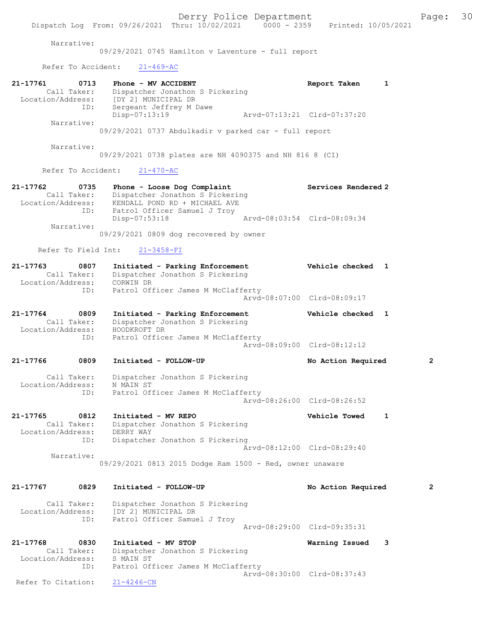Derry Police Department Form Page: 30 Dispatch Log From: 09/26/2021 Thru: 10/02/2021 0000 - 2359 Printed: 10/05/2021 Narrative: 09/29/2021 0745 Hamilton v Laventure - full report Refer To Accident: 21-469-AC 21-17761 0713 Phone - MV ACCIDENT CONSIDERT Report Taken 1 Call Taker: Dispatcher Jonathon S Pickering Location/Address: [DY 2] MUNICIPAL DR ID: Sergeant Jeffrey M Dawe<br>Disp-07:13:19 Disp-07:13:19 Arvd-07:13:21 Clrd-07:37:20 Narrative: 09/29/2021 0737 Abdulkadir v parked car - full report Narrative: 09/29/2021 0738 plates are NH 4090375 and NH 816 8 (CI) Refer To Accident: 21-470-AC 21-17762 0735 Phone - Loose Dog Complaint Services Rendered 2 Call Taker: Dispatcher Jonathon S Pickering Location/Address: KENDALL POND RD + MICHAEL AVE ID: Patrol Officer Samuel J Troy<br>Disp-07:53:18 Arvd-08:03:54 Clrd-08:09:34 Narrative: 09/29/2021 0809 dog recovered by owner Refer To Field Int: 21-3458-FI 21-17763 0807 Initiated - Parking Enforcement Vehicle checked 1 Call Taker: Dispatcher Jonathon S Pickering<br>ion/Address: CORWIN DR Location/Address: ID: Patrol Officer James M McClafferty Arvd-08:07:00 Clrd-08:09:17 21-17764 0809 Initiated - Parking Enforcement Vehicle checked 1 Call Taker: Dispatcher Jonathon S Pickering Location/Address: HOODKROFT DR ID: Patrol Officer James M McClafferty Arvd-08:09:00 Clrd-08:12:12 21-17766 0809 Initiated - FOLLOW-UP No Action Required 2 Call Taker: Dispatcher Jonathon S Pickering<br>ion/Address: N MAIN ST Location/Address: ID: Patrol Officer James M McClafferty Arvd-08:26:00 Clrd-08:26:52 21-17765 0812 Initiated - MV REPO Vehicle Towed 1 Call Taker: Dispatcher Jonathon S Pickering Location/Address: DERRY WAY ID: Dispatcher Jonathon S Pickering Arvd-08:12:00 Clrd-08:29:40 Narrative: 09/29/2021 0813 2015 Dodge Ram 1500 - Red, owner unaware 21-17767 0829 Initiated - FOLLOW-UP No Action Required 2 Call Taker: Dispatcher Jonathon S Pickering Location/Address: [DY 2] MUNICIPAL DR ID: Patrol Officer Samuel J Troy Arvd-08:29:00 Clrd-09:35:31 21-17768 0830 Initiated - MV STOP Warning Issued 3 Call Taker: Dispatcher Jonathon S Pickering Location/Address: S MAIN ST ID: Patrol Officer James M McClafferty Arvd-08:30:00 Clrd-08:37:43<br>21-4246-CN Refer To Citation: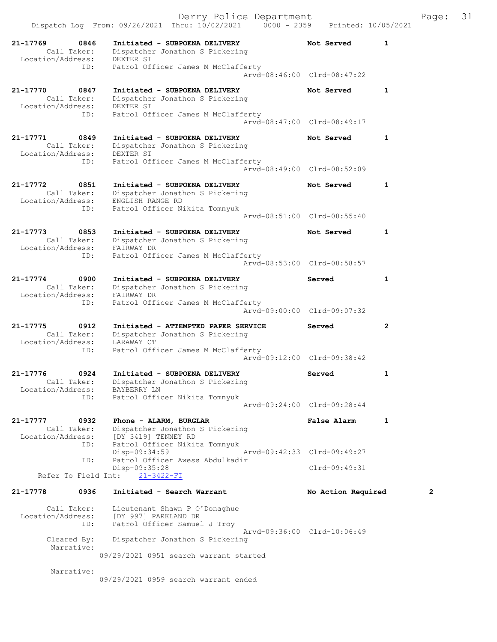|                               |                            | Dispatch Log From: 09/26/2021 Thru: 10/02/2021<br>$0000 - 2359$                                                       | Printed: 10/05/2021         |                |
|-------------------------------|----------------------------|-----------------------------------------------------------------------------------------------------------------------|-----------------------------|----------------|
| 21-17769<br>Location/Address: | 0846<br>Call Taker:        | Initiated - SUBPOENA DELIVERY<br>Dispatcher Jonathon S Pickering<br>DEXTER ST                                         | Not Served                  | 1              |
|                               | ID:                        | Patrol Officer James M McClafferty                                                                                    | Aryd-08:46:00 Clrd-08:47:22 |                |
| 21-17770<br>Location/Address: | 0847<br>Call Taker:        | Initiated - SUBPOENA DELIVERY<br>Dispatcher Jonathon S Pickering<br>DEXTER ST                                         | Not Served                  | 1              |
|                               | ID:                        | Patrol Officer James M McClafferty                                                                                    | Aryd-08:47:00 Clrd-08:49:17 |                |
| 21-17771<br>Location/Address: | 0849<br>Call Taker:        | Initiated - SUBPOENA DELIVERY<br>Dispatcher Jonathon S Pickering<br>DEXTER ST                                         | Not Served                  | 1              |
|                               | ID:                        | Patrol Officer James M McClafferty                                                                                    | Arvd-08:49:00 Clrd-08:52:09 |                |
| 21-17772<br>Location/Address: | 0851<br>Call Taker:<br>ID: | Initiated - SUBPOENA DELIVERY<br>Dispatcher Jonathon S Pickering<br>ENGLISH RANGE RD<br>Patrol Officer Nikita Tomnyuk | Not Served                  | 1              |
|                               |                            |                                                                                                                       | Arvd-08:51:00 Clrd-08:55:40 |                |
| 21-17773<br>Location/Address: | 0853<br>Call Taker:        | Initiated - SUBPOENA DELIVERY<br>Dispatcher Jonathon S Pickering<br>FAIRWAY DR                                        | Not Served                  | 1              |
|                               | ID:                        | Patrol Officer James M McClafferty                                                                                    | Arvd-08:53:00 Clrd-08:58:57 |                |
| 21-17774<br>Location/Address: | 0900<br>Call Taker:        | Initiated - SUBPOENA DELIVERY<br>Dispatcher Jonathon S Pickering<br>FAIRWAY DR                                        | Served                      | $\mathbf{1}$   |
|                               | ID:                        | Patrol Officer James M McClafferty                                                                                    | Arvd-09:00:00 Clrd-09:07:32 |                |
| 21-17775<br>Location/Address: | 0912<br>Call Taker:        | Initiated - ATTEMPTED PAPER SERVICE<br>Dispatcher Jonathon S Pickering<br>LARAWAY CT                                  | Served                      | $\overline{2}$ |
|                               | ID:                        | Patrol Officer James M McClafferty                                                                                    | Arvd-09:12:00 Clrd-09:38:42 |                |
| 21-17776<br>Location/Address: | 0924<br>Call Taker:<br>ID: | Initiated - SUBPOENA DELIVERY<br>Dispatcher Jonathon S Pickering<br>BAYBERRY LN<br>Patrol Officer Nikita Tomnyuk      | Served                      | 1              |
|                               |                            |                                                                                                                       | Arvd-09:24:00 Clrd-09:28:44 |                |
| 21-17777<br>Location/Address: | 0932<br>Call Taker:<br>ID: | Phone - ALARM, BURGLAR<br>Dispatcher Jonathon S Pickering<br>[DY 3419] TENNEY RD<br>Patrol Officer Nikita Tomnyuk     | False Alarm                 | 1              |
|                               |                            | Disp-09:34:59<br>Patrol Officer Awess Abdulkadir                                                                      | Arvd-09:42:33 Clrd-09:49:27 |                |
|                               | ID:<br>Refer To Field Int: | $Disp-09:35:28$<br>$21 - 3422 - FI$                                                                                   | Clrd-09:49:31               |                |
| 21-17778                      | 0936                       | Initiated - Search Warrant                                                                                            | No Action Required          | 2              |
|                               | Call Taker:                |                                                                                                                       |                             |                |
| Location/Address:             | ID:                        | Lieutenant Shawn P O'Donaghue<br>[DY 997] PARKLAND DR<br>Patrol Officer Samuel J Troy                                 | Arvd-09:36:00 Clrd-10:06:49 |                |
|                               | Cleared By:<br>Narrative:  | Dispatcher Jonathon S Pickering<br>09/29/2021 0951 search warrant started                                             |                             |                |
|                               | Narrative:                 |                                                                                                                       |                             |                |

09/29/2021 0959 search warrant ended

Derry Police Department Fage: 31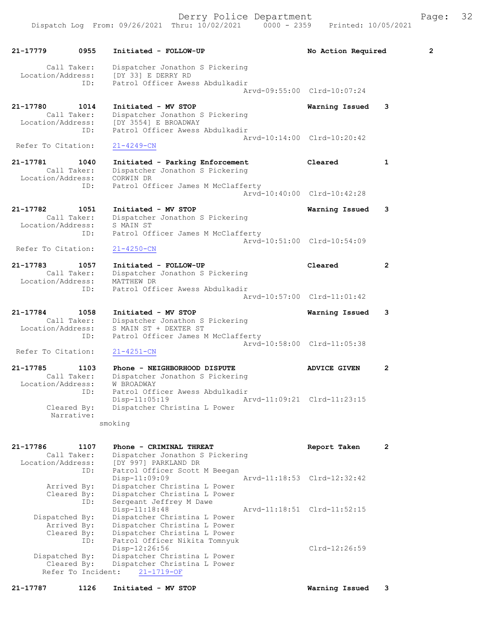21-17779 0955 Initiated - FOLLOW-UP No Action Required 2 Call Taker: Dispatcher Jonathon S Pickering Location/Address: [DY 33] E DERRY RD ID: Patrol Officer Awess Abdulkadir Arvd-09:55:00 Clrd-10:07:24 21-17780 1014 Initiated - MV STOP Warning Issued 3 Call Taker: Dispatcher Jonathon S Pickering Location/Address: [DY 3554] E BROADWAY ID: Patrol Officer Awess Abdulkadir Arvd-10:14:00 Clrd-10:20:42<br>21-4249-CN Refer To Citation: 21-17781 1040 Initiated - Parking Enforcement Cleared 1 Call Taker: Dispatcher Jonathon S Pickering Location/Address: CORWIN DR ID: Patrol Officer James M McClafferty Arvd-10:40:00 Clrd-10:42:28 21-17782 1051 Initiated - MV STOP Warning Issued 3 Call Taker: Dispatcher Jonathon S Pickering Location/Address: S MAIN ST ID: Patrol Officer James M McClafferty Arvd-10:51:00 Clrd-10:54:09 Refer To Citation: 21-4250-CN 21-17783 1057 Initiated - FOLLOW-UP Cleared 2 Call Taker: Dispatcher Jonathon S Pickering Location/Address: MATTHEW DR ID: Patrol Officer Awess Abdulkadir Arvd-10:57:00 Clrd-11:01:42 21-17784 1058 Initiated - MV STOP Warning Issued 3 Call Taker: Dispatcher Jonathon S Pickering Location/Address: S MAIN ST + DEXTER ST ID: Patrol Officer James M McClafferty Arvd-10:58:00 Clrd-11:05:38<br>21-4251-CN Refer To Citation: 21-17785 1103 Phone - NEIGHBORHOOD DISPUTE ADVICE GIVEN 2 Call Taker: Dispatcher Jonathon S Pickering Location/Address: W BROADWAY ID: Patrol Officer Awess Abdulkadir Disp-11:05:19 Arvd-11:09:21 Clrd-11:23:15<br>Cleared By: Dispatcher Christina L Power Dispatcher Christina L Power Narrative: smoking 21-17786 1107 Phone - CRIMINAL THREAT Report Taken 2 Call Taker: Dispatcher Jonathon S Pickering Location/Address: [DY 997] PARKLAND DR ID: Patrol Officer Scott M Beegan Disp-11:09:09 Arvd-11:18:53 Clrd-12:32:42 Arrived By: Dispatcher Christina L Power Cleared By: Dispatcher Christina L Power ID: Sergeant Jeffrey M Dawe Disp-11:18:48 Arvd-11:18:51 Clrd-11:52:15 Dispatched By: Dispatcher Christina L Power Arrived By: Dispatcher Christina L Power Cleared By: Dispatcher Christina L Power ID: Patrol Officer Nikita Tomnyuk Disp-12:26:56 Clrd-12:26:59 Dispatched By: Dispatcher Christina L Power Cleared By: Dispatcher Christina L Power Refer To Incident: 21-1719-OF 21-17787 1126 Initiated - MV STOP Warning Issued 3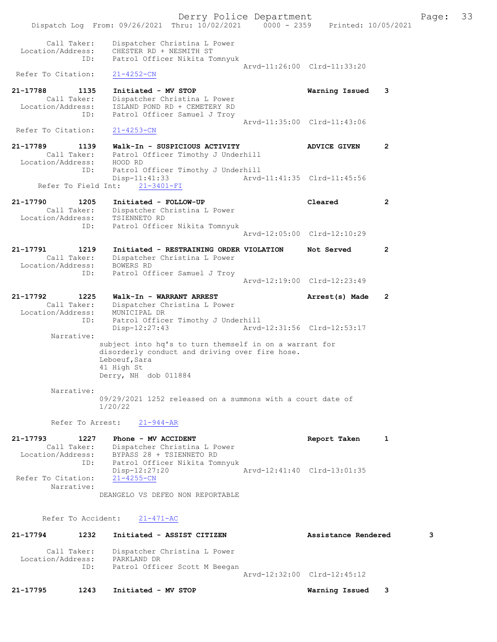Derry Police Department Fage: 33 Dispatch Log From: 09/26/2021 Thru: 10/02/2021 0000 - 2359 Printed: 10/05/2021 Call Taker: Dispatcher Christina L Power Location/Address: CHESTER RD + NESMITH ST<br>ID: Patrol Officer Nikita Theory Patrol Officer Nikita Tomnyuk Arvd-11:26:00 Clrd-11:33:20<br>21-4252-CN Refer To Citation: 21-17788 1135 Initiated - MV STOP Warning Issued 3 Call Taker: Dispatcher Christina L Power Location/Address: ISLAND POND RD + CEMETERY RD ID: Patrol Officer Samuel J Troy Arvd-11:35:00 Clrd-11:43:06 Refer To Citation: 21-4253-CN 21-17789 1139 Walk-In - SUSPICIOUS ACTIVITY ADVICE GIVEN 2 Call Taker: Patrol Officer Timothy J Underhill<br>cion/Address: HOOD RD Location/Address: ID: Patrol Officer Timothy J Underhill<br>Disp-11:41:33 Arvd-Arvd-11:41:35 Clrd-11:45:56 Refer To Field Int: 21-3401-FI 21-17790 1205 Initiated - FOLLOW-UP Cleared 2 Call Taker: Dispatcher Christina L Power Location/Address: TSIENNETO RD ID: Patrol Officer Nikita Tomnyuk Arvd-12:05:00 Clrd-12:10:29 21-17791 1219 Initiated - RESTRAINING ORDER VIOLATION Not Served 2 Call Taker: Dispatcher Christina L Power<br>tion/Address: BOWERS RD Location/Address:<br>ID: Patrol Officer Samuel J Troy Arvd-12:19:00 Clrd-12:23:49 21-17792 1225 Walk-In - WARRANT ARREST Arrest(s) Made 2 Call Taker: Dispatcher Christina L Power Location/Address: MUNICIPAL DR ID: Patrol Officer Timothy J Underhill Disp-12:27:43 Arvd-12:31:56 Clrd-12:53:17 Narrative: subject into hq's to turn themself in on a warrant for disorderly conduct and driving over fire hose. Leboeuf, Sara 41 High St Derry, NH dob 011884 Narrative: 09/29/2021 1252 released on a summons with a court date of 1/20/22 Refer To Arrest: 21-944-AR 21-17793 1227 Phone - MV ACCIDENT **Report Taken** 1 Call Taker: Dispatcher Christina L Power Location/Address: BYPASS 28 + TSIENNETO RD ID: Patrol Officer Nikita Tomnyuk Disp-12:27:20 Arvd-12:41:40 Clrd-13:01:35 Refer To Citation: 21-4255-CN Narrative: DEANGELO VS DEFEO NON REPORTABLE Refer To Accident: 21-471-AC 21-17794 1232 Initiated - ASSIST CITIZEN Assistance Rendered 3 Call Taker: Dispatcher Christina L Power Location/Address: PARKLAND DR ID: Patrol Officer Scott M Beegan Arvd-12:32:00 Clrd-12:45:12

21-17795 1243 Initiated - MV STOP Warning Issued 3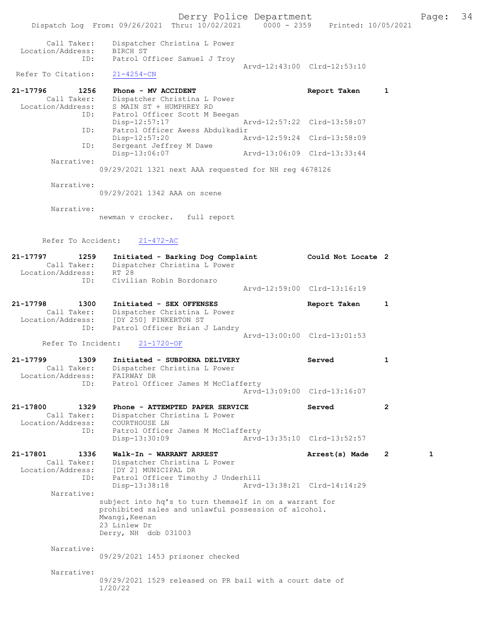Derry Police Department Fage: 34 Dispatch Log From: 09/26/2021 Thru: 10/02/2021 0000 - 2359 Printed: 10/05/2021 Call Taker: Dispatcher Christina L Power Location/Address: BIRCH ST ID: Patrol Officer Samuel J Troy Arvd-12:43:00 Clrd-12:53:10<br>21-4254-CN Refer To Citation: 21-17796 1256 Phone - MV ACCIDENT Report Taken 1 Call Taker: Dispatcher Christina L Power Location/Address: S MAIN ST + HUMPHREY RD ID: Patrol Officer Scott M Beegan Disp-12:57:17 Arvd-12:57:22 Clrd-13:58:07 ID: Patrol Officer Awess Abdulkadir Disp-12:57:20<br>ID: Sergeant Jeffrey M Dawe Sergeant Jeffrey M Dawe<br>Disp-13:06:07 Disp-13:06:07 Arvd-13:06:09 Clrd-13:33:44 Narrative: 09/29/2021 1321 next AAA requested for NH reg 4678126 Narrative: 09/29/2021 1342 AAA on scene Narrative: newman v crocker. full report Refer To Accident: 21-472-AC 21-17797 1259 Initiated - Barking Dog Complaint Could Not Locate 2 Call Taker: Dispatcher Christina L Power Location/Address: RT 28 ID: Civilian Robin Bordonaro Arvd-12:59:00 Clrd-13:16:19 21-17798 1300 Initiated - SEX OFFENSES Report Taken 1 Call Taker: Dispatcher Christina L Power Location/Address: [DY 250] PINKERTON ST ID: Patrol Officer Brian J Landry Arvd-13:00:00 Clrd-13:01:53 Refer To Incident: 21-1720-OF 21-17799 1309 Initiated - SUBPOENA DELIVERY Served 1 Call Taker: Dispatcher Christina L Power Location/Address: FAIRWAY DR ID: Patrol Officer James M McClafferty Arvd-13:09:00 Clrd-13:16:07 21-17800 1329 Phone - ATTEMPTED PAPER SERVICE Served 2 Call Taker: Dispatcher Christina L Power Location/Address: COURTHOUSE LN ID: Patrol Officer James M McClafferty<br>Disp-13:30:09 Arvd- Disp-13:30:09 Arvd-13:35:10 Clrd-13:52:57 21-17801 1336 Walk-In - WARRANT ARREST Arrest(s) Made 2 1 Call Taker: Dispatcher Christina L Power Location/Address: [DY 2] MUNICIPAL DR ID:  $\begin{array}{c} 1.121 & 1.1 \end{array}$  The Timothy J Underhill<br>Disp-13:38:18 Arvd- Disp-13:38:18 Arvd-13:38:21 Clrd-14:14:29 Narrative: subject into hq's to turn themself in on a warrant for prohibited sales and unlawful possession of alcohol. Mwangi, Keenan 23 Linlew Dr Derry, NH dob 031003 Narrative: 09/29/2021 1453 prisoner checked Narrative: 09/29/2021 1529 released on PR bail with a court date of 1/20/22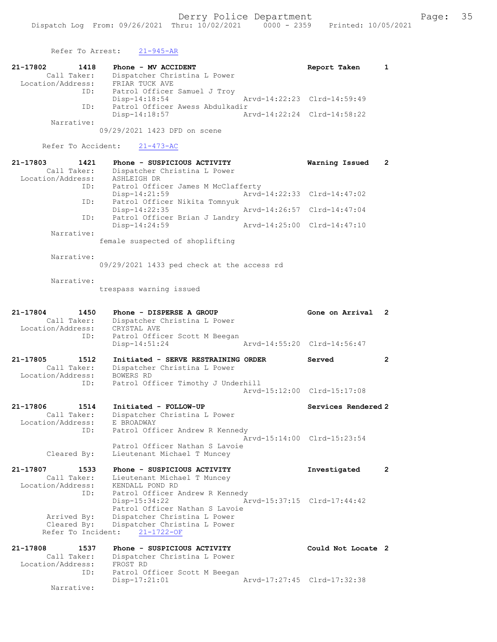| Refer To Arrest:                                            | $21 - 945 - AR$                                                                                                  |                             |   |
|-------------------------------------------------------------|------------------------------------------------------------------------------------------------------------------|-----------------------------|---|
| 21-17802<br>1418<br>Call Taker:<br>Location/Address:<br>ID: | Phone - MV ACCIDENT<br>Dispatcher Christina L Power<br>FRIAR TUCK AVE<br>Patrol Officer Samuel J Troy            | Report Taken                | 1 |
| ID:                                                         | $Disp-14:18:54$<br>Patrol Officer Awess Abdulkadir                                                               | Aryd-14:22:23 Clrd-14:59:49 |   |
| Narrative:                                                  | Disp-14:18:57                                                                                                    | Arvd-14:22:24 Clrd-14:58:22 |   |
|                                                             | 09/29/2021 1423 DFD on scene                                                                                     |                             |   |
| Refer To Accident:                                          | $21 - 473 - AC$                                                                                                  |                             |   |
| 21-17803<br>1421<br>Call Taker:<br>Location/Address:<br>ID: | Phone - SUSPICIOUS ACTIVITY<br>Dispatcher Christina L Power<br>ASHLEIGH DR<br>Patrol Officer James M McClafferty | Warning Issued              | 2 |
| ID:                                                         | Disp-14:21:59<br>Patrol Officer Nikita Tomnyuk                                                                   | Arvd-14:22:33 Clrd-14:47:02 |   |
| ID:                                                         | Disp-14:22:35<br>Arvd-14:26:57<br>Patrol Officer Brian J Landry                                                  | $Clrd-14:47:04$             |   |
|                                                             | Disp-14:24:59<br>Arvd-14:25:00                                                                                   | $Clrd-14:47:10$             |   |
| Narrative:                                                  | female suspected of shoplifting                                                                                  |                             |   |
| Narrative:                                                  | 09/29/2021 1433 ped check at the access rd                                                                       |                             |   |
| Narrative:                                                  | trespass warning issued                                                                                          |                             |   |
| 21-17804<br>1450<br>Call Taker:                             | Phone - DISPERSE A GROUP<br>Dispatcher Christina L Power                                                         | Gone on Arrival             | 2 |
| Location/Address:                                           | CRYSTAL AVE                                                                                                      |                             |   |
| ID:                                                         | Patrol Officer Scott M Beegan<br>$Disp-14:51:24$                                                                 | Arvd-14:55:20 Clrd-14:56:47 |   |
| 21-17805<br>1512                                            | Initiated - SERVE RESTRAINING ORDER                                                                              | Served                      | 2 |
| Call Taker:<br>Location/Address:                            | Dispatcher Christina L Power<br>BOWERS RD                                                                        |                             |   |
| ID:                                                         | Patrol Officer Timothy J Underhill                                                                               | Arvd-15:12:00 Clrd-15:17:08 |   |
| 21-17806<br>1514<br>Call Taker:<br>Location/Address:        | Initiated - FOLLOW-UP<br>Dispatcher Christina L Power<br>E BROADWAY                                              | Services Rendered 2         |   |
| ID:                                                         | Patrol Officer Andrew R Kennedy<br>Patrol Officer Nathan S Lavoie                                                | Arvd-15:14:00 Clrd-15:23:54 |   |
| Cleared By:                                                 | Lieutenant Michael T Muncey                                                                                      |                             |   |
| 21-17807<br>1533<br>Call Taker:                             | Phone - SUSPICIOUS ACTIVITY<br>Lieutenant Michael T Muncey                                                       | Investigated                | 2 |
| Location/Address:<br>ID:                                    | KENDALL POND RD<br>Patrol Officer Andrew R Kennedy<br>Disp-15:34:22<br>Patrol Officer Nathan S Lavoie            | Arvd-15:37:15 Clrd-17:44:42 |   |
| Arrived By:<br>Cleared By:<br>Refer To Incident:            | Dispatcher Christina L Power<br>Dispatcher Christina L Power<br>$21 - 1722 - OF$                                 |                             |   |
| 21-17808<br>1537<br>Call Taker:                             | Phone - SUSPICIOUS ACTIVITY<br>Dispatcher Christina L Power                                                      | Could Not Locate 2          |   |
| Location/Address:<br>ID:<br>Narrative:                      | FROST RD<br>Patrol Officer Scott M Beegan<br>$Disp-17:21:01$                                                     | Arvd-17:27:45 Clrd-17:32:38 |   |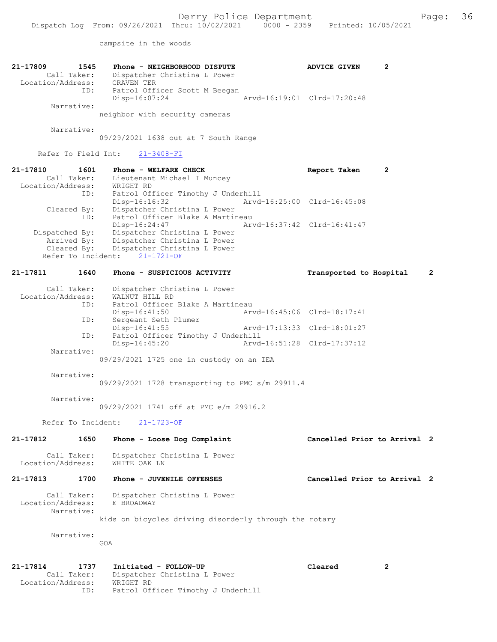campsite in the woods

| 21-17809          | 1545        | Phone - NEIGHBORHOOD DISPUTE   |                             | ADVICE GIVEN |  |
|-------------------|-------------|--------------------------------|-----------------------------|--------------|--|
|                   | Call Taker: | Dispatcher Christina L Power   |                             |              |  |
| Location/Address: |             | CRAVEN TER                     |                             |              |  |
|                   | ID:         | Patrol Officer Scott M Beegan  |                             |              |  |
|                   |             | $Disp-16:07:24$                | Arvd-16:19:01 Clrd-17:20:48 |              |  |
|                   | Narrative:  |                                |                             |              |  |
|                   |             | neighbor with security cameras |                             |              |  |

 Narrative: 09/29/2021 1638 out at 7 South Range

Refer To Field Int: 21-3408-FI

| 21-17810          | 1601 | Phone - WELFARE CHECK              |                             | Report Taken | 2 |
|-------------------|------|------------------------------------|-----------------------------|--------------|---|
| Call Taker:       |      | Lieutenant Michael T Muncey        |                             |              |   |
| Location/Address: |      | WRIGHT RD                          |                             |              |   |
|                   | ID:  | Patrol Officer Timothy J Underhill |                             |              |   |
|                   |      | $Disp-16:16:32$                    | Arvd-16:25:00 Clrd-16:45:08 |              |   |
| Cleared By:       |      | Dispatcher Christina L Power       |                             |              |   |
|                   | ID:  | Patrol Officer Blake A Martineau   |                             |              |   |
|                   |      | Disp-16:24:47                      | Arvd-16:37:42 Clrd-16:41:47 |              |   |
| Dispatched By:    |      | Dispatcher Christina L Power       |                             |              |   |
| Arrived By:       |      | Dispatcher Christina L Power       |                             |              |   |
| Cleared By:       |      | Dispatcher Christina L Power       |                             |              |   |
|                   |      | Refer To Incident: 21-1721-OF      |                             |              |   |

#### 21-17811 1640 Phone - SUSPICIOUS ACTIVITY Transported to Hospital 2

| Call Taker:       | Dispatcher Christina L Power             |                             |  |
|-------------------|------------------------------------------|-----------------------------|--|
| Location/Address: | WALNUT HILL RD                           |                             |  |
| ID:               | Patrol Officer Blake A Martineau         |                             |  |
|                   | $Disp-16:41:50$                          | Arvd-16:45:06 Clrd-18:17:41 |  |
| ID:               | Sergeant Seth Plumer                     |                             |  |
|                   | $Disp-16:41:55$                          | Arvd-17:13:33 Clrd-18:01:27 |  |
| ID:               | Patrol Officer Timothy J Underhill       |                             |  |
|                   | $Disp-16:45:20$                          | Arvd-16:51:28 Clrd-17:37:12 |  |
| Narrative:        |                                          |                             |  |
|                   | 09/29/2021 1725 one in custody on an IEA |                             |  |

# Narrative:

09/29/2021 1728 transporting to PMC s/m 29911.4

Narrative:

09/29/2021 1741 off at PMC e/m 29916.2

Refer To Incident: 21-1723-OF

21-17812 1650 Phone - Loose Dog Complaint Cancelled Prior to Arrival 2 Call Taker: Dispatcher Christina L Power Location/Address: WHITE OAK LN

### 21-17813 1700 Phone - JUVENILE OFFENSES Cancelled Prior to Arrival 2

 Call Taker: Dispatcher Christina L Power Location/Address: E BROADWAY Narrative: kids on bicycles driving disorderly through the rotary

 Narrative: GOA

21-17814 1737 Initiated - FOLLOW-UP Cleared 2 Call Taker: Dispatcher Christina L Power Location/Address: WRIGHT RD ID: Patrol Officer Timothy J Underhill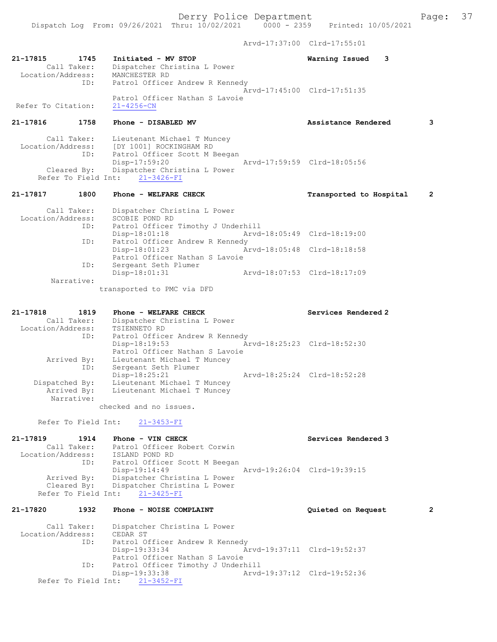Arvd-17:37:00 Clrd-17:55:01

| 21-17815<br>1745<br>Initiated - MV STOP<br>Warning Issued<br>3<br>Call Taker:<br>Dispatcher Christina L Power<br>Location/Address:<br>MANCHESTER RD<br>Patrol Officer Andrew R Kennedy<br>ID:<br>Arvd-17:45:00 Clrd-17:51:35<br>Patrol Officer Nathan S Lavoie<br>Refer To Citation:<br>$21 - 4256 - CN$<br>21-17816<br>1758<br>Phone - DISABLED MV<br>Assistance Rendered<br>Call Taker:<br>Lieutenant Michael T Muncey<br>Location/Address:<br>IDY 10011 ROCKINGHAM RD<br>Patrol Officer Scott M Beegan<br>ID:<br>Disp-17:59:20<br>Arvd-17:59:59 Clrd-18:05:56<br>Dispatcher Christina L Power<br>Cleared By:<br>Refer To Field Int:<br>$21 - 3426 - FI$<br>2<br>21-17817<br>1800<br>Phone - WELFARE CHECK<br>Transported to Hospital<br>Call Taker:<br>Dispatcher Christina L Power<br>Location/Address:<br>SCOBIE POND RD<br>Patrol Officer Timothy J Underhill<br>ID:<br>Arvd-18:05:49 Clrd-18:19:00<br>$Disp-18:01:18$<br>Patrol Officer Andrew R Kennedy<br>ID:<br>$Disp-18:01:23$<br>Arvd-18:05:48 Clrd-18:18:58<br>Patrol Officer Nathan S Lavoie<br>ID:<br>Sergeant Seth Plumer<br>Arvd-18:07:53 Clrd-18:17:09<br>Disp-18:01:31<br>Narrative:<br>transported to PMC via DFD<br>21-17818<br>1819<br>Phone - WELFARE CHECK<br>Services Rendered 2<br>Call Taker:<br>Dispatcher Christina L Power<br>Location/Address:<br>TSIENNETO RD<br>Patrol Officer Andrew R Kennedy<br>ID:<br>Arvd-18:25:23 Clrd-18:52:30<br>Disp-18:19:53<br>Patrol Officer Nathan S Lavoie<br>Lieutenant Michael T Muncey<br>Arrived By:<br>ID:<br>Sergeant Seth Plumer<br>Disp-18:25:21<br>Aryd-18:25:24 Clrd-18:52:28<br>Dispatched By:<br>Lieutenant Michael T Muncey<br>Arrived By:<br>Lieutenant Michael T Muncey<br>Narrative:<br>checked and no issues.<br>Refer To Field Int: 21-3453-FI<br>Phone - VIN CHECK<br>Services Rendered 3<br>21-17819<br>1914<br>Call Taker:<br>Patrol Officer Robert Corwin<br>Location/Address:<br>ISLAND POND RD<br>Patrol Officer Scott M Beegan<br>ID:<br>Arvd-19:26:04 Clrd-19:39:15<br>$Disp-19:14:49$<br>Dispatcher Christina L Power<br>Arrived By:<br>Dispatcher Christina L Power<br>Cleared By:<br>Refer To Field Int:<br>$21 - 3425 - FI$<br>21-17820<br>1932<br>$\overline{2}$<br>Phone - NOISE COMPLAINT<br>Quieted on Request<br>Call Taker:<br>Dispatcher Christina L Power<br>Location/Address:<br>CEDAR ST<br>ID:<br>Patrol Officer Andrew R Kennedy<br>Disp-19:33:34<br>Arvd-19:37:11 Clrd-19:52:37<br>Patrol Officer Nathan S Lavoie<br>Patrol Officer Timothy J Underhill<br>ID:<br>Disp-19:33:38<br>Arvd-19:37:12 Clrd-19:52:36<br>Refer To Field Int: 21-3452-FI |  |   |
|------------------------------------------------------------------------------------------------------------------------------------------------------------------------------------------------------------------------------------------------------------------------------------------------------------------------------------------------------------------------------------------------------------------------------------------------------------------------------------------------------------------------------------------------------------------------------------------------------------------------------------------------------------------------------------------------------------------------------------------------------------------------------------------------------------------------------------------------------------------------------------------------------------------------------------------------------------------------------------------------------------------------------------------------------------------------------------------------------------------------------------------------------------------------------------------------------------------------------------------------------------------------------------------------------------------------------------------------------------------------------------------------------------------------------------------------------------------------------------------------------------------------------------------------------------------------------------------------------------------------------------------------------------------------------------------------------------------------------------------------------------------------------------------------------------------------------------------------------------------------------------------------------------------------------------------------------------------------------------------------------------------------------------------------------------------------------------------------------------------------------------------------------------------------------------------------------------------------------------------------------------------------------------------------------------------------------------------------------------------------------------------------------------------------------------------------------------------------------------------------------------------------------------------------------------------------------------------------------------|--|---|
|                                                                                                                                                                                                                                                                                                                                                                                                                                                                                                                                                                                                                                                                                                                                                                                                                                                                                                                                                                                                                                                                                                                                                                                                                                                                                                                                                                                                                                                                                                                                                                                                                                                                                                                                                                                                                                                                                                                                                                                                                                                                                                                                                                                                                                                                                                                                                                                                                                                                                                                                                                                                            |  |   |
|                                                                                                                                                                                                                                                                                                                                                                                                                                                                                                                                                                                                                                                                                                                                                                                                                                                                                                                                                                                                                                                                                                                                                                                                                                                                                                                                                                                                                                                                                                                                                                                                                                                                                                                                                                                                                                                                                                                                                                                                                                                                                                                                                                                                                                                                                                                                                                                                                                                                                                                                                                                                            |  |   |
|                                                                                                                                                                                                                                                                                                                                                                                                                                                                                                                                                                                                                                                                                                                                                                                                                                                                                                                                                                                                                                                                                                                                                                                                                                                                                                                                                                                                                                                                                                                                                                                                                                                                                                                                                                                                                                                                                                                                                                                                                                                                                                                                                                                                                                                                                                                                                                                                                                                                                                                                                                                                            |  |   |
|                                                                                                                                                                                                                                                                                                                                                                                                                                                                                                                                                                                                                                                                                                                                                                                                                                                                                                                                                                                                                                                                                                                                                                                                                                                                                                                                                                                                                                                                                                                                                                                                                                                                                                                                                                                                                                                                                                                                                                                                                                                                                                                                                                                                                                                                                                                                                                                                                                                                                                                                                                                                            |  | 3 |
|                                                                                                                                                                                                                                                                                                                                                                                                                                                                                                                                                                                                                                                                                                                                                                                                                                                                                                                                                                                                                                                                                                                                                                                                                                                                                                                                                                                                                                                                                                                                                                                                                                                                                                                                                                                                                                                                                                                                                                                                                                                                                                                                                                                                                                                                                                                                                                                                                                                                                                                                                                                                            |  |   |
|                                                                                                                                                                                                                                                                                                                                                                                                                                                                                                                                                                                                                                                                                                                                                                                                                                                                                                                                                                                                                                                                                                                                                                                                                                                                                                                                                                                                                                                                                                                                                                                                                                                                                                                                                                                                                                                                                                                                                                                                                                                                                                                                                                                                                                                                                                                                                                                                                                                                                                                                                                                                            |  |   |
|                                                                                                                                                                                                                                                                                                                                                                                                                                                                                                                                                                                                                                                                                                                                                                                                                                                                                                                                                                                                                                                                                                                                                                                                                                                                                                                                                                                                                                                                                                                                                                                                                                                                                                                                                                                                                                                                                                                                                                                                                                                                                                                                                                                                                                                                                                                                                                                                                                                                                                                                                                                                            |  |   |
|                                                                                                                                                                                                                                                                                                                                                                                                                                                                                                                                                                                                                                                                                                                                                                                                                                                                                                                                                                                                                                                                                                                                                                                                                                                                                                                                                                                                                                                                                                                                                                                                                                                                                                                                                                                                                                                                                                                                                                                                                                                                                                                                                                                                                                                                                                                                                                                                                                                                                                                                                                                                            |  |   |
|                                                                                                                                                                                                                                                                                                                                                                                                                                                                                                                                                                                                                                                                                                                                                                                                                                                                                                                                                                                                                                                                                                                                                                                                                                                                                                                                                                                                                                                                                                                                                                                                                                                                                                                                                                                                                                                                                                                                                                                                                                                                                                                                                                                                                                                                                                                                                                                                                                                                                                                                                                                                            |  |   |
|                                                                                                                                                                                                                                                                                                                                                                                                                                                                                                                                                                                                                                                                                                                                                                                                                                                                                                                                                                                                                                                                                                                                                                                                                                                                                                                                                                                                                                                                                                                                                                                                                                                                                                                                                                                                                                                                                                                                                                                                                                                                                                                                                                                                                                                                                                                                                                                                                                                                                                                                                                                                            |  |   |
|                                                                                                                                                                                                                                                                                                                                                                                                                                                                                                                                                                                                                                                                                                                                                                                                                                                                                                                                                                                                                                                                                                                                                                                                                                                                                                                                                                                                                                                                                                                                                                                                                                                                                                                                                                                                                                                                                                                                                                                                                                                                                                                                                                                                                                                                                                                                                                                                                                                                                                                                                                                                            |  |   |
|                                                                                                                                                                                                                                                                                                                                                                                                                                                                                                                                                                                                                                                                                                                                                                                                                                                                                                                                                                                                                                                                                                                                                                                                                                                                                                                                                                                                                                                                                                                                                                                                                                                                                                                                                                                                                                                                                                                                                                                                                                                                                                                                                                                                                                                                                                                                                                                                                                                                                                                                                                                                            |  |   |
|                                                                                                                                                                                                                                                                                                                                                                                                                                                                                                                                                                                                                                                                                                                                                                                                                                                                                                                                                                                                                                                                                                                                                                                                                                                                                                                                                                                                                                                                                                                                                                                                                                                                                                                                                                                                                                                                                                                                                                                                                                                                                                                                                                                                                                                                                                                                                                                                                                                                                                                                                                                                            |  |   |
|                                                                                                                                                                                                                                                                                                                                                                                                                                                                                                                                                                                                                                                                                                                                                                                                                                                                                                                                                                                                                                                                                                                                                                                                                                                                                                                                                                                                                                                                                                                                                                                                                                                                                                                                                                                                                                                                                                                                                                                                                                                                                                                                                                                                                                                                                                                                                                                                                                                                                                                                                                                                            |  |   |
|                                                                                                                                                                                                                                                                                                                                                                                                                                                                                                                                                                                                                                                                                                                                                                                                                                                                                                                                                                                                                                                                                                                                                                                                                                                                                                                                                                                                                                                                                                                                                                                                                                                                                                                                                                                                                                                                                                                                                                                                                                                                                                                                                                                                                                                                                                                                                                                                                                                                                                                                                                                                            |  |   |
|                                                                                                                                                                                                                                                                                                                                                                                                                                                                                                                                                                                                                                                                                                                                                                                                                                                                                                                                                                                                                                                                                                                                                                                                                                                                                                                                                                                                                                                                                                                                                                                                                                                                                                                                                                                                                                                                                                                                                                                                                                                                                                                                                                                                                                                                                                                                                                                                                                                                                                                                                                                                            |  |   |
|                                                                                                                                                                                                                                                                                                                                                                                                                                                                                                                                                                                                                                                                                                                                                                                                                                                                                                                                                                                                                                                                                                                                                                                                                                                                                                                                                                                                                                                                                                                                                                                                                                                                                                                                                                                                                                                                                                                                                                                                                                                                                                                                                                                                                                                                                                                                                                                                                                                                                                                                                                                                            |  |   |
|                                                                                                                                                                                                                                                                                                                                                                                                                                                                                                                                                                                                                                                                                                                                                                                                                                                                                                                                                                                                                                                                                                                                                                                                                                                                                                                                                                                                                                                                                                                                                                                                                                                                                                                                                                                                                                                                                                                                                                                                                                                                                                                                                                                                                                                                                                                                                                                                                                                                                                                                                                                                            |  |   |
|                                                                                                                                                                                                                                                                                                                                                                                                                                                                                                                                                                                                                                                                                                                                                                                                                                                                                                                                                                                                                                                                                                                                                                                                                                                                                                                                                                                                                                                                                                                                                                                                                                                                                                                                                                                                                                                                                                                                                                                                                                                                                                                                                                                                                                                                                                                                                                                                                                                                                                                                                                                                            |  |   |
|                                                                                                                                                                                                                                                                                                                                                                                                                                                                                                                                                                                                                                                                                                                                                                                                                                                                                                                                                                                                                                                                                                                                                                                                                                                                                                                                                                                                                                                                                                                                                                                                                                                                                                                                                                                                                                                                                                                                                                                                                                                                                                                                                                                                                                                                                                                                                                                                                                                                                                                                                                                                            |  |   |
|                                                                                                                                                                                                                                                                                                                                                                                                                                                                                                                                                                                                                                                                                                                                                                                                                                                                                                                                                                                                                                                                                                                                                                                                                                                                                                                                                                                                                                                                                                                                                                                                                                                                                                                                                                                                                                                                                                                                                                                                                                                                                                                                                                                                                                                                                                                                                                                                                                                                                                                                                                                                            |  |   |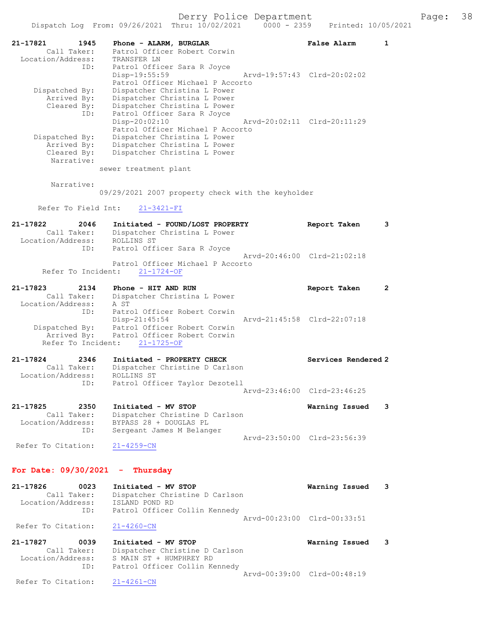| 21-17821<br>1945                 | Phone - ALARM, BURGLAR                                           | False Alarm                                                 | 1            |
|----------------------------------|------------------------------------------------------------------|-------------------------------------------------------------|--------------|
| Call Taker:<br>Location/Address: | Patrol Officer Robert Corwin<br>TRANSFER LN                      |                                                             |              |
| ID:                              | Patrol Officer Sara R Joyce                                      |                                                             |              |
|                                  | $Disp-19:55:59$                                                  | Arvd-19:57:43 Clrd-20:02:02                                 |              |
| Dispatched By:                   | Patrol Officer Michael P Accorto<br>Dispatcher Christina L Power |                                                             |              |
| Arrived By:                      | Dispatcher Christina L Power                                     |                                                             |              |
| Cleared By:                      | Dispatcher Christina L Power                                     |                                                             |              |
| ID:                              | Patrol Officer Sara R Joyce<br>$Disp-20:02:10$                   | Arvd-20:02:11 Clrd-20:11:29                                 |              |
|                                  | Patrol Officer Michael P Accorto                                 |                                                             |              |
| Dispatched By:<br>Arrived By:    | Dispatcher Christina L Power<br>Dispatcher Christina L Power     |                                                             |              |
| Cleared By:                      | Dispatcher Christina L Power                                     |                                                             |              |
| Narrative:                       |                                                                  |                                                             |              |
|                                  | sewer treatment plant                                            |                                                             |              |
| Narrative:                       |                                                                  |                                                             |              |
|                                  | 09/29/2021 2007 property check with the keyholder                |                                                             |              |
| Refer To Field Int:              | $21 - 3421 - FI$                                                 |                                                             |              |
| 21-17822<br>2046                 | Initiated - FOUND/LOST PROPERTY                                  | Report Taken                                                | 3            |
|                                  | Call Taker: Dispatcher Christina L Power                         |                                                             |              |
| Location/Address:<br>ID:         | ROLLINS ST<br>Patrol Officer Sara R Joyce                        |                                                             |              |
|                                  |                                                                  | Arvd-20:46:00 Clrd-21:02:18                                 |              |
| Refer To Incident:               | Patrol Officer Michael P Accorto<br>$21 - 1724 - OF$             |                                                             |              |
|                                  |                                                                  |                                                             |              |
| 21-17823<br>2134<br>Call Taker:  | Phone - HIT AND RUN<br>Dispatcher Christina L Power              | Report Taken                                                | $\mathbf{2}$ |
| Location/Address:                | A ST                                                             |                                                             |              |
| ID:                              | Patrol Officer Robert Corwin                                     | Arvd-21:45:58 Clrd-22:07:18                                 |              |
|                                  | $Disp-21:45:54$<br>Dispatched By: Patrol Officer Robert Corwin   |                                                             |              |
|                                  | Arrived By: Patrol Officer Robert Corwin                         |                                                             |              |
|                                  | Refer To Incident: 21-1725-OF                                    |                                                             |              |
| 21-17824<br>2346                 | Initiated - PROPERTY CHECK                                       | Services Rendered 2                                         |              |
| Call Taker:<br>Location/Address: | Dispatcher Christine D Carlson<br>ROLLINS ST                     |                                                             |              |
| ID:                              | Patrol Officer Taylor Dezotell                                   |                                                             |              |
|                                  |                                                                  | $Aryd - 23 \cdot 46 \cdot 00$ $C1rd - 23 \cdot 46 \cdot 25$ |              |
| 21-17825<br>2350                 | Initiated - MV STOP                                              | Warning Issued                                              | 3            |
| Call Taker:                      | Dispatcher Christine D Carlson                                   |                                                             |              |
| Location/Address:<br>ID:         | BYPASS 28 + DOUGLAS PL<br>Sergeant James M Belanger              |                                                             |              |
|                                  |                                                                  | Arvd-23:50:00 Clrd-23:56:39                                 |              |
| Refer To Citation:               | $21 - 4259 - CN$                                                 |                                                             |              |
|                                  |                                                                  |                                                             |              |
| For Date: 09/30/2021 - Thursday  |                                                                  |                                                             |              |
| 21-17826<br>0023                 | Initiated - MV STOP                                              | Warning Issued                                              | 3            |
| Call Taker:<br>Location/Address: | Dispatcher Christine D Carlson<br>ISLAND POND RD                 |                                                             |              |
| ID:                              | Patrol Officer Collin Kennedy                                    |                                                             |              |
| Refer To Citation:               | $21 - 4260 - CN$                                                 | Arvd-00:23:00 Clrd-00:33:51                                 |              |
|                                  |                                                                  |                                                             |              |
| 21-17827<br>0039<br>Call Taker:  | Initiated - MV STOP<br>Dispatcher Christine D Carlson            | Warning Issued                                              | 3            |
| Location/Address:                | S MAIN ST + HUMPHREY RD                                          |                                                             |              |
| ID:                              | Patrol Officer Collin Kennedy                                    | Arvd-00:39:00 Clrd-00:48:19                                 |              |
|                                  |                                                                  |                                                             |              |

Refer To Citation: 21-4261-CN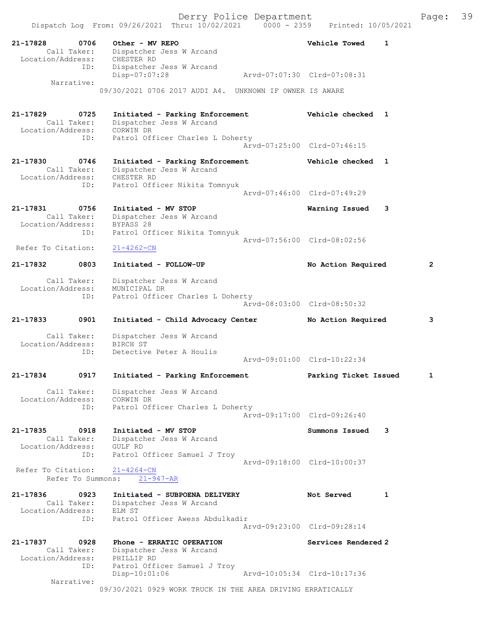21-17828 0706 Other - MV REPO Vehicle Towed 1 Call Taker: Dispatcher Jess W Arcand Location/Address: CHESTER RD ID: Dispatcher Jess W Arcand<br>Disp-07:07:28 Disp-07:07:28 Arvd-07:07:30 Clrd-07:08:31 Narrative: 09/30/2021 0706 2017 AUDI A4. UNKNOWN IF OWNER IS AWARE 21-17829 0725 Initiated - Parking Enforcement Vehicle checked 1 Call Taker: Dispatcher Jess W Arcand Location/Address: CORWIN DR ID: Patrol Officer Charles L Doherty Arvd-07:25:00 Clrd-07:46:15 21-17830 0746 Initiated - Parking Enforcement Vehicle checked 1 Call Taker: Dispatcher Jess W Arcand Location/Address: CHESTER RD ID: Patrol Officer Nikita Tomnyuk Arvd-07:46:00 Clrd-07:49:29 21-17831 0756 Initiated - MV STOP Warning Issued 3 Call Taker: Dispatcher Jess W Arcand Location/Address: BYPASS 28 ID: Patrol Officer Nikita Tomnyuk Arvd-07:56:00 Clrd-08:02:56 Refer To Citation: 21-4262-CN 21-17832 0803 Initiated - FOLLOW-UP No Action Required 2 Call Taker: Dispatcher Jess W Arcand Location/Address: MUNICIPAL DR<br>ID: Patrol Office Patrol Officer Charles L Doherty Arvd-08:03:00 Clrd-08:50:32 21-17833 0901 Initiated - Child Advocacy Center No Action Required 3 Call Taker: Dispatcher Jess W Arcand Location/Address: BIRCH ST ID: Detective Peter A Houlis Arvd-09:01:00 Clrd-10:22:34 21-17834 0917 Initiated - Parking Enforcement Parking Ticket Issued 1 Call Taker: Dispatcher Jess W Arcand Location/Address: CORWIN DR ID: Patrol Officer Charles L Doherty Arvd-09:17:00 Clrd-09:26:40 21-17835 0918 Initiated - MV STOP Summons Issued 3 Call Taker: Dispatcher Jess W Arcand Location/Address: GULF RD ID: Patrol Officer Samuel J Troy Arvd-09:18:00 Clrd-10:00:37<br>21-4264-CN Refer To Citation: Refer To Summons: 21-947-AR 21-17836 0923 Initiated - SUBPOENA DELIVERY Not Served 1 Call Taker: Dispatcher Jess W Arcand Location/Address: ELM ST ID: Patrol Officer Awess Abdulkadir Arvd-09:23:00 Clrd-09:28:14 21-17837 0928 Phone - ERRATIC OPERATION Services Rendered 2 Call Taker: Dispatcher Jess W Arcand Location/Address: PHILLIP RD ID: Patrol Officer Samuel J Troy Disp-10:01:06 Arvd-10:05:34 Clrd-10:17:36 Narrative: 09/30/2021 0929 WORK TRUCK IN THE AREA DRIVING ERRATICALLY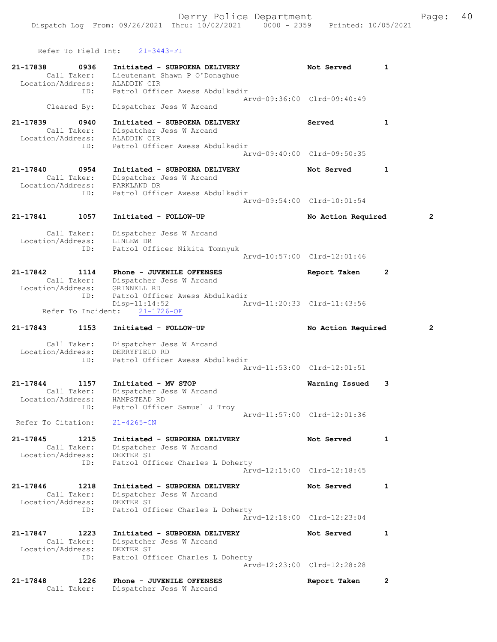Refer To Field Int: 21-3443-FI 21-17838 0936 Initiated - SUBPOENA DELIVERY Not Served 1 Call Taker: Lieutenant Shawn P O'Donaghue Location/Address: ALADDIN CIR ID: Patrol Officer Awess Abdulkadir Arvd-09:36:00 Clrd-09:40:49 Cleared By: Dispatcher Jess W Arcand 21-17839 0940 Initiated - SUBPOENA DELIVERY Served 1 Call Taker: Dispatcher Jess W Arcand Location/Address: ALADDIN CIR ID: Patrol Officer Awess Abdulkadir Arvd-09:40:00 Clrd-09:50:35 21-17840 0954 Initiated - SUBPOENA DELIVERY Not Served 1 Call Taker: Dispatcher Jess W Arcand Location/Address: PARKLAND DR ID: Patrol Officer Awess Abdulkadir Arvd-09:54:00 Clrd-10:01:54 21-17841 1057 Initiated - FOLLOW-UP No Action Required 2 Call Taker: Dispatcher Jess W Arcand Location/Address: LINLEW DR ID: Patrol Officer Nikita Tomnyuk Arvd-10:57:00 Clrd-12:01:46 21-17842 1114 Phone - JUVENILE OFFENSES Report Taken 2 Call Taker: Dispatcher Jess W Arcand Location/Address: GRINNELL RD ID: Patrol Officer Awess Abdulkadir Disp-11:14:52 Arvd-11:20:33 Clrd-11:43:56 Refer To Incident: 21-1726-OF 21-17843 1153 Initiated - FOLLOW-UP No Action Required 2 Call Taker: Dispatcher Jess W Arcand Location/Address: DERRYFIELD RD ID: Patrol Officer Awess Abdulkadir Arvd-11:53:00 Clrd-12:01:51 21-17844 1157 Initiated - MV STOP Warning Issued 3 Call Taker: Dispatcher Jess W Arcand Location/Address: HAMPSTEAD RD ID: Patrol Officer Samuel J Troy Arvd-11:57:00 Clrd-12:01:36 Refer To Citation: 21-4265-CN 21-17845 1215 Initiated - SUBPOENA DELIVERY Not Served 1 Call Taker: Dispatcher Jess W Arcand Location/Address: DEXTER ST ID: Patrol Officer Charles L Doherty Arvd-12:15:00 Clrd-12:18:45 21-17846 1218 Initiated - SUBPOENA DELIVERY Not Served 1 Call Taker: Dispatcher Jess W Arcand Location/Address: DEXTER ST ID: Patrol Officer Charles L Doherty Arvd-12:18:00 Clrd-12:23:04 21-17847 1223 Initiated - SUBPOENA DELIVERY Not Served 1 Call Taker: Dispatcher Jess W Arcand Location/Address: DEXTER ST ID: Patrol Officer Charles L Doherty Arvd-12:23:00 Clrd-12:28:28 21-17848 1226 Phone - JUVENILE OFFENSES Report Taken 2 Call Taker: Dispatcher Jess W Arcand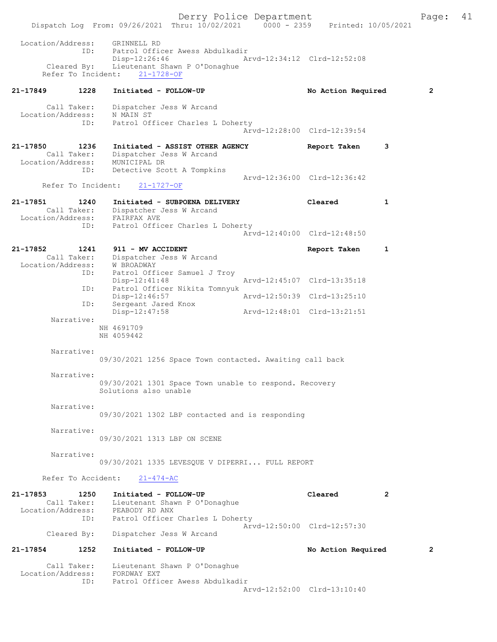Derry Police Department The Page: 41 Dispatch Log From: 09/26/2021 Thru: 10/02/2021 0000 - 2359 Printed: 10/05/2021 Location/Address: GRINNELL RD ID: Patrol Officer Awess Abdulkadir Disp-12:26:46 Arvd-12:34:12 Clrd-12:52:08<br>Cleared By: Lieutenant Shawn P O'Donaghue Lieutenant Shawn P O'Donaghue Refer To Incident: 21-1728-OF 21-17849 1228 Initiated - FOLLOW-UP No Action Required 2 Call Taker: Dispatcher Jess W Arcand Location/Address: N MAIN ST ID: Patrol Officer Charles L Doherty Arvd-12:28:00 Clrd-12:39:54 21-17850 1236 Initiated - ASSIST OTHER AGENCY Report Taken 3 Call Taker: Dispatcher Jess W Arcand Location/Address: MUNICIPAL DR ID: Detective Scott A Tompkins Arvd-12:36:00 Clrd-12:36:42<br>21-1727-0F Refer To Incident: 21-17851 1240 Initiated - SUBPOENA DELIVERY Cleared 1 Call Taker: Dispatcher Jess W Arcand Location/Address: FAIRFAX AVE ess: Indurative Charles L Doherty<br>ID: Patrol Officer Charles L Doherty Arvd-12:40:00 Clrd-12:48:50 21-17852 1241 911 - MV ACCIDENT Report Taken 1 Call Taker: Dispatcher Jess W Arcand Location/Address: W BROADWAY ID: Patrol Officer Samuel J Troy<br>Disp-12:41:48 Disp-12:41:48 Arvd-12:45:07 Clrd-13:35:18 ID: Patrol Officer Nikita Tomnyuk Disp-12:46:57 Arvd-12:50:39 Clrd-13:25:10<br>ID: Sergeant Jared Knox Sergeant Jared Knox<br>Disp-12:47:58 Disp-12:47:58 Arvd-12:48:01 Clrd-13:21:51 Narrative: NH 4691709 NH 4059442 Narrative: 09/30/2021 1256 Space Town contacted. Awaiting call back Narrative: 09/30/2021 1301 Space Town unable to respond. Recovery Solutions also unable Narrative: 09/30/2021 1302 LBP contacted and is responding Narrative: 09/30/2021 1313 LBP ON SCENE Narrative: 09/30/2021 1335 LEVESQUE V DIPERRI... FULL REPORT Refer To Accident: 21-474-AC 21-17853 1250 Initiated - FOLLOW-UP Cleared 2 Call Taker: Lieutenant Shawn P O'Donaghue Location/Address:<br>ID: PEABODY RD ANX<br>Patrol Officer Charles L Doherty Arvd-12:50:00 Clrd-12:57:30<br>Cleared By: Dispatcher Jess W Arcand Dispatcher Jess W Arcand 21-17854 1252 Initiated - FOLLOW-UP No Action Required 2 Call Taker: Lieutenant Shawn P O'Donaghue<br>ion/Address: FORDWAY EXT Location/Address: ID: Patrol Officer Awess Abdulkadir

Arvd-12:52:00 Clrd-13:10:40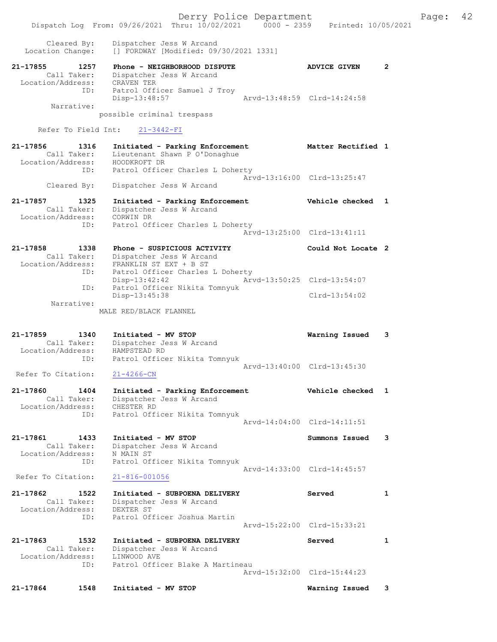Derry Police Department Fage: 42 Dispatch Log From: 09/26/2021 Thru: 10/02/2021 0000 - 2359 Printed: 10/05/2021 Cleared By: Dispatcher Jess W Arcand Location Change: [] FORDWAY [Modified: 09/30/2021 1331] 21-17855 1257 Phone - NEIGHBORHOOD DISPUTE ADVICE GIVEN 2 Call Taker: Dispatcher Jess W Arcand Location/Address: CRAVEN TER ID: Patrol Officer Samuel J Troy Disp-13:48:57 Arvd-13:48:59 Clrd-14:24:58 Narrative: possible criminal trespass Refer To Field Int: 21-3442-FI 21-17856 1316 Initiated - Parking Enforcement Matter Rectified 1 Call Taker: Lieutenant Shawn P O'Donaghue Location/Address: HOODKROFT DR ID: Patrol Officer Charles L Doherty Arvd-13:16:00 Clrd-13:25:47 Cleared By: Dispatcher Jess W Arcand 21-17857 1325 Initiated - Parking Enforcement Vehicle checked 1 Call Taker: Dispatcher Jess W Arcand Location/Address: CORWIN DR ID: Patrol Officer Charles L Doherty Arvd-13:25:00 Clrd-13:41:11 21-17858 1338 Phone - SUSPICIOUS ACTIVITY Could Not Locate 2 Call Taker: Dispatcher Jess W Arcand Location/Address: FRANKLIN ST EXT + B ST ID: Patrol Officer Charles L Doherty Disp-13:42:42 Arvd-13:50:25 Clrd-13:54:07 ID: Patrol Officer Nikita Tomnyuk Disp-13:45:38 Clrd-13:54:02 Narrative: MALE RED/BLACK FLANNEL 21-17859 1340 Initiated - MV STOP Warning Issued 3 Call Taker: Dispatcher Jess W Arcand Location/Address: HAMPSTEAD RD ID: Patrol Officer Nikita Tomnyuk Arvd-13:40:00 Clrd-13:45:30 Refer To Citation: 21-4266-CN 21-17860 1404 Initiated - Parking Enforcement Vehicle checked 1 Call Taker: Dispatcher Jess W Arcand Location/Address: CHESTER RD ID: Patrol Officer Nikita Tomnyuk Arvd-14:04:00 Clrd-14:11:51 21-17861 1433 Initiated - MV STOP Summons Issued 3 Call Taker: Dispatcher Jess W Arcand Location/Address: N MAIN ST ID: Patrol Officer Nikita Tomnyuk Arvd-14:33:00 Clrd-14:45:57 Refer To Citation: 21-816-001056 21-17862 1522 Initiated - SUBPOENA DELIVERY Served 1 Call Taker: Dispatcher Jess W Arcand Location/Address: DEXTER ST ID: Patrol Officer Joshua Martin Arvd-15:22:00 Clrd-15:33:21 21-17863 1532 Initiated - SUBPOENA DELIVERY Served 1 Call Taker: Dispatcher Jess W Arcand Location/Address: LINWOOD AVE ID: Patrol Officer Blake A Martineau Arvd-15:32:00 Clrd-15:44:23 21-17864 1548 Initiated - MV STOP Warning Issued 3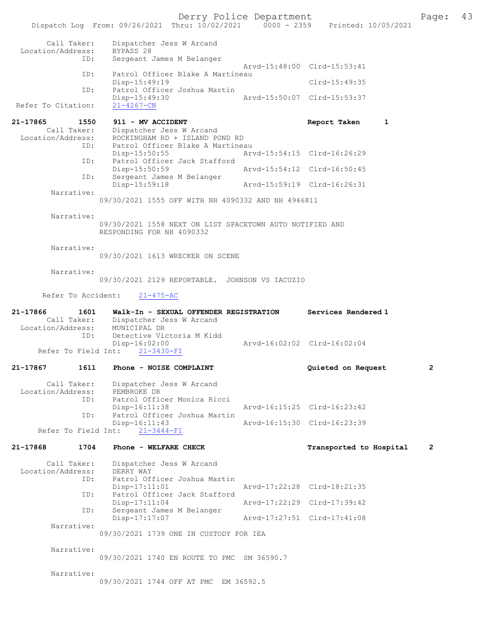Derry Police Department<br>
Page: 43<br>
Printed: 10/05/2021<br>
Printed: 10/05/2021 Dispatch Log From: 09/26/2021 Thru: 10/02/2021 Call Taker: Dispatcher Jess W Arcand Location/Address: BYPASS 28<br>FD: Sergeant Sergeant James M Belanger Arvd-15:48:00 Clrd-15:53:41<br>TD: Patrol Officer Blake A Martineau Patrol Officer Blake A Martineau Disp-15:49:19 Clrd-15:49:35 ID: Patrol Officer Joshua Martin Disp-15:49:30 Arvd-15:50:07 Clrd-15:53:37 Refer To Citation: 21-17865 1550 911 - MV ACCIDENT Report Taken 1 Call Taker: Dispatcher Jess W Arcand<br>Location/Address: ROCKINGHAM RD + ISLAND PO ess: ROCKINGHAM RD + ISLAND POND RD<br>ID: Patrol Officer Blake A Martines Patrol Officer Blake A Martineau<br>Disp-15:50:55 Ar Disp-15:50:55 Arvd-15:54:15 Clrd-16:26:29 Patrol Officer Jack Stafford<br>Disp-15:50:59 Disp-15:50:59 Arvd-15:54:12 Clrd-16:50:45<br>The Sergeant James M Belanger Sergeant James M Belanger<br>Disp-15:59:18 Disp-15:59:18 Arvd-15:59:19 Clrd-16:26:31 Narrative: 09/30/2021 1555 OFF WITH NH 4090332 AND NH 4946811 Narrative: 09/30/2021 1558 NEXT ON LIST SPACETOWN AUTO NOTIFIED AND RESPONDING FOR NH 4090332 Narrative: 09/30/2021 1613 WRECKER ON SCENE Narrative: 09/30/2021 2129 REPORTABLE. JOHNSON VS IACUZIO Refer To Accident: 21-475-AC 21-17866 1601 Walk-In - SEXUAL OFFENDER REGISTRATION Services Rendered 1<br>Call Taker: Dispatcher Jess W Arcand Dispatcher Jess W Arcand<br>MUNICIPAL DR Location/Address: ID: Detective Victoria M Kidd<br>Disp-16:02:00 Disp-16:02:00 Arvd-16:02:02 Clrd-16:02:04 Refer To Field Int: 21-17867 1611 Phone - NOISE COMPLAINT Quieted on Request 2 Call Taker: Dispatcher Jess W Arcand<br>.on/Address: PEMBROKE DR Location/Address:<br>TD: Patrol Officer Monica Ricci<br>Disp-16:11:38 Disp-16:11:38 Arvd-16:15:25 Clrd-16:23:42<br>ID: Patrol Officer Joshua Martin Patrol Officer Joshua Martin<br>Disp-16:11:43 16:11:43 <br>21-3444-FI <br>21-3444-FI Refer To Field Int: 21-17868 1704 Phone - WELFARE CHECK Transported to Hospital 2 Call Taker: Dispatcher Jess W Arcand<br>ion/Address: DERRY WAY Location/Address:<br>ID: Patrol Officer Joshua Martin<br>Disp-17:11:01 Disp-17:11:01 Arvd-17:22:28 Clrd-18:21:35<br>TD: Patrol Officer Jack Stafford Patrol Officer Jack Stafford<br>Disp-17:11:04 Disp-17:11:04 Arvd-17:22:29 Clrd-17:39:42 ID: Sergeant James M Belanger Disp-17:17:07 Arvd-17:27:51 Clrd-17:41:08 Narrative: 09/30/2021 1739 ONE IN CUSTODY FOR IEA Narrative: 09/30/2021 1740 EN ROUTE TO PMC SM 36590.7 Narrative:

09/30/2021 1744 OFF AT PMC EM 36592.5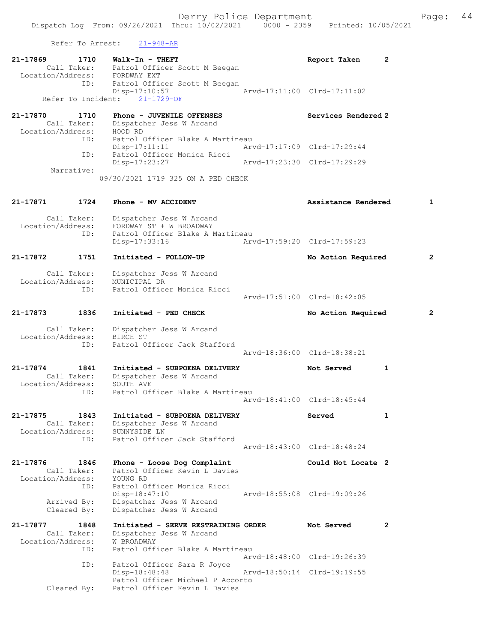Refer To Arrest: 21-948-AR

| 21-17869                      | 1710<br>Call Taker:<br>ID: | Walk-In - THEFT<br>Patrol Officer Scott M Beegan<br>Location/Address: FORDWAY EXT<br>Patrol Officer Scott M Beegan | Report Taken                | 2 |
|-------------------------------|----------------------------|--------------------------------------------------------------------------------------------------------------------|-----------------------------|---|
|                               | Refer To Incident:         | Disp-17:10:57<br>$21 - 1729 - OF$                                                                                  | Arvd-17:11:00 Clrd-17:11:02 |   |
| 21-17870<br>Location/Address: | 1710<br>Call Taker:        | Phone - JUVENILE OFFENSES<br>Dispatcher Jess W Arcand<br>HOOD RD                                                   | Services Rendered 2         |   |
|                               | ID:                        | Patrol Officer Blake A Martineau<br>$Disp-17:11:11$                                                                | Arvd-17:17:09 Clrd-17:29:44 |   |
|                               | ID:                        | Patrol Officer Monica Ricci<br>Disp-17:23:27                                                                       | Arvd-17:23:30 Clrd-17:29:29 |   |
|                               | Narrative:                 | 09/30/2021 1719 325 ON A PED CHECK                                                                                 |                             |   |
| 21-17871                      | 1724                       | Phone - MV ACCIDENT                                                                                                | Assistance Rendered         | 1 |
| Location/Address:             | Call Taker:<br>ID:         | Dispatcher Jess W Arcand<br>FORDWAY ST + W BROADWAY<br>Patrol Officer Blake A Martineau                            |                             |   |
|                               |                            | Disp-17:33:16                                                                                                      | Arvd-17:59:20 Clrd-17:59:23 |   |
| 21-17872                      | 1751                       | Initiated - FOLLOW-UP                                                                                              | No Action Required          | 2 |
| Location/Address:             | Call Taker:<br>ID:         | Dispatcher Jess W Arcand<br>MUNICIPAL DR<br>Patrol Officer Monica Ricci                                            |                             |   |
|                               |                            |                                                                                                                    | Arvd-17:51:00 Clrd-18:42:05 |   |
| 21-17873                      | 1836                       | Initiated - PED CHECK                                                                                              | No Action Required          | 2 |
| Location/Address:             | Call Taker:<br>ID:         | Dispatcher Jess W Arcand<br>BIRCH ST<br>Patrol Officer Jack Stafford                                               |                             |   |
|                               |                            |                                                                                                                    | Arvd-18:36:00 Clrd-18:38:21 |   |
| 21-17874                      | 1841<br>Call Taker:        | Initiated - SUBPOENA DELIVERY<br>Dispatcher Jess W Arcand                                                          | Not Served                  | 1 |
| Location/Address:             | ID:                        | SOUTH AVE<br>Patrol Officer Blake A Martineau                                                                      | Arvd-18:41:00 Clrd-18:45:44 |   |
| 21-17875                      | 1843<br>Call Taker:        | Initiated - SUBPOENA DELIVERY<br>Dispatcher Jess W Arcand                                                          | Served                      | 1 |
| Location/Address:             | ID:                        | SUNNYSIDE LN<br>Patrol Officer Jack Stafford                                                                       | Arvd-18:43:00 Clrd-18:48:24 |   |
| 21-17876<br>Location/Address: | 1846<br>Call Taker:<br>ID: | Phone - Loose Dog Complaint<br>Patrol Officer Kevin L Davies<br>YOUNG RD<br>Patrol Officer Monica Ricci            | Could Not Locate 2          |   |
|                               | Arrived By:<br>Cleared By: | Disp-18:47:10<br>Dispatcher Jess W Arcand<br>Dispatcher Jess W Arcand                                              | Arvd-18:55:08 Clrd-19:09:26 |   |
| 21-17877<br>Location/Address: | 1848<br>Call Taker:        | Initiated - SERVE RESTRAINING ORDER<br>Dispatcher Jess W Arcand<br>W BROADWAY                                      | Not Served                  | 2 |
|                               | ID:                        | Patrol Officer Blake A Martineau                                                                                   | Arvd-18:48:00 Clrd-19:26:39 |   |
|                               | ID:                        | Patrol Officer Sara R Joyce<br>Disp-18:48:48<br>Patrol Officer Michael P Accorto                                   | Arvd-18:50:14 Clrd-19:19:55 |   |
|                               | Cleared By:                | Patrol Officer Kevin L Davies                                                                                      |                             |   |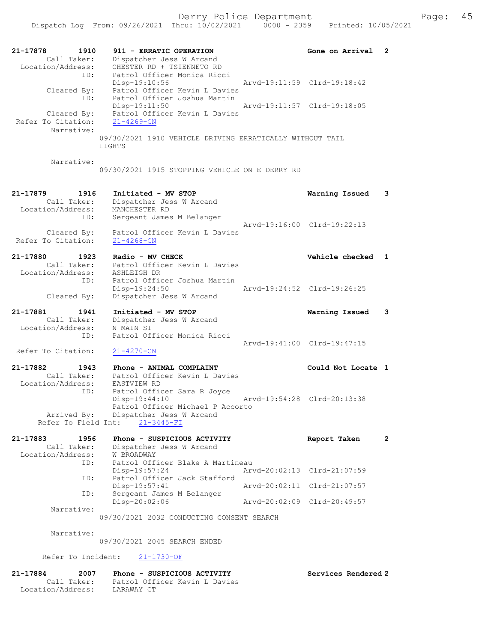| 21-17878<br>1910<br>Call Taker:<br>Location/Address: | 911 - ERRATIC OPERATION<br>Dispatcher Jess W Arcand<br>CHESTER RD + TSIENNETO RD | Gone on Arrival<br>2                                       |
|------------------------------------------------------|----------------------------------------------------------------------------------|------------------------------------------------------------|
| ID:<br>Cleared By:                                   | Patrol Officer Monica Ricci<br>Disp-19:10:56<br>Patrol Officer Kevin L Davies    | Arvd-19:11:59 Clrd-19:18:42                                |
| ID:<br>Cleared By:                                   | Patrol Officer Joshua Martin<br>Disp-19:11:50<br>Patrol Officer Kevin L Davies   | Arvd-19:11:57 Clrd-19:18:05                                |
| Refer To Citation:<br>Narrative:                     | $21 - 4269 - CN$<br>09/30/2021 1910 VEHICLE DRIVING ERRATICALLY WITHOUT TAIL     |                                                            |
|                                                      | LIGHTS                                                                           |                                                            |
| Narrative:                                           | 09/30/2021 1915 STOPPING VEHICLE ON E DERRY RD                                   |                                                            |
| 21-17879<br>1916<br>Call Taker:<br>Location/Address: | Initiated - MV STOP<br>Dispatcher Jess W Arcand<br>MANCHESTER RD                 | 3<br>Warning Issued                                        |
| ID:                                                  | Sergeant James M Belanger                                                        | Arvd-19:16:00 Clrd-19:22:13                                |
| Cleared By:<br>Refer To Citation:                    | Patrol Officer Kevin L Davies<br>$21 - 4268 - CN$                                |                                                            |
| 21-17880<br>1923<br>Call Taker:                      | Radio - MV CHECK<br>Patrol Officer Kevin L Davies                                | Vehicle checked<br>1                                       |
| Location/Address:<br>ID:                             | ASHLEIGH DR<br>Patrol Officer Joshua Martin<br>Disp-19:24:50                     | Arvd-19:24:52 Clrd-19:26:25                                |
| Cleared By:                                          | Dispatcher Jess W Arcand                                                         |                                                            |
| 21-17881<br>1941                                     | Initiated - MV STOP                                                              |                                                            |
| Call Taker:<br>Location/Address:                     | Dispatcher Jess W Arcand<br>N MAIN ST                                            | 3<br>Warning Issued                                        |
| ID:<br>Refer To Citation:                            | Patrol Officer Monica Ricci<br>$21 - 4270 - CN$                                  | Arvd-19:41:00 Clrd-19:47:15                                |
|                                                      |                                                                                  |                                                            |
| 21-17882<br>1943<br>Call Taker:<br>Location/Address: | Phone - ANIMAL COMPLAINT<br>Patrol Officer Kevin L Davies<br>EASTVIEW RD         | Could Not Locate 1                                         |
| ID:                                                  | Patrol Officer Sara R Joyce<br>Disp-19:44:10<br>Patrol Officer Michael P Accorto | Arvd-19:54:28 Clrd-20:13:38                                |
| Arrived By:<br>Refer To Field Int:                   | Dispatcher Jess W Arcand<br>$21 - 3445 - FI$                                     |                                                            |
| 21-17883<br>1956                                     | Phone - SUSPICIOUS ACTIVITY                                                      | Report Taken<br>$\mathbf{2}$                               |
| Call Taker:<br>Location/Address:                     | Dispatcher Jess W Arcand<br><b>W BROADWAY</b>                                    |                                                            |
| ID:                                                  | Patrol Officer Blake A Martineau<br>Disp-19:57:24                                | Arvd-20:02:13 Clrd-21:07:59                                |
| ID:                                                  | Patrol Officer Jack Stafford                                                     |                                                            |
| ID:                                                  | Disp-19:57:41<br>Sergeant James M Belanger<br>Disp-20:02:06                      | Arvd-20:02:11 Clrd-21:07:57<br>Arvd-20:02:09 Clrd-20:49:57 |
| Narrative:                                           |                                                                                  |                                                            |
| Narrative:                                           | 09/30/2021 2032 CONDUCTING CONSENT SEARCH                                        |                                                            |
|                                                      | 09/30/2021 2045 SEARCH ENDED                                                     |                                                            |
| Refer To Incident:                                   | $21 - 1730 - OF$                                                                 |                                                            |

| 21-17884          | 2007.       | Phone - SUSPICIOUS ACTIVITY   | Services Rendered: |
|-------------------|-------------|-------------------------------|--------------------|
|                   | Call Taker: | Patrol Officer Kevin L Davies |                    |
| Location/Address: |             | LARAWAY CT                    |                    |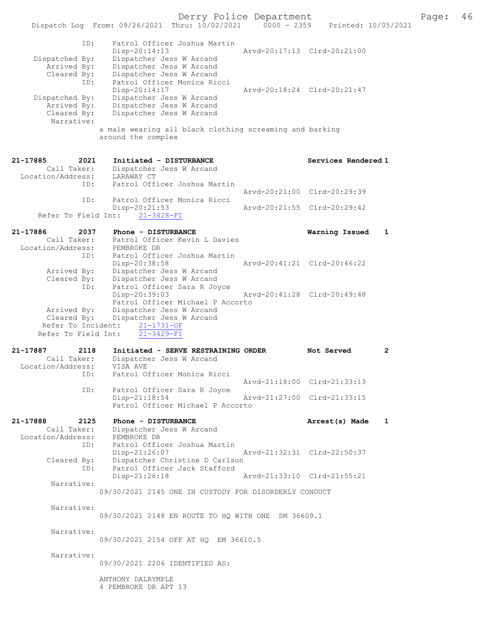| ID:<br>Dispatched By:<br>Arrived By:                 | Patrol Officer Joshua Martin<br>$Disp-20:14:13$<br>Dispatcher Jess W Arcand<br>Dispatcher Jess W Arcand      | Arvd-20:17:13 Clrd-20:21:00 |                      |
|------------------------------------------------------|--------------------------------------------------------------------------------------------------------------|-----------------------------|----------------------|
| Cleared By:<br>ID:<br>Dispatched By:                 | Dispatcher Jess W Arcand<br>Patrol Officer Monica Ricci<br>Disp-20:14:17<br>Dispatcher Jess W Arcand         | Arvd-20:18:24 Clrd-20:21:47 |                      |
| Arrived By:<br>Cleared By:<br>Narrative:             | Dispatcher Jess W Arcand<br>Dispatcher Jess W Arcand                                                         |                             |                      |
|                                                      | a male wearing all black clothing screaming and barking<br>around the complex                                |                             |                      |
| 21-17885<br>2021<br>Call Taker:<br>Location/Address: | Initiated - DISTURBANCE<br>Dispatcher Jess W Arcand<br>LARAWAY CT                                            | Services Rendered 1         |                      |
| ID:                                                  | Patrol Officer Joshua Martin                                                                                 | Arvd-20:21:00 Clrd-20:29:39 |                      |
| ID:                                                  | Patrol Officer Monica Ricci<br>Disp-20:21:53<br>Refer To Field Int: 21-3428-FI                               | Arvd-20:21:55 Clrd-20:29:42 |                      |
| 21-17886<br>2037                                     | Phone - DISTURBANCE                                                                                          | Warning Issued              | $\mathbf{1}$         |
| Call Taker:<br>Location/Address:<br>ID:              | Patrol Officer Kevin L Davies<br>PEMBROKE DR<br>Patrol Officer Joshua Martin                                 |                             |                      |
| Arrived By:<br>Cleared By:<br>ID:                    | Disp-20:38:58<br>Dispatcher Jess W Arcand<br>Dispatcher Jess W Arcand                                        | Arvd-20:41:21 Clrd-20:46:22 |                      |
| Arrived By:                                          | Patrol Officer Sara R Joyce<br>Disp-20:39:03<br>Patrol Officer Michael P Accorto<br>Dispatcher Jess W Arcand | Arvd-20:41:28 Clrd-20:49:48 |                      |
| Cleared By:<br>Refer To Field Int:                   | Dispatcher Jess W Arcand<br>Refer To Incident: 21-1731-OF<br>21-3429-FI                                      |                             |                      |
| 21-17887<br>2118<br>Call Taker:                      | Initiated - SERVE RESTRAINING ORDER<br>Dispatcher Jess W Arcand                                              | Not Served                  | $\mathbf{2}^{\circ}$ |
| Location/Address:<br>ID:                             | VISA AVE<br>Patrol Officer Monica Ricci                                                                      |                             |                      |
| ID:                                                  | Patrol Officer Sara R Joyce                                                                                  | Arvd-21:18:00 Clrd-21:33:13 |                      |
|                                                      | $Disp-21:18:54$<br>Patrol Officer Michael P Accorto                                                          | Arvd-21:27:00 Clrd-21:33:15 |                      |
| 21-17888<br>2125<br>Call Taker:                      | Phone - DISTURBANCE<br>Dispatcher Jess W Arcand                                                              | Arrest(s) Made              | $\mathbf{1}$         |
|                                                      | Location/Address: PEMBROKE DR<br>ID: Patrol Officer Joshua Martin                                            |                             |                      |
|                                                      | $Disp-21:26:07$                                                                                              | Arvd-21:32:31 Clrd-22:50:37 |                      |
|                                                      | Cleared By: Dispatcher Christine D Carlson<br>ID: Patrol Officer Jack Stafford<br>Disp-21:26:18              | Arvd-21:33:10 Clrd-21:55:21 |                      |
| Narrative:                                           | 09/30/2021 2145 ONE IN CUSTODY FOR DISORDERLY CONDUCT                                                        |                             |                      |
| Narrative:                                           | 09/30/2021 2148 EN ROUTE TO HQ WITH ONE SM 36609.1                                                           |                             |                      |
| Narrative:                                           |                                                                                                              |                             |                      |
|                                                      | 09/30/2021 2154 OFF AT HQ EM 36610.5                                                                         |                             |                      |
| Narrative:                                           | 09/30/2021 2206 IDENTIFIED AS:                                                                               |                             |                      |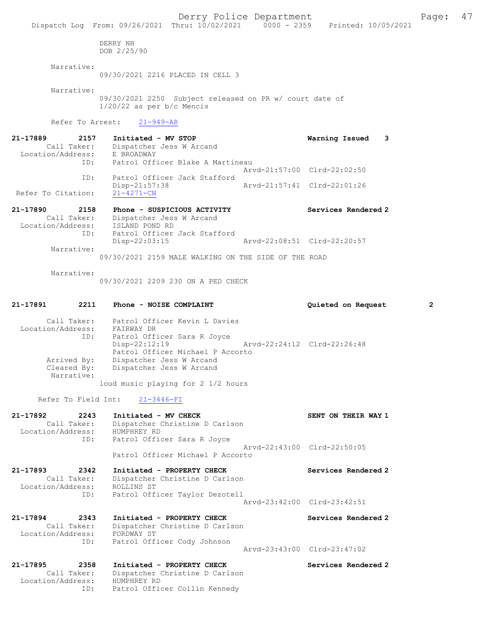Dispatch Log From: 09/26/2021 Thru: 10/02/2021 0000 - 2359 Printed: 10/05/2021 DERRY NH DOB 2/25/90 Narrative: 09/30/2021 2216 PLACED IN CELL 3 Narrative: 09/30/2021 2250 Subject released on PR w/ court date of 1/20/22 as per b/c Mencis Refer To Arrest: 21-949-AR 21-17889 2157 Initiated - MV STOP Warning Issued 3 Call Taker: Dispatcher Jess W Arcand Location/Address: E BROADWAY ID: Patrol Officer Blake A Martineau Arvd-21:57:00 Clrd-22:02:50<br>TD: Patrol Officer Jack Stafford Patrol Officer Jack Stafford<br>Disp-21:57:38 Disp-21:57:38 Arvd-21:57:41 Clrd-22:01:26 Refer To Citation: 21-4271-CN 21-17890 2158 Phone - SUSPICIOUS ACTIVITY Services Rendered 2 Call Taker: Dispatcher Jess W Arcand Location/Address: ISLAND POND RD ID: Patrol Officer Jack Stafford Disp-22:03:15 Arvd-22:08:51 Clrd-22:20:57 Narrative: 09/30/2021 2159 MALE WALKING ON THE SIDE OF THE ROAD Narrative: 09/30/2021 2209 230 ON A PED CHECK 21-17891 2211 Phone - NOISE COMPLAINT Quieted on Request 2 Call Taker: Patrol Officer Kevin L Davies Location/Address: FAIRWAY DR ID: Patrol Officer Sara R Joyce<br>Disp-22:12:19 Disp-22:12:19 Arvd-22:24:12 Clrd-22:26:48 Patrol Officer Michael P Accorto Arrived By: Dispatcher Jess W Arcand Cleared By: Dispatcher Jess W Arcand Narrative: loud music playing for 2 1/2 hours Refer To Field Int: 21-3446-FI 21-17892 2243 Initiated - MV CHECK SENT ON THEIR WAY 1 Call Taker: Dispatcher Christine D Carlson Location/Address: HUMPHREY RD ID: Patrol Officer Sara R Joyce Arvd-22:43:00 Clrd-22:50:05 Patrol Officer Michael P Accorto 21-17893 2342 Initiated - PROPERTY CHECK Services Rendered 2 Call Taker: Dispatcher Christine D Carlson Location/Address: ROLLINS ST ID: Patrol Officer Taylor Dezotell Arvd-23:42:00 Clrd-23:42:51 21-17894 2343 Initiated - PROPERTY CHECK Services Rendered 2 Call Taker: Dispatcher Christine D Carlson Location/Address: FORDWAY ST ID: Patrol Officer Cody Johnson Arvd-23:43:00 Clrd-23:47:02 21-17895 2358 Initiated - PROPERTY CHECK Services Rendered 2 Call Taker: Dispatcher Christine D Carlson

Location/Address: HUMPHREY RD

ID: Patrol Officer Collin Kennedy

Derry Police Department Fage: 47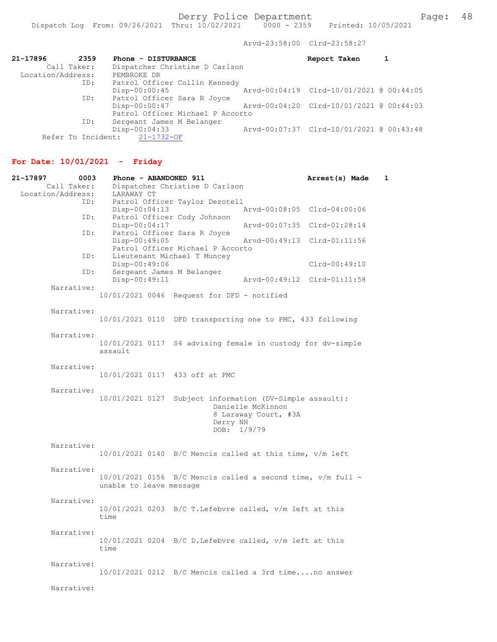Arvd-23:58:00 Clrd-23:58:27

| 21-17896          | 2359 | Phone - DISTURBANCE              | Report Taken                             |  |
|-------------------|------|----------------------------------|------------------------------------------|--|
| Call Taker:       |      | Dispatcher Christine D Carlson   |                                          |  |
| Location/Address: |      | PEMBROKE DR                      |                                          |  |
|                   | ID:  | Patrol Officer Collin Kennedy    |                                          |  |
|                   |      | Disp-00:00:45                    | Arvd-00:04:19 Clrd-10/01/2021 @ 00:44:05 |  |
|                   | ID:  | Patrol Officer Sara R Joyce      |                                          |  |
|                   |      | $Disp-00:00:47$                  | Arvd-00:04:20 Clrd-10/01/2021 @ 00:44:03 |  |
|                   |      | Patrol Officer Michael P Accorto |                                          |  |
|                   | ID:  | Sergeant James M Belanger        |                                          |  |
|                   |      | $Disp-00:04:33$                  | Arvd-00:07:37 Clrd-10/01/2021 @ 00:43:48 |  |
|                   |      | Refer To Incident: 21-1732-OF    |                                          |  |

# For Date: 10/01/2021 - Friday

| 21-17897<br>0003                 | Phone - ABANDONED 911                                                                                                               | Arrest(s) Made | $\mathbf{1}$ |
|----------------------------------|-------------------------------------------------------------------------------------------------------------------------------------|----------------|--------------|
| Call Taker:<br>Location/Address: | Dispatcher Christine D Carlson<br>LARAWAY CT                                                                                        |                |              |
| ID:                              | Patrol Officer Taylor Dezotell                                                                                                      |                |              |
| ID:                              | $Disp-00:04:13$<br>Arvd-00:08:05 Clrd-04:00:06<br>Patrol Officer Cody Johnson                                                       |                |              |
| ID:                              | Disp-00:04:17<br>Arvd-00:07:35 Clrd-01:28:14<br>Patrol Officer Sara R Joyce                                                         |                |              |
|                                  | Disp-00:49:05<br>Arvd-00:49:13 Clrd-01:11:56<br>Patrol Officer Michael P Accorto                                                    |                |              |
| ID:                              | Lieutenant Michael T Muncey<br>Disp-00:49:06                                                                                        | Clrd-00:49:10  |              |
| ID:                              | Sergeant James M Belanger<br>Disp-00:49:11<br>Arvd-00:49:12 Clrd-01:11:58                                                           |                |              |
| Narrative:                       | 10/01/2021 0046 Request for DFD - notified                                                                                          |                |              |
| Narrative:                       |                                                                                                                                     |                |              |
|                                  | 10/01/2021 0110 DFD transporting one to PMC, 433 following                                                                          |                |              |
| Narrative:                       | 10/01/2021 0117 S4 advising female in custody for dv-simple<br>assault                                                              |                |              |
| Narrative:                       |                                                                                                                                     |                |              |
|                                  | 10/01/2021 0117 433 off at PMC                                                                                                      |                |              |
| Narrative:                       | 10/01/2021 0127<br>Subject information (DV-Simple assault):<br>Danielle McKinnon<br>8 Laraway Court, #3A<br>Derry NH<br>DOB: 1/9/79 |                |              |
| Narrative:                       | $10/01/2021$ 0140 B/C Mencis called at this time, $v/m$ left                                                                        |                |              |
| Narrative:                       | $10/01/2021$ 0156 B/C Mencis called a second time, $v/m$ full -<br>unable to leave message                                          |                |              |
| Narrative:                       | 10/01/2021 0203 B/C T. Lefebvre called, v/m left at this<br>time                                                                    |                |              |
| Narrative:                       | 10/01/2021 0204 B/C D. Lefebvre called, v/m left at this<br>time                                                                    |                |              |
| Narrative:                       | $10/01/2021$ 0212 B/C Mencis called a 3rd time no answer                                                                            |                |              |
| Narrative:                       |                                                                                                                                     |                |              |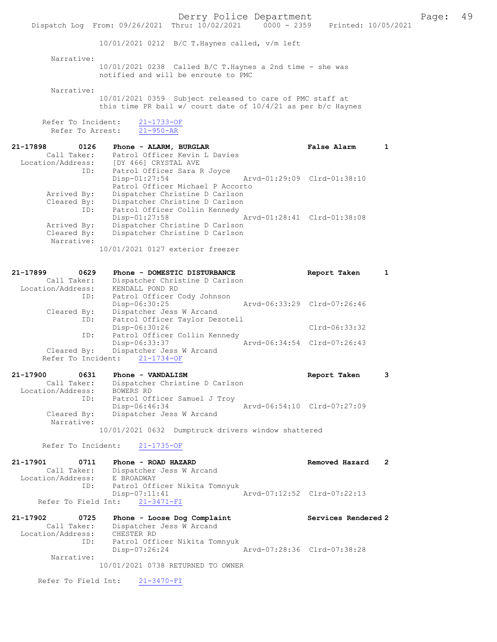Dispatch Log From: 09/26/2021 Thru: 10/02/2021 0000 - 2359 Printed: 10/05/2021 10/01/2021 0212 B/C T.Haynes called, v/m left Narrative: 10/01/2021 0238 Called B/C T.Haynes a 2nd time - she was notified and will be enroute to PMC Narrative: 10/01/2021 0359 Subject released to care of PMC staff at this time PR bail w/ court date of 10/4/21 as per b/c Haynes Refer To Incident: 21-1733-OF Refer To Arrest: 21-950-AR 21-17898 0126 Phone - ALARM, BURGLAR False Alarm 1 Call Taker: Patrol Officer Kevin L Davies Location/Address: [DY 466] CRYSTAL AVE ID: Patrol Officer Sara R Joyce Disp-01:27:54 Arvd-01:29:09 Clrd-01:38:10 Patrol Officer Michael P Accorto Arrived By: Dispatcher Christine D Carlson Cleared By: Dispatcher Christine D Carlson ID: Patrol Officer Collin Kennedy Disp-01:27:58 Arvd-01:28:41 Clrd-01:38:08 Arrived By: Dispatcher Christine D Carlson Cleared By: Dispatcher Christine D Carlson Narrative: 10/01/2021 0127 exterior freezer 21-17899 0629 Phone - DOMESTIC DISTURBANCE Report Taken 1 Call Taker: Dispatcher Christine D Carlson Location/Address: KENDALL POND RD ID: Patrol Officer Cody Johnson Disp-06:30:25 Arvd-06:33:29 Clrd-07:26:46 Cleared By: Dispatcher Jess W Arcand ID: Patrol Officer Taylor Dezotell Disp-06:30:26 Clrd-06:33:32 ID: Patrol Officer Collin Kennedy Disp-06:33:37 Arvd-06:34:54 Clrd-07:26:43 Cleared By: Dispatcher Jess W Arcand Refer To Incident: 21-1734-OF 21-17900 0631 Phone - VANDALISM Report Taken 3 Call Taker: Dispatcher Christine D Carlson Location/Address: BOWERS RD ID: Patrol Officer Samuel J Troy Disp-06:46:34 Arvd-06:54:10 Clrd-07:27:09 Cleared By: Dispatcher Jess W Arcand Narrative: 10/01/2021 0632 Dumptruck drivers window shattered Refer To Incident: 21-1735-OF 21-17901 0711 Phone - ROAD HAZARD Removed Hazard 2 Call Taker: Dispatcher Jess W Arcand

 Location/Address: E BROADWAY ID: Patrol Officer Nikita Tomnyuk<br>Disp-07:11:41 Arvd-07:12:52 Clrd-07:22:13  $Disp-07:11:41$ Refer To Field Int: 21-3471-FI

| 21-17902<br>0725<br>Call Taker: | Phone - Loose Dog Complaint<br>Dispatcher Jess W Arcand |                             | Services Rendered 2 |
|---------------------------------|---------------------------------------------------------|-----------------------------|---------------------|
| Location/Address:               | CHESTER RD                                              |                             |                     |
| ID:                             | Patrol Officer Nikita Tomnyuk<br>Disp-07:26:24          | Arvd-07:28:36 Clrd-07:38:28 |                     |
| Narrative:                      |                                                         |                             |                     |

10/01/2021 0738 RETURNED TO OWNER

Refer To Field Int: 21-3470-FI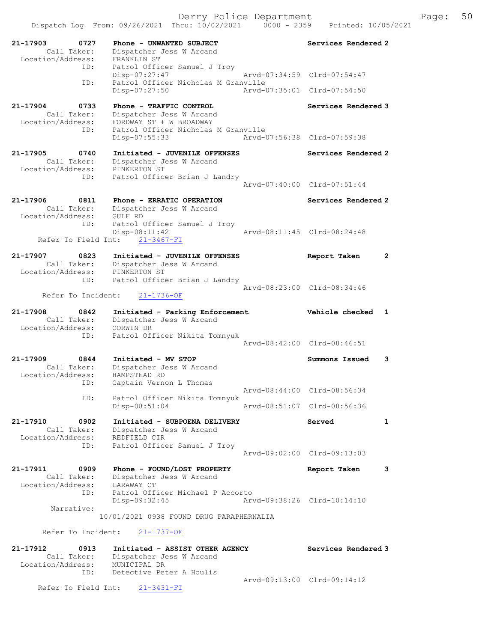| Dispatch Log From: 09/26/2021 Thru: 10/02/2021              |                                                                                                           |                             |              |
|-------------------------------------------------------------|-----------------------------------------------------------------------------------------------------------|-----------------------------|--------------|
| 21-17903<br>0727<br>Call Taker:<br>Location/Address:        | Phone - UNWANTED SUBJECT<br>Dispatcher Jess W Arcand<br>FRANKLIN ST                                       | Services Rendered 2         |              |
| ID:                                                         | Patrol Officer Samuel J Troy                                                                              |                             |              |
| ID:                                                         | Disp-07:27:47<br>Patrol Officer Nicholas M Granville                                                      | Arvd-07:34:59 Clrd-07:54:47 |              |
|                                                             | Disp-07:27:50                                                                                             | Arvd-07:35:01 Clrd-07:54:50 |              |
| 21-17904<br>0733<br>Call Taker:<br>Location/Address:        | Phone - TRAFFIC CONTROL<br>Dispatcher Jess W Arcand<br>FORDWAY ST + W BROADWAY                            | Services Rendered 3         |              |
| ID:                                                         | Patrol Officer Nicholas M Granville<br>Disp-07:55:33                                                      | Arvd-07:56:38 Clrd-07:59:38 |              |
| 21-17905<br>0740<br>Call Taker:<br>Location/Address:        | Initiated - JUVENILE OFFENSES<br>Dispatcher Jess W Arcand<br>PINKERTON ST                                 | Services Rendered 2         |              |
| ID:                                                         | Patrol Officer Brian J Landry                                                                             | Arvd-07:40:00 Clrd-07:51:44 |              |
| 21-17906<br>0811<br>Call Taker:<br>Location/Address:        | Phone - ERRATIC OPERATION<br>Dispatcher Jess W Arcand<br>GULF RD                                          | Services Rendered 2         |              |
| ID:                                                         | Patrol Officer Samuel J Troy<br>$Disp-08:11:42$<br>Refer To Field Int: 21-3467-FI                         | Aryd-08:11:45 Clrd-08:24:48 |              |
| 21-17907<br>0823<br>Call Taker:                             | Initiated - JUVENILE OFFENSES<br>Dispatcher Jess W Arcand                                                 | Report Taken                | $\mathbf{2}$ |
| Location/Address:<br>ID:<br>Refer To Incident:              | PINKERTON ST<br>Patrol Officer Brian J Landry<br>$21 - 1736 - OF$                                         | Arvd-08:23:00 Clrd-08:34:46 |              |
|                                                             |                                                                                                           |                             |              |
| 21-17908<br>0842                                            | Initiated - Parking Enforcement                                                                           | Vehicle checked             | 1            |
| Call Taker:<br>Location/Address:                            | Dispatcher Jess W Arcand<br>CORWIN DR                                                                     |                             |              |
| ID:                                                         | Patrol Officer Nikita Tomnyuk                                                                             | Arvd-08:42:00 Clrd-08:46:51 |              |
| 21-17909<br>0844<br>Call Taker:<br>Location/Address:        | Initiated - MV STOP<br>Dispatcher Jess W Arcand<br>HAMPSTEAD RD                                           | Summons Issued              | 3            |
| ID:                                                         | Captain Vernon L Thomas                                                                                   | Arvd-08:44:00 Clrd-08:56:34 |              |
| ID:                                                         | Patrol Officer Nikita Tomnyuk<br>$Disp-08:51:04$                                                          | Arvd-08:51:07 Clrd-08:56:36 |              |
| 21-17910<br>0902<br>Call Taker:<br>Location/Address:        | Initiated - SUBPOENA DELIVERY<br>Dispatcher Jess W Arcand<br>REDFIELD CIR                                 | Served                      | 1            |
| ID:                                                         | Patrol Officer Samuel J Troy                                                                              | Arvd-09:02:00 Clrd-09:13:03 |              |
| 21-17911<br>0909<br>Call Taker:<br>Location/Address:<br>ID: | Phone - FOUND/LOST PROPERTY<br>Dispatcher Jess W Arcand<br>LARAWAY CT<br>Patrol Officer Michael P Accorto | Report Taken                | 3            |
|                                                             | Disp-09:32:45                                                                                             | Arvd-09:38:26 Clrd-10:14:10 |              |
| Narrative:                                                  | 10/01/2021 0938 FOUND DRUG PARAPHERNALIA                                                                  |                             |              |
| Refer To Incident:                                          | $21 - 1737 - OF$                                                                                          |                             |              |
| 21-17912<br>0913<br>Call Taker:<br>Location/Address:        | Initiated - ASSIST OTHER AGENCY<br>Dispatcher Jess W Arcand<br>MUNICIPAL DR                               | Services Rendered 3         |              |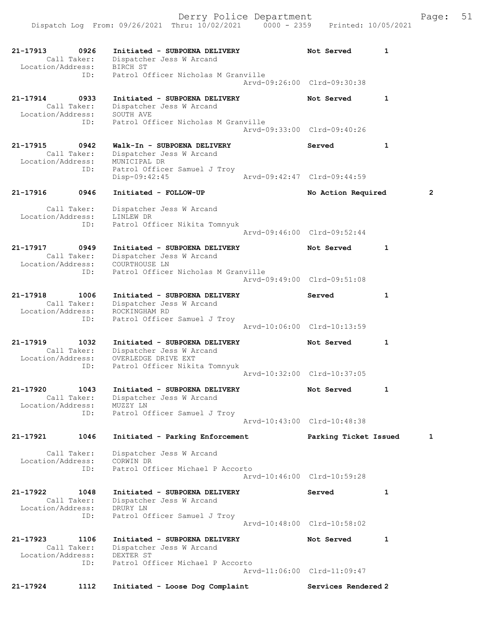Dispatch Log From: 09/26/2021 Thru: 10/02/2021 0000 - 2359 Printed: 10/05/2021 21-17913 0926 Initiated - SUBPOENA DELIVERY Not Served 1 Call Taker: Dispatcher Jess W Arcand Location/Address: BIRCH ST ID: Patrol Officer Nicholas M Granville Arvd-09:26:00 Clrd-09:30:38 21-17914 0933 Initiated - SUBPOENA DELIVERY Not Served 1 Call Taker: Dispatcher Jess W Arcand Location/Address: SOUTH AVE ID: Patrol Officer Nicholas M Granville Arvd-09:33:00 Clrd-09:40:26 21-17915 0942 Walk-In - SUBPOENA DELIVERY Served 1 Call Taker: Dispatcher Jess W Arcand Location/Address: MUNICIPAL DR ID: Patrol Officer Samuel J Troy<br>Disp-09:42:45 Arvd-09:42:47 Clrd-09:44:59 Disp-09:42:45 21-17916 0946 Initiated - FOLLOW-UP No Action Required 2 Call Taker: Dispatcher Jess W Arcand Location/Address: LINLEW DR ID: Patrol Officer Nikita Tomnyuk Arvd-09:46:00 Clrd-09:52:44 21-17917 0949 Initiated - SUBPOENA DELIVERY Not Served 1 Call Taker: Dispatcher Jess W Arcand Location/Address: COURTHOUSE LN ID: Patrol Officer Nicholas M Granville Arvd-09:49:00 Clrd-09:51:08 21-17918 1006 Initiated - SUBPOENA DELIVERY Served 1 Call Taker: Dispatcher Jess W Arcand Location/Address: ROCKINGHAM RD ID: Patrol Officer Samuel J Troy Arvd-10:06:00 Clrd-10:13:59 21-17919 1032 Initiated - SUBPOENA DELIVERY Not Served 1 Call Taker: Dispatcher Jess W Arcand Location/Address: OVERLEDGE DRIVE EXT ID: Patrol Officer Nikita Tomnyuk Arvd-10:32:00 Clrd-10:37:05 21-17920 1043 Initiated - SUBPOENA DELIVERY Not Served 1 Call Taker: Dispatcher Jess W Arcand Location/Address: MUZZY LN ID: Patrol Officer Samuel J Troy Arvd-10:43:00 Clrd-10:48:38 21-17921 1046 Initiated - Parking Enforcement Parking Ticket Issued 1 Call Taker: Dispatcher Jess W Arcand Location/Address: CORWIN DR ID: Patrol Officer Michael P Accorto Arvd-10:46:00 Clrd-10:59:28 21-17922 1048 Initiated - SUBPOENA DELIVERY Served 1 Call Taker: Dispatcher Jess W Arcand Location/Address: DRURY LN ID: Patrol Officer Samuel J Troy Arvd-10:48:00 Clrd-10:58:02 21-17923 1106 Initiated - SUBPOENA DELIVERY Not Served 1 Call Taker: Dispatcher Jess W Arcand Location/Address: DEXTER ST ID: Patrol Officer Michael P Accorto Arvd-11:06:00 Clrd-11:09:47

Derry Police Department Fage: 51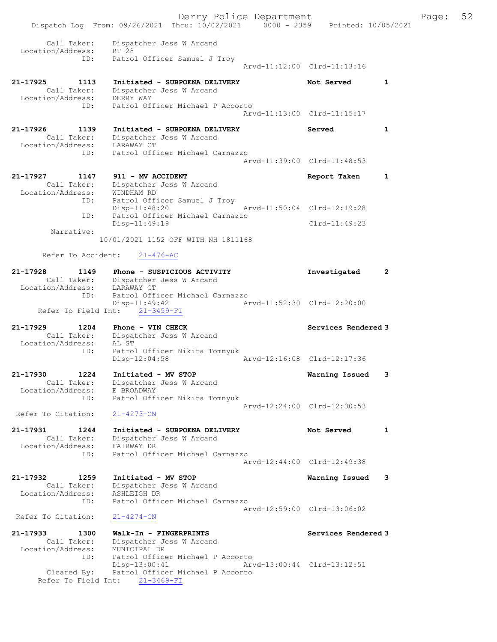|                                                                                          | Dispatch Log From: 09/26/2021 Thru: 10/02/2021 0000 - 2359 Printed: 10/05/2021                 | Derry Police Department     |                             |                | Page: 52 |  |
|------------------------------------------------------------------------------------------|------------------------------------------------------------------------------------------------|-----------------------------|-----------------------------|----------------|----------|--|
| Call Taker:<br>Location/Address:                                                         | Dispatcher Jess W Arcand<br>RT 28                                                              |                             |                             |                |          |  |
| ID:                                                                                      | Patrol Officer Samuel J Troy                                                                   | Arvd-11:12:00 Clrd-11:13:16 |                             |                |          |  |
| 21-17925<br>1113<br>Call Taker:<br>Call Taker: Dispatcher<br>Location/Address: DERRY WAY | Initiated - SUBPOENA DELIVERY<br>Dispatcher Jess W Arcand                                      |                             | Not Served                  | 1              |          |  |
| ID:                                                                                      | Patrol Officer Michael P Accorto                                                               |                             | Arvd-11:13:00 Clrd-11:15:17 |                |          |  |
| 21-17926<br>1139<br>Call Taker:                                                          | Initiated - SUBPOENA DELIVERY<br>Dispatcher Jess W Arcand                                      |                             | Served                      | 1              |          |  |
| Location/Address: LARAWAY CT<br>ID:                                                      | Patrol Officer Michael Carnazzo                                                                |                             | Arvd-11:39:00 Clrd-11:48:53 |                |          |  |
|                                                                                          |                                                                                                |                             |                             |                |          |  |
| $21 - 17927$<br>1147<br>Call Taker:<br>Location/Address: WINDHAM RD<br>ID:               | 911 - MV ACCIDENT<br>Dispatcher Jess W Arcand<br>Patrol Officer Samuel J Troy                  |                             | Report Taken                | 1              |          |  |
| ID:                                                                                      | $Disp-11:48:20$<br>Patrol Officer Michael Carnazzo                                             | Arvd-11:50:04 Clrd-12:19:28 |                             |                |          |  |
| Narrative:                                                                               | $Disp-11:49:19$                                                                                |                             | Clrd-11:49:23               |                |          |  |
|                                                                                          | 10/01/2021 1152 OFF WITH NH 1811168                                                            |                             |                             |                |          |  |
| Refer To Accident:                                                                       | $21 - 476 - AC$                                                                                |                             |                             |                |          |  |
| 21-17928<br>1149                                                                         | Phone - SUSPICIOUS ACTIVITY<br>Call Taker: Dispatcher Jess W Arcand                            |                             | Investigated                | $\overline{2}$ |          |  |
| Location/Address:<br>ID:<br>Refer To Field Int:                                          | LARAWAY CT<br>Patrol Officer Michael Carnazzo<br>$Disp-11:49:42$                               | Arvd-11:52:30 Clrd-12:20:00 |                             |                |          |  |
|                                                                                          | $21 - 3459 - FI$                                                                               |                             |                             |                |          |  |
| 21-17929<br>1204<br>Call Taker:<br>Location/Address:                                     | Phone - VIN CHECK<br>Dispatcher Jess W Arcand<br>AL ST                                         |                             | Services Rendered 3         |                |          |  |
| ID:                                                                                      | Patrol Officer Nikita Tomnyuk<br>Disp-12:04:58                                                 | Arvd-12:16:08 Clrd-12:17:36 |                             |                |          |  |
| 21-17930<br>1224<br>Call Taker:<br>Location/Address:<br>ID:                              | Initiated - MV STOP<br>Dispatcher Jess W Arcand<br>E BROADWAY<br>Patrol Officer Nikita Tomnyuk |                             | Warning Issued              | 3              |          |  |
| Refer To Citation:                                                                       | $21 - 4273 - CN$                                                                               |                             | Arvd-12:24:00 Clrd-12:30:53 |                |          |  |
| 21-17931<br>1244<br>Call Taker:<br>Location/Address:                                     | Initiated - SUBPOENA DELIVERY<br>Dispatcher Jess W Arcand<br>FAIRWAY DR                        |                             | Not Served                  | 1              |          |  |
| ID:                                                                                      | Patrol Officer Michael Carnazzo                                                                |                             | Aryd-12:44:00 Clrd-12:49:38 |                |          |  |
| 21-17932<br>1259<br>Call Taker:<br>Location/Address:                                     | Initiated - MV STOP<br>Dispatcher Jess W Arcand<br>ASHLEIGH DR                                 |                             | Warning Issued 3            |                |          |  |
| ID:<br>Refer To Citation:                                                                | Patrol Officer Michael Carnazzo<br>$21 - 4274 - CN$                                            | Arvd-12:59:00 Clrd-13:06:02 |                             |                |          |  |
| 21-17933<br>1300                                                                         | Walk-In - FINGERPRINTS                                                                         |                             | Services Rendered 3         |                |          |  |
| Call Taker:<br>Location/Address:<br>ID:                                                  | Dispatcher Jess W Arcand<br>MUNICIPAL DR<br>Patrol Officer Michael P Accorto                   |                             |                             |                |          |  |
| Cleared By:<br>Refer To Field Int:                                                       | $Disp-13:00:41$<br>Patrol Officer Michael P Accorto<br>$21 - 3469 - FI$                        | Arvd-13:00:44 Clrd-13:12:51 |                             |                |          |  |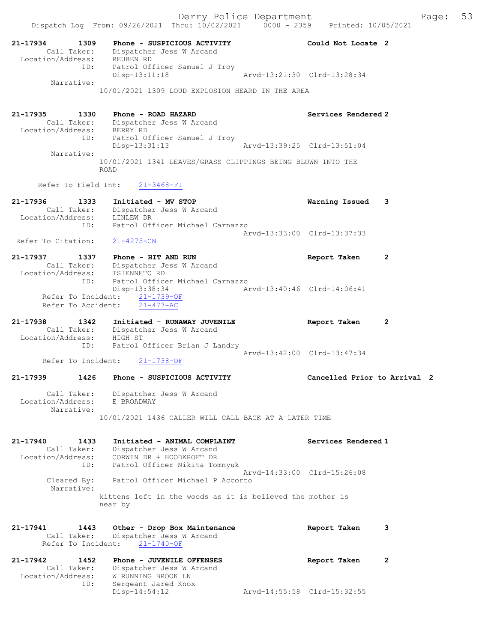21-17934 1309 Phone - SUSPICIOUS ACTIVITY Could Not Locate 2 Call Taker: Dispatcher Jess W Arcand Location/Address: REUBEN RD ID: Patrol Officer Samuel J Troy Disp-13:11:18 Arvd-13:21:30 Clrd-13:28:34 Narrative: 10/01/2021 1309 LOUD EXPLOSION HEARD IN THE AREA 21-17935 1330 Phone - ROAD HAZARD Services Rendered 2 Call Taker: Dispatcher Jess W Arcand Location/Address: BERRY RD ID: Patrol Officer Samuel J Troy Disp-13:31:13 Arvd-13:39:25 Clrd-13:51:04 Narrative: 10/01/2021 1341 LEAVES/GRASS CLIPPINGS BEING BLOWN INTO THE ROAD Refer To Field Int: 21-3468-FI 21-17936 1333 Initiated - MV STOP Warning Issued 3 Call Taker: Dispatcher Jess W Arcand Location/Address: LINLEW DR ID: Patrol Officer Michael Carnazzo Arvd-13:33:00 Clrd-13:37:33 Refer To Citation: 21-4275-CN 21-17937 1337 Phone - HIT AND RUN Report Taken 2 Call Taker: Dispatcher Jess W Arcand Location/Address: TSIENNETO RD ID: Patrol Officer Michael Carnazzo Disp-13:38:34 Arvd-13:40:46 Clrd-14:06:41 Refer To Incident: 21-1739-OF Refer To Accident: 21-477-AC 21-17938 1342 Initiated - RUNAWAY JUVENILE Report Taken 2 Call Taker: Dispatcher Jess W Arcand Location/Address: HIGH ST ID: Patrol Officer Brian J Landry Arvd-13:42:00 Clrd-13:47:34 Refer To Incident: 21-1738-OF 21-17939 1426 Phone - SUSPICIOUS ACTIVITY Cancelled Prior to Arrival 2 Call Taker: Dispatcher Jess W Arcand Location/Address: E BROADWAY Narrative: 10/01/2021 1436 CALLER WILL CALL BACK AT A LATER TIME 21-17940 1433 Initiated - ANIMAL COMPLAINT Services Rendered 1 Call Taker: Dispatcher Jess W Arcand Location/Address: CORWIN DR + HOODKROFT DR ID: Patrol Officer Nikita Tomnyuk Arvd-14:33:00 Clrd-15:26:08 Cleared By: Patrol Officer Michael P Accorto Narrative: kittens left in the woods as it is believed the mother is near by 21-17941 1443 Other - Drop Box Maintenance Report Taken 3 Call Taker: Dispatcher Jess W Arcand Refer To Incident: 21-1740-OF 21-17942 1452 Phone - JUVENILE OFFENSES Report Taken 2 Call Taker: Dispatcher Jess W Arcand Location/Address: W RUNNING BROOK LN ID: Sergeant Jared Knox Disp-14:54:12 Arvd-14:55:58 Clrd-15:32:55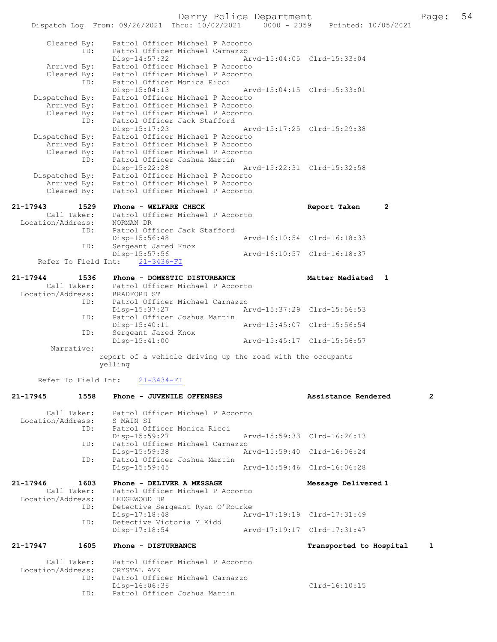Derry Police Department Form Page: 54 Dispatch Log From: 09/26/2021 Thru: 10/02/2021 0000 - 2359 Printed: 10/05/2021 Cleared By: Patrol Officer Michael P Accorto ID: Patrol Officer Michael Carnazzo Disp-14:57:32 Arvd-15:04:05 Clrd-15:33:04<br>Arrived By: Patrol Officer Michael P Accorto Arrived By: Patrol Officer Michael P Accorto<br>Cleared By: Patrol Officer Michael P Accorto Patrol Officer Michael P Accorto ID: Patrol Officer Monica Ricci Disp-15:04:13 Arvd-15:04:15 Clrd-15:33:01 Dispatched By: Patrol Officer Michael P Accorto Arrived By: Factor Sincer Michael P Accorto Cleared By: Patrol Officer Michael P Accorto ID: Patrol Officer Jack Stafford<br>Disp-15:17:23 Arvd-15:17:25 Clrd-15:29:38 Disp-15:17:23 Arvd-15:17:25 Clrd-15:29:38 Dispatched By: Patrol Officer Michael P Accorto Arrived By: Patrol Officer Michael P Accorto Cleared By: Patrol Officer Michael P Accorto ID: Patrol Officer Joshua Martin Disp-15:22:28 Arvd-15:22:31 Clrd-15:32:58 Dispatched By: Patrol Officer Michael P Accorto Arrived By: Patrol Officer Michael P Accorto Cleared By: Patrol Officer Michael P Accorto 21-17943 1529 Phone - WELFARE CHECK 2 Report Taken 2 Call Taker: Patrol Officer Michael P Accorto<br>ion/Address: NORMAN DR Location/Address:<br>ID: Patrol Officer Jack Stafford Disp-15:56:48 Arvd-16:10:54 Clrd-16:18:33<br>ID: Sergeant Jared Knox Sergeant Jared Knox<br>Disp-15:57:56 Arvd-16:10:57 Clrd-16:18:37 Refer To Field Int: 21-3436-FI 21-17944 1536 Phone - DOMESTIC DISTURBANCE Matter Mediated 1 Call Taker: Patrol Officer Michael P Accorto Patrol Officer Michael P Accorto<br>BRADFORD ST Location/Address:<br>ID: Patrol Officer Michael Carnazzo<br>Disp-15:37:27 A Disp-15:37:27 Arvd-15:37:29 Clrd-15:56:53 ID: Patrol Officer Joshua Martin Disp-15:40:11 Arvd-15:45:07 Clrd-15:56:54<br>TD: Sergeant Jared Knox Sergeant Jared Knox<br>Disp-15:41:00 Arvd-15:45:17 Clrd-15:56:57 Narrative: report of a vehicle driving up the road with the occupants yelling Refer To Field Int: 21-3434-FI 21-17945 1558 Phone - JUVENILE OFFENSES Assistance Rendered 2 Call Taker: Patrol Officer Michael P Accorto<br>ion/Address: S MAIN ST Location/Address:<br>ID: Patrol Officer Monica Ricci<br>Disp-15:59:27 Arvd-15:59:33 Clrd-16:26:13 ID: Patrol Officer Michael Carnazzo Disp-15:59:38 Arvd-15:59:40 Clrd-16:06:24<br>ID: Patrol Officer Joshua Martin Patrol Officer Joshua Martin<br>Disp-15:59:45 Disp-15:59:45 Arvd-15:59:46 Clrd-16:06:28

21-17946 1603 Phone - DELIVER A MESSAGE Message Delivered 1 Call Taker: Patrol Officer Michael P Accorto Patrol Officer Michael P Accorto<br>LEDGEWOOD DR Location/Address:<br>TD: Detective Sergeant Ryan O'Rourke<br>Disp-17:18:48 Ar Disp-17:18:48 Arvd-17:19:19 Clrd-17:31:49<br>ID: Detective Victoria M Kidd Detective Victoria M Kidd<br>Disp-17:18:54 Arvd-17:19:17 Clrd-17:31:47

21-17947 1605 Phone - DISTURBANCE 1 1 Transported to Hospital 1 Call Taker: Patrol Officer Michael P Accorto<br>on/Address: CRYSTAL AVE Location/Address: ID: Patrol Officer Michael Carnazzo Disp-16:06:36 Clrd-16:10:15<br>ID: Patrol Officer Joshua Martin Patrol Officer Joshua Martin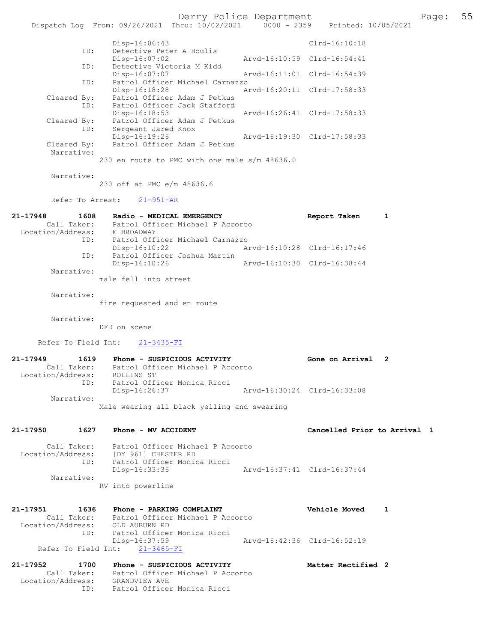|                                     | Dispatch Log From: 09/26/2021 Thru: 10/02/2021 0000 - 2359 Printed: 10/05/2021 | Derry Police Department     |                             | Page:                        | 55 |
|-------------------------------------|--------------------------------------------------------------------------------|-----------------------------|-----------------------------|------------------------------|----|
|                                     | Disp-16:06:43                                                                  |                             | Clrd-16:10:18               |                              |    |
| ID:                                 | Detective Peter A Houlis<br>Disp-16:07:02                                      | Arvd-16:10:59 Clrd-16:54:41 |                             |                              |    |
| ID:                                 | Detective Victoria M Kidd<br>Disp-16:07:07                                     |                             | Arvd-16:11:01 Clrd-16:54:39 |                              |    |
| ID:                                 | Patrol Officer Michael Carnazzo                                                |                             |                             |                              |    |
| Cleared By:                         | Disp-16:18:28<br>Patrol Officer Adam J Petkus                                  |                             | Arvd-16:20:11 Clrd-17:58:33 |                              |    |
| ID:                                 | Patrol Officer Jack Stafford<br>$Disp-16:18:53$                                |                             | Arvd-16:26:41 Clrd-17:58:33 |                              |    |
| ID:                                 | Cleared By: Patrol Officer Adam J Petkus<br>Sergeant Jared Knox                |                             |                             |                              |    |
|                                     | Disp-16:19:26                                                                  |                             | Arvd-16:19:30 Clrd-17:58:33 |                              |    |
| Cleared By:<br>Narrative:           | Patrol Officer Adam J Petkus                                                   |                             |                             |                              |    |
|                                     | 230 en route to PMC with one male s/m 48636.0                                  |                             |                             |                              |    |
| Narrative:                          | 230 off at PMC e/m 48636.6                                                     |                             |                             |                              |    |
|                                     | Refer To Arrest: 21-951-AR                                                     |                             |                             |                              |    |
| 21-17948<br>1608                    | Radio - MEDICAL EMERGENCY                                                      |                             | Report Taken 1              |                              |    |
|                                     | Call Taker: Patrol Officer Michael P Accorto                                   |                             |                             |                              |    |
| Location/Address: E BROADWAY<br>ID: | Patrol Officer Michael Carnazzo                                                |                             |                             |                              |    |
| ID:                                 | $Disp-16:10:22$<br>Patrol Officer Joshua Martin                                |                             | Arvd-16:10:28 Clrd-16:17:46 |                              |    |
| Narrative:                          | Disp-16:10:26                                                                  |                             | Arvd-16:10:30 Clrd-16:38:44 |                              |    |
|                                     | male fell into street                                                          |                             |                             |                              |    |
| Narrative:                          |                                                                                |                             |                             |                              |    |
|                                     | fire requested and en route                                                    |                             |                             |                              |    |
| Narrative:                          | DFD on scene                                                                   |                             |                             |                              |    |
|                                     | Refer To Field Int: 21-3435-FI                                                 |                             |                             |                              |    |
| 21-17949<br>1619                    | Phone - SUSPICIOUS ACTIVITY                                                    |                             | Gone on Arrival 2           |                              |    |
| Call Taker:<br>Location/Address:    | Patrol Officer Michael P Accorto<br>ROLLINS ST                                 |                             |                             |                              |    |
| ID:                                 | Patrol Officer Monica Ricci<br>Disp-16:26:37                                   |                             | Arvd-16:30:24 Clrd-16:33:08 |                              |    |
| Narrative:                          |                                                                                |                             |                             |                              |    |
|                                     | Male wearing all black yelling and swearing                                    |                             |                             |                              |    |
| 21-17950<br>1627                    | Phone - MV ACCIDENT                                                            |                             |                             | Cancelled Prior to Arrival 1 |    |
|                                     | Call Taker: Patrol Officer Michael P Accorto                                   |                             |                             |                              |    |
| ID:                                 | Location/Address: [DY 961] CHESTER RD<br>Patrol Officer Monica Ricci           |                             |                             |                              |    |
| Narrative:                          | Disp-16:33:36                                                                  | Arvd-16:37:41 Clrd-16:37:44 |                             |                              |    |
|                                     | RV into powerline                                                              |                             |                             |                              |    |
| 21–17951                            | 1636 Phone - PARKING COMPLAINT                                                 |                             | Vehicle Moved               | $\mathbf{1}$                 |    |
| Location/Address: OLD AUBURN RD     | Call Taker: Patrol Officer Michael P Accorto                                   |                             |                             |                              |    |
| ID:                                 | Patrol Officer Monica Ricci<br>Disp-16:37:59                                   |                             | Arvd-16:42:36 Clrd-16:52:19 |                              |    |
|                                     | Refer To Field Int: 21-3465-FI                                                 |                             |                             |                              |    |
| 21-17952                            | 1700 Phone - SUSPICIOUS ACTIVITY                                               |                             | Matter Rectified 2          |                              |    |
| Location/Address: GRANDVIEW AVE     | Call Taker: Patrol Officer Michael P Accorto                                   |                             |                             |                              |    |
|                                     | ID: Patrol Officer Monica Ricci                                                |                             |                             |                              |    |
|                                     |                                                                                |                             |                             |                              |    |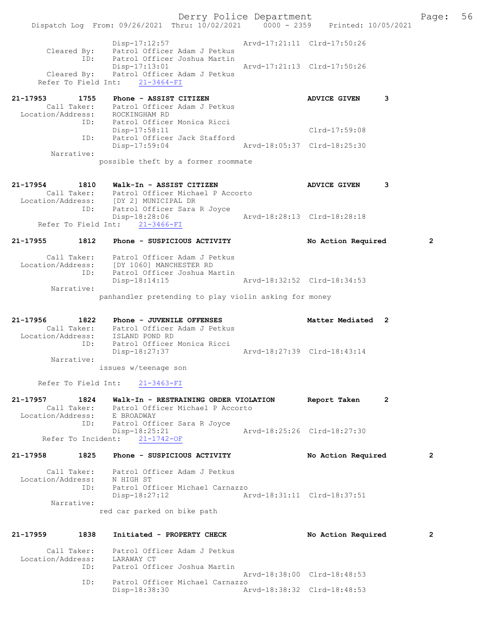Derry Police Department Fage: 56 Dispatch Log From: 09/26/2021 Thru: 10/02/2021 0000 - 2359 Printed: 10/05/2021 Disp-17:12:57 Arvd-17:21:11 Clrd-17:50:26 Cleared By: Patrol Officer Adam J Petkus ID: Patrol Officer Joshua Martin Disp-17:13:01 Arvd-17:21:13 Clrd-17:50:26 Cleared By: Patrol Officer Adam J Petkus Refer To Field Int: 21-3464-FI 21-17953 1755 Phone - ASSIST CITIZEN ANNICE GIVEN 3 Call Taker: Patrol Officer Adam J Petkus Location/Address: ROCKINGHAM RD ID: Patrol Officer Monica Ricci Disp-17:58:11 Clrd-17:59:08 ID: Patrol Officer Jack Stafford Disp-17:59:04 Arvd-18:05:37 Clrd-18:25:30 Narrative: possible theft by a former roommate 21-17954 1810 Walk-In - ASSIST CITIZEN ADVICE GIVEN 3 Call Taker: Patrol Officer Michael P Accorto Location/Address: [DY 2] MUNICIPAL DR ID: Patrol Officer Sara R Joyce Disp-18:28:06 Arvd-18:28:13 Clrd-18:28:18 Refer To Field Int: 21-3466-FI 21-17955 1812 Phone - SUSPICIOUS ACTIVITY No Action Required 2 Call Taker: Patrol Officer Adam J Petkus Location/Address: [DY 1060] MANCHESTER RD ID: Patrol Officer Joshua Martin Disp-18:14:15 Arvd-18:32:52 Clrd-18:34:53 Narrative: panhandler pretending to play violin asking for money 21-17956 1822 Phone - JUVENILE OFFENSES Matter Mediated 2

| 22 1739           | TULL        | ------ | oovenia offenoco             |  |                             | mattel meulateu z |  |
|-------------------|-------------|--------|------------------------------|--|-----------------------------|-------------------|--|
|                   | Call Taker: |        | Patrol Officer Adam J Petkus |  |                             |                   |  |
| Location/Address: |             |        | ISLAND POND RD               |  |                             |                   |  |
|                   | ID:         |        | Patrol Officer Monica Ricci  |  |                             |                   |  |
|                   |             |        | Disp-18:27:37                |  | Arvd-18:27:39 Clrd-18:43:14 |                   |  |
|                   | Narrative:  |        |                              |  |                             |                   |  |

issues w/teenage son

Refer To Field Int: 21-3463-FI

| 21-17957          | 1824        | Walk-In - RESTRAINING ORDER VIOLATION | Report Taken                |  |
|-------------------|-------------|---------------------------------------|-----------------------------|--|
|                   | Call Taker: | Patrol Officer Michael P Accorto      |                             |  |
| Location/Address: |             | E BROADWAY                            |                             |  |
|                   | ID:         | Patrol Officer Sara R Joyce           |                             |  |
|                   |             | Disp-18:25:21                         | Arvd-18:25:26 Clrd-18:27:30 |  |
|                   |             | Refer To Incident: 21-1742-OF         |                             |  |

21-17958 1825 Phone - SUSPICIOUS ACTIVITY No Action Required 2 Call Taker: Patrol Officer Adam J Petkus Location/Address: N HIGH ST ID: Patrol Officer Michael Carnazzo Disp-18:27:12 Arvd-18:31:11 Clrd-18:37:51 Narrative:

red car parked on bike path

| 21-17959          | 1838        | Initiated - PROPERTY CHECK                       | No Action Required          | 2 |
|-------------------|-------------|--------------------------------------------------|-----------------------------|---|
| Location/Address: | Call Taker: | Patrol Officer Adam J Petkus<br>LARAWAY CT       |                             |   |
|                   | ID:         | Patrol Officer Joshua Martin                     | Aryd-18:38:00 Clrd-18:48:53 |   |
|                   | ID:         | Patrol Officer Michael Carnazzo<br>Disp-18:38:30 | Arvd-18:38:32 Clrd-18:48:53 |   |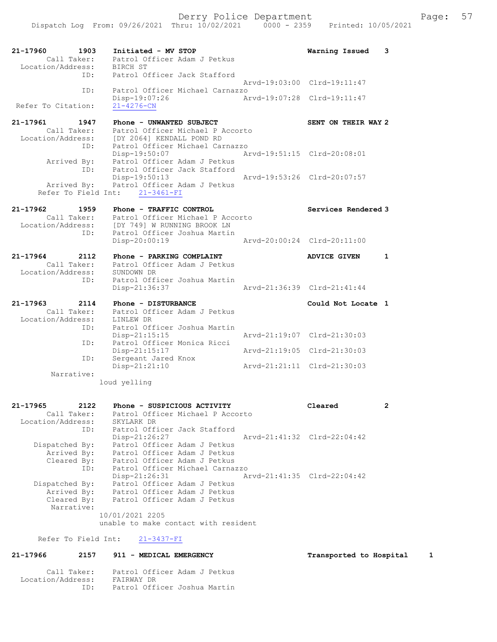| 21-17960<br>1903           | Initiated - MV STOP                                          | Warning Issued<br>3         |
|----------------------------|--------------------------------------------------------------|-----------------------------|
| Call Taker:                | Patrol Officer Adam J Petkus                                 |                             |
| Location/Address:          | <b>BIRCH ST</b>                                              |                             |
| ID:                        | Patrol Officer Jack Stafford                                 | Arvd-19:03:00 Clrd-19:11:47 |
| ID:                        | Patrol Officer Michael Carnazzo                              |                             |
|                            | Disp-19:07:26                                                | Arvd-19:07:28 Clrd-19:11:47 |
| Refer To Citation:         | $21 - 4276 - CN$                                             |                             |
| 21-17961<br>1947           | Phone - UNWANTED SUBJECT                                     | SENT ON THEIR WAY 2         |
| Call Taker:                | Patrol Officer Michael P Accorto                             |                             |
| Location/Address:          | [DY 2064] KENDALL POND RD                                    |                             |
| ID:                        | Patrol Officer Michael Carnazzo                              |                             |
| Arrived By:                | Disp-19:50:07<br>Patrol Officer Adam J Petkus                | Arvd-19:51:15 Clrd-20:08:01 |
| ID:                        | Patrol Officer Jack Stafford                                 |                             |
|                            | Disp-19:50:13                                                | Arvd-19:53:26 Clrd-20:07:57 |
| Arrived By:                | Patrol Officer Adam J Petkus                                 |                             |
| Refer To Field Int:        | $21 - 3461 - FI$                                             |                             |
| 21-17962<br>1959           | Phone - TRAFFIC CONTROL                                      | Services Rendered 3         |
| Call Taker:                | Patrol Officer Michael P Accorto                             |                             |
| Location/Address:          | [DY 749] W RUNNING BROOK LN                                  |                             |
| ID:                        | Patrol Officer Joshua Martin<br>Disp-20:00:19                | Arvd-20:00:24 Clrd-20:11:00 |
|                            |                                                              |                             |
| 21-17964<br>2112           | Phone - PARKING COMPLAINT                                    | <b>ADVICE GIVEN</b><br>1    |
| Call Taker:                | Patrol Officer Adam J Petkus                                 |                             |
| Location/Address:          | SUNDOWN DR                                                   |                             |
| ID:                        | Patrol Officer Joshua Martin                                 |                             |
|                            | Disp-21:36:37                                                | Arvd-21:36:39 Clrd-21:41:44 |
| 21-17963<br>2114           | Phone - DISTURBANCE                                          |                             |
| Call Taker:                |                                                              |                             |
|                            |                                                              | Could Not Locate 1          |
|                            | Patrol Officer Adam J Petkus                                 |                             |
| Location/Address:<br>ID:   | LINLEW DR<br>Patrol Officer Joshua Martin                    |                             |
|                            | Disp-21:15:15                                                | Arvd-21:19:07 Clrd-21:30:03 |
| ID:                        | Patrol Officer Monica Ricci                                  |                             |
|                            | Disp-21:15:17                                                | Aryd-21:19:05 Clrd-21:30:03 |
| ID:                        | Sergeant Jared Knox                                          |                             |
|                            | Disp-21:21:10                                                | Arvd-21:21:11 Clrd-21:30:03 |
| Narrative:                 |                                                              |                             |
|                            | loud yelling                                                 |                             |
| 2122<br>21-17965           | Phone - SUSPICIOUS ACTIVITY                                  | Cleared<br>$\mathbf{2}$     |
| Call Taker:                | Patrol Officer Michael P Accorto                             |                             |
| Location/Address:          | SKYLARK DR                                                   |                             |
| ID:                        | Patrol Officer Jack Stafford                                 |                             |
|                            | Disp-21:26:27                                                | Arvd-21:41:32 Clrd-22:04:42 |
| Dispatched By:             | Patrol Officer Adam J Petkus<br>Patrol Officer Adam J Petkus |                             |
| Arrived By:<br>Cleared By: | Patrol Officer Adam J Petkus                                 |                             |

| 21-17965          | 2122        | Phone - SUSPICIOUS ACTIVITY<br>Cleared         | $\mathbf{z}$ |
|-------------------|-------------|------------------------------------------------|--------------|
|                   | Call Taker: | Patrol Officer Michael P Accorto               |              |
| Location/Address: |             | SKYLARK DR                                     |              |
|                   | ID:         | Patrol Officer Jack Stafford                   |              |
|                   |             | Arvd-21:41:32 Clrd-22:04:42<br>$Disp-21:26:27$ |              |
| Dispatched By:    |             | Patrol Officer Adam J Petkus                   |              |
|                   | Arrived By: | Patrol Officer Adam J Petkus                   |              |
|                   | Cleared By: | Patrol Officer Adam J Petkus                   |              |
|                   | ID:         | Patrol Officer Michael Carnazzo                |              |
|                   |             | Arvd-21:41:35 Clrd-22:04:42<br>$Disp-21:26:31$ |              |
| Dispatched By:    |             | Patrol Officer Adam J Petkus                   |              |
|                   | Arrived By: | Patrol Officer Adam J Petkus                   |              |
|                   | Cleared By: | Patrol Officer Adam J Petkus                   |              |
|                   | Narrative:  |                                                |              |
|                   |             | 10/01/2021 2205                                |              |
|                   |             | unable to make contact with resident           |              |

Refer To Field Int: 21-3437-FI

| 21-17966 | 2157 911 - MEDICAL EMERGENCY | Transported to Hospital |
|----------|------------------------------|-------------------------|
|          |                              |                         |

| Call Taker:       | Patrol Officer Adam J Petkus |
|-------------------|------------------------------|
| Location/Address: | FAIRWAY DR                   |
| TD:               | Patrol Officer Joshua Martin |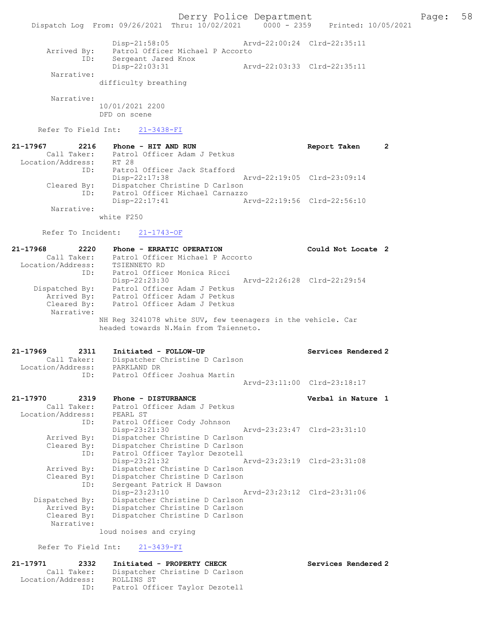Derry Police Department Form Page: 58

Dispatch Log From:  $09/26/2021$  Thru:  $10/02/2021$  0000 - 2359 Printed: 10/05/2021 Disp-21:58:05 Arvd-22:00:24 Clrd-22:35:11 Arrived By: Patrol Officer Michael P Accorto ID: Sergeant Jared Knox Disp-22:03:31 Arvd-22:03:33 Clrd-22:35:11 Narrative: difficulty breathing

Narrative:

10/01/2021 2200 DFD on scene

Refer To Field Int: 21-3438-FI

21-17967 2216 Phone - HIT AND RUN Report Taken 2 Call Taker: Patrol Officer Adam J Petkus Location/Address: RT 28 ID: Patrol Officer Jack Stafford<br>Disp-22:17:38 Disp-22:17:38 Arvd-22:19:05 Clrd-23:09:14 Cleared By: Dispatcher Christine D Carlson ID: Patrol Officer Michael Carnazzo Arvd-22:19:56 Clrd-22:56:10 Narrative:

white F250

Refer To Incident: 21-1743-OF

21-17968 2220 Phone - ERRATIC OPERATION Could Not Locate 2 Call Taker: Patrol Officer Michael P Accorto<br>tion/Address: TSIENNETO RD Location/Address: TSIENNETO RD ID: Patrol Officer Monica Ricci Disp-22:23:30 Arvd-22:26:28 Clrd-22:29:54 Dispatched By: Patrol Officer Adam J Petkus Arrived By: Patrol Officer Adam J Petkus Cleared By: Patrol Officer Adam J Petkus Narrative: NH Reg 3241078 white SUV, few teenagers in the vehicle. Car headed towards N.Main from Tsienneto.

#### 21-17969 2311 Initiated - FOLLOW-UP Services Rendered 2 Call Taker: Dispatcher Christine D Carlson Location/Address: PARKLAND DR ID: Patrol Officer Joshua Martin

 Arvd-23:11:00 Clrd-23:18:17 21-17970 2319 Phone - DISTURBANCE Verbal in Nature 1

| Call Taker:       | Patrol Officer Adam J Petkus   |                             |  |
|-------------------|--------------------------------|-----------------------------|--|
| Location/Address: | PEARL ST                       |                             |  |
| ID:               | Patrol Officer Cody Johnson    |                             |  |
|                   | Disp-23:21:30                  | Arvd-23:23:47 Clrd-23:31:10 |  |
| Arrived By:       | Dispatcher Christine D Carlson |                             |  |
| Cleared By:       | Dispatcher Christine D Carlson |                             |  |
| ID:               | Patrol Officer Taylor Dezotell |                             |  |
|                   | $Disp-23:21:32$                | Arvd-23:23:19 Clrd-23:31:08 |  |
| Arrived By:       | Dispatcher Christine D Carlson |                             |  |
| Cleared By:       | Dispatcher Christine D Carlson |                             |  |
| ID:               | Sergeant Patrick H Dawson      |                             |  |
|                   | Disp-23:23:10                  | Arvd-23:23:12 Clrd-23:31:06 |  |
| Dispatched By:    | Dispatcher Christine D Carlson |                             |  |
| Arrived By:       | Dispatcher Christine D Carlson |                             |  |
| Cleared By:       | Dispatcher Christine D Carlson |                             |  |
| Narrative:        |                                |                             |  |

loud noises and crying

Refer To Field Int: 21-3439-FI

| 21-17971<br>2332  |            | Initiated - PROPERTY CHECK     | Services Rendered 2 |
|-------------------|------------|--------------------------------|---------------------|
| Call Taker:       |            | Dispatcher Christine D Carlson |                     |
| Location/Address: | ROLLINS ST |                                |                     |
| ID:               |            | Patrol Officer Taylor Dezotell |                     |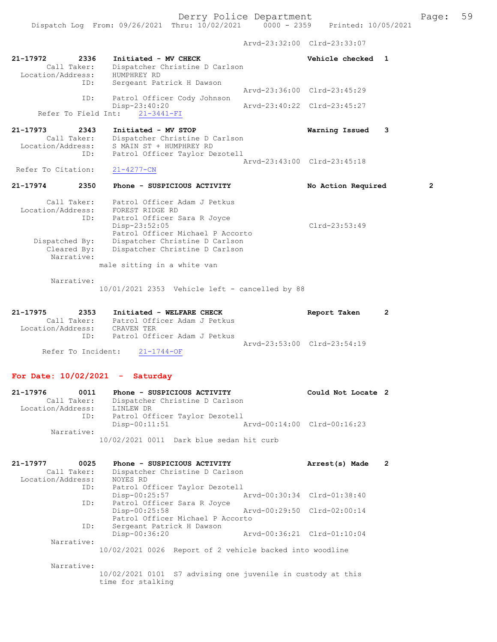Arvd-23:32:00 Clrd-23:33:07

| 21-17972 2336<br>Call Taker:<br>Location/Address: HUMPHREY RD<br>ID: | Initiated - MV CHECK<br>Dispatcher Christine D Carlson<br>Sergeant Patrick H Dawson                                                                                      |                             | Vehicle checked 1           |                |
|----------------------------------------------------------------------|--------------------------------------------------------------------------------------------------------------------------------------------------------------------------|-----------------------------|-----------------------------|----------------|
|                                                                      |                                                                                                                                                                          |                             | Arvd-23:36:00 Clrd-23:45:29 |                |
|                                                                      | ID:<br>Patrol Officer Cody Johnson<br>Disp-23:40:20                                                                                                                      | Arvd-23:40:22 Clrd-23:45:27 |                             |                |
|                                                                      | Refer To Field Int: 21-3441-FI                                                                                                                                           |                             |                             |                |
| 21-17973 2343                                                        | Initiated - MV STOP<br>Call Taker: Dispatcher Christine D Carlson<br>Location/Address: S MAIN ST + HUMPHREY RD                                                           |                             | Warning Issued              | 3              |
| ID:<br>Refer To Citation:                                            | Patrol Officer Taylor Dezotell<br>$21 - 4277 - CN$                                                                                                                       |                             | Arvd-23:43:00 Clrd-23:45:18 |                |
|                                                                      |                                                                                                                                                                          |                             |                             |                |
| 21-17974<br>2350                                                     | Phone - SUSPICIOUS ACTIVITY                                                                                                                                              |                             | No Action Required          | $\overline{2}$ |
|                                                                      | Call Taker: Patrol Officer Adam J Petkus<br>Location/Address: FOREST RIDGE RD<br>Patrol Officer Sara R Joyce<br>ID:<br>Disp-23:52:05<br>Patrol Officer Michael P Accorto |                             | $Clrd-23:53:49$             |                |
| Cleared By:<br>Narrative:                                            | Dispatched By: Dispatcher Christine D Carlson<br>Dispatcher Christine D Carlson                                                                                          |                             |                             |                |
|                                                                      | male sitting in a white van                                                                                                                                              |                             |                             |                |

Narrative:

10/01/2021 2353 Vehicle left - cancelled by 88

| 21-17975          | 2353        | Initiated - WELFARE CHECK    | Report Taken<br>$\overline{\phantom{a}}$ 2 |
|-------------------|-------------|------------------------------|--------------------------------------------|
|                   | Call Taker: | Patrol Officer Adam J Petkus |                                            |
| Location/Address: |             | CRAVEN TER                   |                                            |
|                   | TD:         | Patrol Officer Adam J Petkus |                                            |
|                   |             |                              | Aryd-23:53:00 Clrd-23:54:19                |

Refer To Incident: 21-1744-OF

## For Date: 10/02/2021 - Saturday

| 21-17976<br>0011  | Phone - SUSPICIOUS ACTIVITY              | Could Not Locate 2          |
|-------------------|------------------------------------------|-----------------------------|
| Call Taker:       | Dispatcher Christine D Carlson           |                             |
| Location/Address: | LINLEW DR                                |                             |
| ID:               | Patrol Officer Taylor Dezotell           |                             |
|                   | $Disp-00:11:51$                          | Arvd-00:14:00 Clrd-00:16:23 |
| Narrative:        |                                          |                             |
|                   | 10/02/2021 0011 Dark blue sedan hit curb |                             |

| 21-17977<br>0025<br>Call Taker: | Phone - SUSPICIOUS ACTIVITY<br>Dispatcher Christine D Carlson | Arrest(s) Made              | 2 |
|---------------------------------|---------------------------------------------------------------|-----------------------------|---|
| Location/Address:               | NOYES RD                                                      |                             |   |
| ID:                             | Patrol Officer Taylor Dezotell                                |                             |   |
|                                 | Disp-00:25:57                                                 | Arvd-00:30:34 Clrd-01:38:40 |   |
| ID:                             | Patrol Officer Sara R Joyce                                   |                             |   |
|                                 | Disp-00:25:58                                                 | Arvd-00:29:50 Clrd-02:00:14 |   |
|                                 | Patrol Officer Michael P Accorto                              |                             |   |
| ID:                             | Sergeant Patrick H Dawson                                     |                             |   |
|                                 | Disp-00:36:20                                                 | Arvd-00:36:21 Clrd-01:10:04 |   |
| Narrative:                      |                                                               |                             |   |
|                                 | 10/02/2021 0026 Report of 2 vehicle backed into woodline      |                             |   |
| Narrative:                      |                                                               |                             |   |

10/02/2021 0101 S7 advising one juvenile in custody at this time for stalking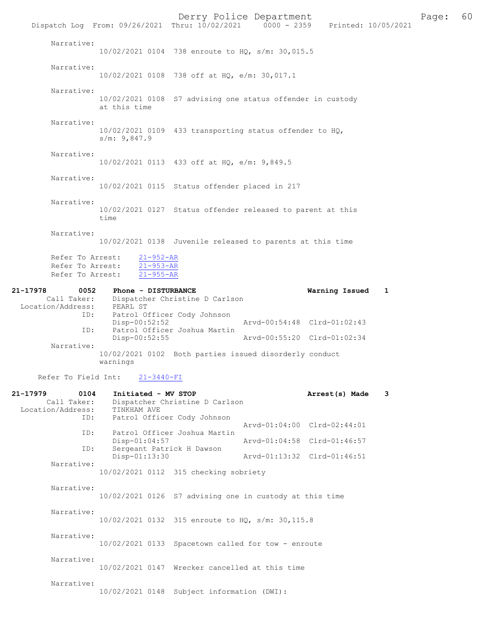|                                                                   | Dispatch Log From: 09/26/2021 Thru: 10/02/2021 0000 - 2359 Printed: 10/05/2021                                                |                                                                                                                       | Derry Police Department     |                                                                                           |     | Page: | 60 |
|-------------------------------------------------------------------|-------------------------------------------------------------------------------------------------------------------------------|-----------------------------------------------------------------------------------------------------------------------|-----------------------------|-------------------------------------------------------------------------------------------|-----|-------|----|
| Narrative:                                                        |                                                                                                                               | 10/02/2021 0104 738 enroute to HQ, s/m: 30,015.5                                                                      |                             |                                                                                           |     |       |    |
| Narrative:                                                        |                                                                                                                               | 10/02/2021 0108 738 off at HQ, e/m: 30,017.1                                                                          |                             |                                                                                           |     |       |    |
| Narrative:                                                        | at this time                                                                                                                  | 10/02/2021 0108 S7 advising one status offender in custody                                                            |                             |                                                                                           |     |       |    |
| Narrative:                                                        | s/m: 9,847.9                                                                                                                  | $10/02/2021$ 0109 433 transporting status offender to HQ,                                                             |                             |                                                                                           |     |       |    |
| Narrative:                                                        |                                                                                                                               | 10/02/2021 0113 433 off at HQ, e/m: 9,849.5                                                                           |                             |                                                                                           |     |       |    |
| Narrative:                                                        |                                                                                                                               | 10/02/2021 0115 Status offender placed in 217                                                                         |                             |                                                                                           |     |       |    |
| Narrative:                                                        | time                                                                                                                          | 10/02/2021 0127 Status offender released to parent at this                                                            |                             |                                                                                           |     |       |    |
| Narrative:                                                        |                                                                                                                               | 10/02/2021 0138 Juvenile released to parents at this time                                                             |                             |                                                                                           |     |       |    |
| Refer To Arrest:                                                  | Refer To Arrest: 21-952-AR<br>Refer To Arrest: 21-953-AR<br>$21 - 955 - AR$                                                   |                                                                                                                       |                             |                                                                                           |     |       |    |
| 21-17978<br>0052<br>Location/Address:<br>ID:<br>ID:<br>Narrative: | Phone - DISTURBANCE<br>Call Taker: Dispatcher Christine D Carlson<br>PEARL ST<br>$Disp-00:52:52$<br>Disp-00:52:55<br>warnings | Patrol Officer Cody Johnson<br>Patrol Officer Joshua Martin<br>10/02/2021 0102 Both parties issued disorderly conduct | Arvd-00:54:48 Clrd-01:02:43 | Warning Issued 1<br>Arvd-00:55:20 Clrd-01:02:34                                           |     |       |    |
| Refer To Field Int:                                               | $21 - 3440 - FI$                                                                                                              |                                                                                                                       |                             |                                                                                           |     |       |    |
| 21-17979<br>0104<br>Call Taker:<br>Location/Address:<br>ID:       | Initiated - MV STOP<br>TINKHAM AVE                                                                                            | Dispatcher Christine D Carlson<br>Patrol Officer Cody Johnson                                                         |                             | Arrest(s) Made                                                                            | - 3 |       |    |
| ID:<br>ID:                                                        | Disp-01:04:57<br>Sergeant Patrick H Dawson<br>Disp-01:13:30                                                                   | Patrol Officer Joshua Martin                                                                                          |                             | Arvd-01:04:00 Clrd-02:44:01<br>Arvd-01:04:58 Clrd-01:46:57<br>Arvd-01:13:32 Clrd-01:46:51 |     |       |    |
| Narrative:                                                        |                                                                                                                               | 10/02/2021 0112 315 checking sobriety                                                                                 |                             |                                                                                           |     |       |    |
| Narrative:                                                        |                                                                                                                               | 10/02/2021 0126 S7 advising one in custody at this time                                                               |                             |                                                                                           |     |       |    |
| Narrative:                                                        |                                                                                                                               | 10/02/2021 0132 315 enroute to HQ, s/m: 30,115.8                                                                      |                             |                                                                                           |     |       |    |
| Narrative:                                                        |                                                                                                                               | 10/02/2021 0133 Spacetown called for tow - enroute                                                                    |                             |                                                                                           |     |       |    |
| Narrative:                                                        |                                                                                                                               | 10/02/2021 0147 Wrecker cancelled at this time                                                                        |                             |                                                                                           |     |       |    |
| Narrative:                                                        |                                                                                                                               | 10/02/2021 0148 Subject information (DWI):                                                                            |                             |                                                                                           |     |       |    |
|                                                                   |                                                                                                                               |                                                                                                                       |                             |                                                                                           |     |       |    |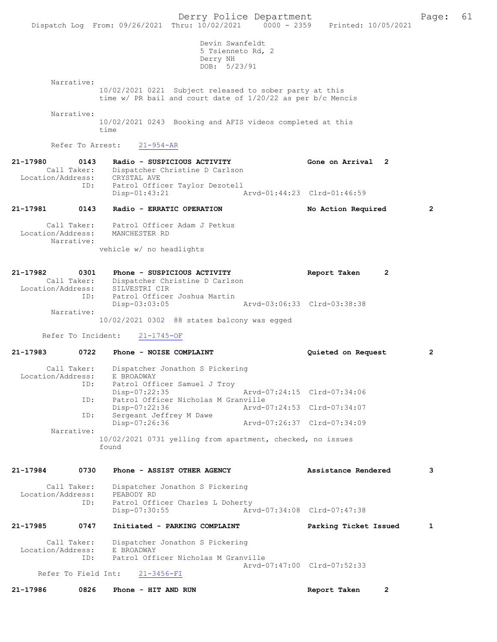Derry Police Department The Page: 61 Dispatch Log From: 09/26/2021 Thru: 10/02/2021 0000 - 2359 Printed: 10/05/2021 Devin Swanfeldt 5 Tsienneto Rd, 2 Derry NH DOB: 5/23/91 Narrative: 10/02/2021 0221 Subject released to sober party at this time w/ PR bail and court date of 1/20/22 as per b/c Mencis Narrative: 10/02/2021 0243 Booking and AFIS videos completed at this time Refer To Arrest: 21-954-AR 21-17980 0143 Radio - SUSPICIOUS ACTIVITY Gone on Arrival 2 Call Taker: Dispatcher Christine D Carlson Location/Address: CRYSTAL AVE ID: Patrol Officer Taylor Dezotell Disp-01:43:21 Arvd-01:44:23 Clrd-01:46:59 21-17981 0143 Radio - ERRATIC OPERATION No Action Required 2 Call Taker: Patrol Officer Adam J Petkus Location/Address: MANCHESTER RD Narrative: vehicle w/ no headlights 21-17982 0301 Phone - SUSPICIOUS ACTIVITY Report Taken 2 Call Taker: Dispatcher Christine D Carlson Location/Address: SILVESTRI CIR ID: Patrol Officer Joshua Martin<br>Disp-03:03:05 Disp-03:03:05 Arvd-03:06:33 Clrd-03:38:38 Narrative: 10/02/2021 0302 88 states balcony was egged Refer To Incident: 21-1745-OF 21-17983 0722 Phone - NOISE COMPLAINT Quieted on Request 2 Call Taker: Dispatcher Jonathon S Pickering Location/Address: E BROADWAY ID: Patrol Officer Samuel J Troy Disp-07:22:35 Arvd-07:24:15 Clrd-07:34:06<br>The Patrol Officer Nicholas M Granville ID: Patrol Officer Nicholas M Granville Disp-07:22:36<br>ID: Sergeant Jeffrey M Dawe Sergeant Jeffrey M Dawe<br>Disp-07:26:36 Disp-07:26:36 Arvd-07:26:37 Clrd-07:34:09 Narrative: 10/02/2021 0731 yelling from apartment, checked, no issues found 21-17984 0730 Phone - ASSIST OTHER AGENCY Assistance Rendered 3 Call Taker: Dispatcher Jonathon S Pickering Location/Address: PEABODY RD Patrol Officer Charles L Doherty<br>Disp-07:30:55 Arv Disp-07:30:55 Arvd-07:34:08 Clrd-07:47:38 21-17985 0747 Initiated - PARKING COMPLAINT Parking Ticket Issued 1 Call Taker: Dispatcher Jonathon S Pickering<br>ion/Address: E BROADWAY Location/Address:<br>ID: Patrol Officer Nicholas M Granville Arvd-07:47:00 Clrd-07:52:33<br>21-3456-FI Refer To Field Int: 21-17986 0826 Phone - HIT AND RUN Report Taken 2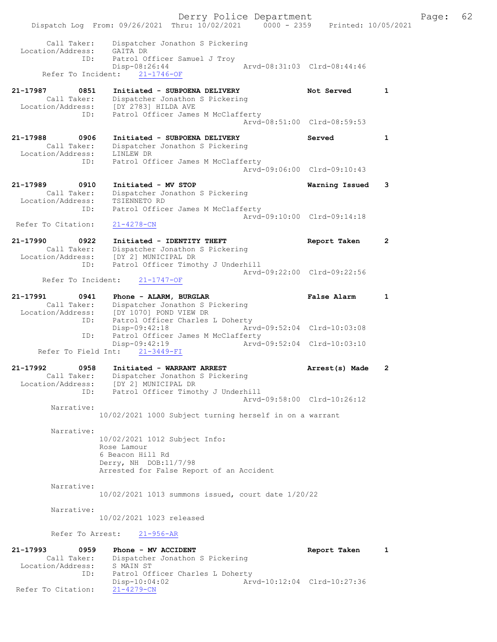Derry Police Department Fage: 62 Dispatch Log From: 09/26/2021 Thru: 10/02/2021 0000 - 2359 Printed: 10/05/2021 Call Taker: Dispatcher Jonathon S Pickering Location/Address: GAITA DR ID: Patrol Officer Samuel J Troy Disp-08:26:44 Arvd-08:31:03 Clrd-08:44:46 Refer To Incident: 21-1746-OF 21-17987 0851 Initiated - SUBPOENA DELIVERY Not Served 1 Call Taker: Dispatcher Jonathon S Pickering Location/Address: [DY 2783] HILDA AVE ID: Patrol Officer James M McClafferty Arvd-08:51:00 Clrd-08:59:53 21-17988 0906 Initiated - SUBPOENA DELIVERY Served 1 Call Taker: Dispatcher Jonathon S Pickering Location/Address: LINLEW DR ID: Patrol Officer James M McClafferty Arvd-09:06:00 Clrd-09:10:43 21-17989 0910 Initiated - MV STOP Warning Issued 3 Call Taker: Dispatcher Jonathon S Pickering Location/Address: TSIENNETO RD ID: Patrol Officer James M McClafferty Arvd-09:10:00 Clrd-09:14:18 Refer To Citation: 21-4278-CN 21-17990 0922 Initiated - IDENTITY THEFT Report Taken 2 Call Taker: Dispatcher Jonathon S Pickering Location/Address: [DY 2] MUNICIPAL DR ID: Patrol Officer Timothy J Underhill Arvd-09:22:00 Clrd-09:22:56 Refer To Incident: 21-1747-OF 21-17991 0941 Phone - ALARM, BURGLAR False Alarm 1 Call Taker: Dispatcher Jonathon S Pickering Location/Address: [DY 1070] POND VIEW DR ID: Patrol Officer Charles L Doherty Disp-09:42:18 Arvd-09:52:04 Clrd-10:03:08 ID: Patrol Officer James M McClafferty<br>Disp-09:42:19 Mrvd-09:52:04 Clrd-10:03:10 Disp-09:42:19 Refer To Field Int: 21-3449-FI 21-17992 0958 Initiated - WARRANT ARREST Arrest(s) Made 2 Call Taker: Dispatcher Jonathon S Pickering Location/Address: [DY 2] MUNICIPAL DR ID: Patrol Officer Timothy J Underhill Arvd-09:58:00 Clrd-10:26:12 Narrative: 10/02/2021 1000 Subject turning herself in on a warrant Narrative: 10/02/2021 1012 Subject Info: Rose Lamour 6 Beacon Hill Rd Derry, NH DOB:11/7/98 Arrested for False Report of an Accident Narrative: 10/02/2021 1013 summons issued, court date 1/20/22 Narrative: 10/02/2021 1023 released Refer To Arrest: 21-956-AR 21-17993 0959 Phone - MV ACCIDENT CONSUMERED Report Taken 1 Call Taker: Dispatcher Jonathon S Pickering Location/Address: S MAIN ST ID: Patrol Officer Charles L Doherty Disp-10:04:02 Arvd-10:12:04 Clrd-10:27:36 Refer To Citation: 21-4279-CN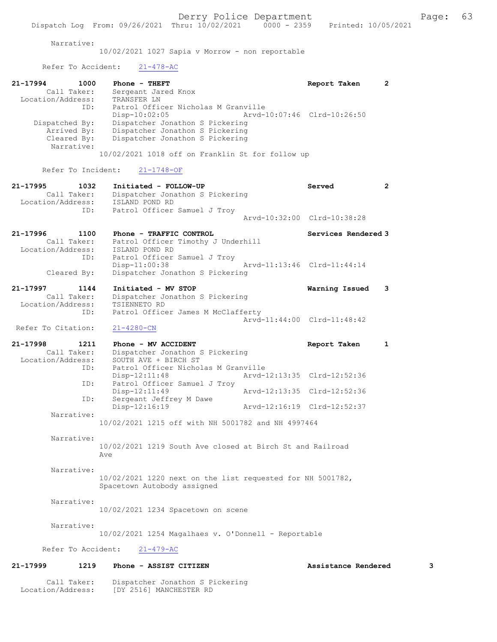Narrative:

10/02/2021 1027 Sapia v Morrow - non reportable

Refer To Accident: 21-478-AC

Location/Address: [DY 2516] MANCHESTER RD

| 21-17994<br>1000<br>Call Taker:       | Phone - THEFT<br>Sergeant Jared Knox                               |  | Report Taken                | $\overline{2}$ |   |
|---------------------------------------|--------------------------------------------------------------------|--|-----------------------------|----------------|---|
| Location/Address:<br>ID:              | TRANSFER LN<br>Patrol Officer Nicholas M Granville                 |  |                             |                |   |
|                                       | $Disp-10:02:05$                                                    |  | Arvd-10:07:46 Clrd-10:26:50 |                |   |
| Dispatched By:<br>Arrived By:         | Dispatcher Jonathon S Pickering<br>Dispatcher Jonathon S Pickering |  |                             |                |   |
| Cleared By:                           | Dispatcher Jonathon S Pickering                                    |  |                             |                |   |
| Narrative:                            |                                                                    |  |                             |                |   |
|                                       | 10/02/2021 1018 off on Franklin St for follow up                   |  |                             |                |   |
| Refer To Incident:                    | $21 - 1748 - OF$                                                   |  |                             |                |   |
| 21-17995<br>1032                      | Initiated - FOLLOW-UP                                              |  | Served                      | $\overline{2}$ |   |
| Call Taker:<br>Location/Address:      | Dispatcher Jonathon S Pickering<br>ISLAND POND RD                  |  |                             |                |   |
| ID:                                   | Patrol Officer Samuel J Troy                                       |  |                             |                |   |
|                                       |                                                                    |  | Arvd-10:32:00 Clrd-10:38:28 |                |   |
| 21-17996                              | 1100<br>Phone - TRAFFIC CONTROL                                    |  | Services Rendered 3         |                |   |
| Call Taker:<br>Location/Address:      | Patrol Officer Timothy J Underhill                                 |  |                             |                |   |
| ID:                                   | ISLAND POND RD<br>Patrol Officer Samuel J Troy                     |  |                             |                |   |
|                                       | $Disp-11:00:38$                                                    |  | Arvd-11:13:46 Clrd-11:44:14 |                |   |
| Cleared By:                           | Dispatcher Jonathon S Pickering                                    |  |                             |                |   |
| 21-17997<br>1144                      | Initiated - MV STOP                                                |  | Warning Issued              | 3              |   |
| Call Taker:<br>Location/Address:      | Dispatcher Jonathon S Pickering<br>TSIENNETO RD                    |  |                             |                |   |
| ID:                                   | Patrol Officer James M McClafferty                                 |  |                             |                |   |
|                                       |                                                                    |  | Arvd-11:44:00 Clrd-11:48:42 |                |   |
| Refer To Citation:                    | $21 - 4280 - CN$                                                   |  |                             |                |   |
| 21-17998<br>1211                      | Phone - MV ACCIDENT                                                |  | Report Taken                | 1              |   |
| Call Taker:<br>Location/Address:      | Dispatcher Jonathon S Pickering<br>SOUTH AVE + BIRCH ST            |  |                             |                |   |
| ID:                                   | Patrol Officer Nicholas M Granville                                |  |                             |                |   |
|                                       | $Disp-12:11:48$                                                    |  | Arvd-12:13:35 Clrd-12:52:36 |                |   |
| ID:                                   | Patrol Officer Samuel J Troy<br>$Disp-12:11:49$                    |  | Arvd-12:13:35 Clrd-12:52:36 |                |   |
| ID:                                   | Sergeant Jeffrey M Dawe                                            |  |                             |                |   |
| Narrative:                            | Disp-12:16:19                                                      |  | Arvd-12:16:19 Clrd-12:52:37 |                |   |
|                                       | 10/02/2021 1215 off with NH 5001782 and NH 4997464                 |  |                             |                |   |
| Narrative:                            |                                                                    |  |                             |                |   |
|                                       | 10/02/2021 1219 South Ave closed at Birch St and Railroad          |  |                             |                |   |
|                                       | Ave                                                                |  |                             |                |   |
| Narrative:                            |                                                                    |  |                             |                |   |
|                                       | 10/02/2021 1220 next on the list requested for NH 5001782,         |  |                             |                |   |
|                                       | Spacetown Autobody assigned                                        |  |                             |                |   |
| Narrative:                            |                                                                    |  |                             |                |   |
|                                       | 10/02/2021 1234 Spacetown on scene                                 |  |                             |                |   |
| Narrative:                            |                                                                    |  |                             |                |   |
|                                       | $10/02/2021$ 1254 Magalhaes v. O'Donnell - Reportable              |  |                             |                |   |
| Refer To Accident:<br>$21 - 479 - AC$ |                                                                    |  |                             |                |   |
| 1219<br>21-17999                      |                                                                    |  | Assistance Rendered         |                | 3 |
|                                       | Phone - ASSIST CITIZEN                                             |  |                             |                |   |
| Call Taker:                           | Dispatcher Jonathon S Pickering                                    |  |                             |                |   |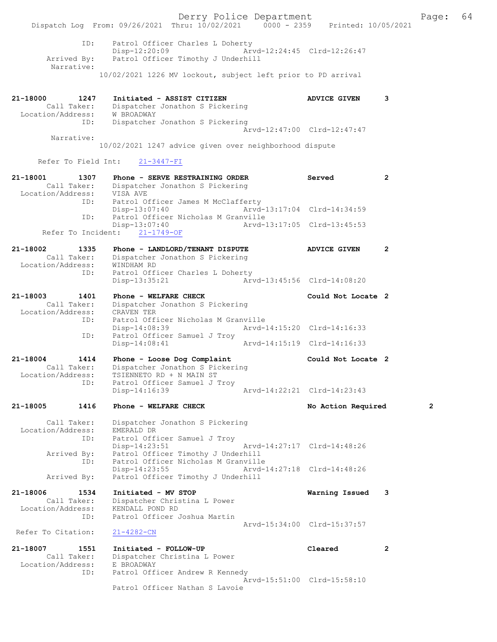Derry Police Department Fage: 64 Dispatch Log From: 09/26/2021 Thru: 10/02/2021 0000 - 2359 Printed: 10/05/2021 ID: Patrol Officer Charles L Doherty<br>Disp-12:20:09 Mrvd-12:24:45 Clrd-12:26:47 Disp-12:20:09 Arvd-12:24:45 Clrd-12:26:47 Arrived By: Patrol Officer Timothy J Underhill Narrative: 10/02/2021 1226 MV lockout, subject left prior to PD arrival 21-18000 1247 Initiated - ASSIST CITIZEN ADVICE GIVEN 3 Call Taker: Dispatcher Jonathon S Pickering Location/Address: W BROADWAY ID: Dispatcher Jonathon S Pickering Arvd-12:47:00 Clrd-12:47:47 Narrative: 10/02/2021 1247 advice given over neighborhood dispute Refer To Field Int: 21-3447-FI 21-18001 1307 Phone - SERVE RESTRAINING ORDER Served 2 Call Taker: Dispatcher Jonathon S Pickering Location/Address: VISA AVE ID: Patrol Officer James M McClafferty Disp-13:07:40 Arvd-13:17:04 Clrd-14:34:59 ID: Patrol Officer Nicholas M Granville Disp-13:07:40 Arvd-13:17:05 Clrd-13:45:53 Refer To Incident: 21-1749-OF 21-18002 1335 Phone - LANDLORD/TENANT DISPUTE ADVICE GIVEN 2 Call Taker: Dispatcher Jonathon S Pickering Location/Address: WINDHAM RD ID: Patrol Officer Charles L Doherty Disp-13:35:21 Arvd-13:45:56 Clrd-14:08:20 21-18003 1401 Phone - WELFARE CHECK COULD Could Not Locate 2 Call Taker: Dispatcher Jonathon S Pickering Location/Address: CRAVEN TER ID: Patrol Officer Nicholas M Granville Disp-14:08:39 Arvd-14:15:20 Clrd-14:16:33 ID: Patrol Officer Samuel J Troy Disp-14:08:41 Arvd-14:15:19 Clrd-14:16:33 21-18004 1414 Phone - Loose Dog Complaint Could Not Locate 2 Call Taker: Dispatcher Jonathon S Pickering Location/Address: TSIENNETO RD + N MAIN ST ID: Patrol Officer Samuel J Troy<br>Disp-14:16:39 Arvd-14:22:21 Clrd-14:23:43 21-18005 1416 Phone - WELFARE CHECK No Action Required 2 Call Taker: Dispatcher Jonathon S Pickering Location/Address: EMERALD DR ID: Patrol Officer Samuel J Troy Disp-14:23:51 Arvd-14:27:17 Clrd-14:48:26 Arrived By: Patrol Officer Timothy J Underhill ID: Patrol Officer Nicholas M Granville Disp-14:23:55 Arvd-14:27:18 Clrd-14:48:26 Arrived By: Patrol Officer Timothy J Underhill 21-18006 1534 Initiated - MV STOP Warning Issued 3 Call Taker: Dispatcher Christina L Power Location/Address: KENDALL POND RD ID: Patrol Officer Joshua Martin Arvd-15:34:00 Clrd-15:37:57 Refer To Citation: 21-4282-CN 21-18007 1551 Initiated - FOLLOW-UP Cleared 2 Call Taker: Dispatcher Christina L Power Location/Address: E BROADWAY ID: Patrol Officer Andrew R Kennedy Arvd-15:51:00 Clrd-15:58:10 Patrol Officer Nathan S Lavoie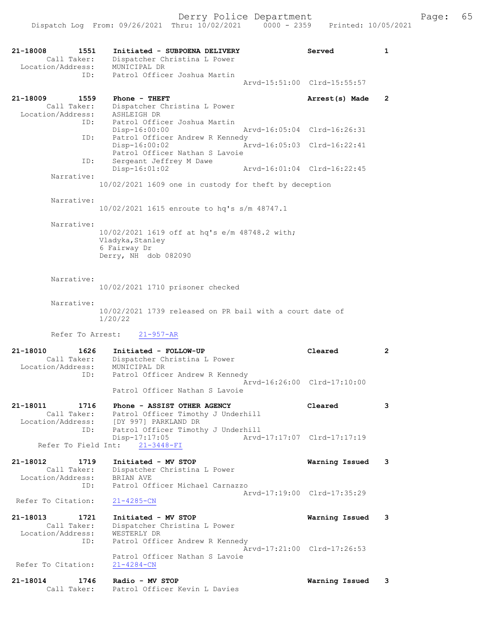Dispatch Log From: 09/26/2021 Thru: 10/02/2021 0000 - 2359 Printed: 10/05/2021

| 21-18008<br>1551<br>Call Taker:  | Initiated - SUBPOENA DELIVERY<br>Dispatcher Christina L Power | Served                      | $\mathbf{1}$ |
|----------------------------------|---------------------------------------------------------------|-----------------------------|--------------|
| Location/Address:<br>ID:         | MUNICIPAL DR<br>Patrol Officer Joshua Martin                  |                             |              |
|                                  |                                                               | Arvd-15:51:00 Clrd-15:55:57 |              |
| 21-18009<br>1559<br>Call Taker:  | Phone - THEFT<br>Dispatcher Christina L Power                 | Arrest(s) Made              | $\mathbf{2}$ |
| Location/Address:<br>ID:         | ASHLEIGH DR<br>Patrol Officer Joshua Martin                   |                             |              |
|                                  | $Disp-16:00:00$                                               | Arvd-16:05:04 Clrd-16:26:31 |              |
| ID:                              | Patrol Officer Andrew R Kennedy<br>Disp-16:00:02              | Arvd-16:05:03 Clrd-16:22:41 |              |
|                                  | Patrol Officer Nathan S Lavoie                                |                             |              |
| ID:                              | Sergeant Jeffrey M Dawe<br>Disp-16:01:02                      | Arvd-16:01:04 Clrd-16:22:45 |              |
| Narrative:                       | 10/02/2021 1609 one in custody for theft by deception         |                             |              |
|                                  |                                                               |                             |              |
| Narrative:                       | 10/02/2021 1615 enroute to hq's s/m 48747.1                   |                             |              |
|                                  |                                                               |                             |              |
| Narrative:                       | 10/02/2021 1619 off at hq's e/m 48748.2 with;                 |                             |              |
|                                  | Vladyka, Stanley                                              |                             |              |
|                                  | 6 Fairway Dr<br>Derry, NH dob 082090                          |                             |              |
|                                  |                                                               |                             |              |
| Narrative:                       |                                                               |                             |              |
|                                  | 10/02/2021 1710 prisoner checked                              |                             |              |
| Narrative:                       |                                                               |                             |              |
|                                  | 10/02/2021 1739 released on PR bail with a court date of      |                             |              |
|                                  | 1/20/22                                                       |                             |              |
|                                  |                                                               |                             |              |
| Refer To Arrest:                 | $21 - 957 - AR$                                               |                             |              |
| 21-18010<br>1626                 | Initiated - FOLLOW-UP                                         | Cleared                     | $\mathbf{2}$ |
| Call Taker:<br>Location/Address: | Dispatcher Christina L Power<br>MUNICIPAL DR                  |                             |              |
| ID:                              | Patrol Officer Andrew R Kennedy                               |                             |              |
|                                  | Patrol Officer Nathan S Lavoie                                | Arvd-16:26:00 Clrd-17:10:00 |              |
| 21-18011<br>1716                 | Phone - ASSIST OTHER AGENCY                                   | Cleared                     | 3            |
| Call Taker:                      | Patrol Officer Timothy J Underhill                            |                             |              |
| Location/Address:<br>ID:         | [DY 997] PARKLAND DR<br>Patrol Officer Timothy J Underhill    |                             |              |
|                                  | Disp-17:17:05                                                 | Arvd-17:17:07 Clrd-17:17:19 |              |
|                                  | Refer To Field Int: 21-3448-FI                                |                             |              |
| 21-18012<br>1719<br>Call Taker:  | Initiated - MV STOP                                           | Warning Issued              | 3            |
| Location/Address:                | Dispatcher Christina L Power<br>BRIAN AVE                     |                             |              |
| ID:                              | Patrol Officer Michael Carnazzo                               | Arvd-17:19:00 Clrd-17:35:29 |              |
| Refer To Citation:               | $21 - 4285 - CN$                                              |                             |              |
| 21-18013<br>1721                 | Initiated - MV STOP                                           | Warning Issued              | 3            |
| Call Taker:                      | Dispatcher Christina L Power                                  |                             |              |
| Location/Address:<br>ID:         | WESTERLY DR<br>Patrol Officer Andrew R Kennedy                |                             |              |
|                                  | Patrol Officer Nathan S Lavoie                                | Arvd-17:21:00 Clrd-17:26:53 |              |
| Refer To Citation:               | $21 - 4284 - CN$                                              |                             |              |
| 21-18014<br>1746                 | Radio - MV STOP                                               | Warning Issued              | 3            |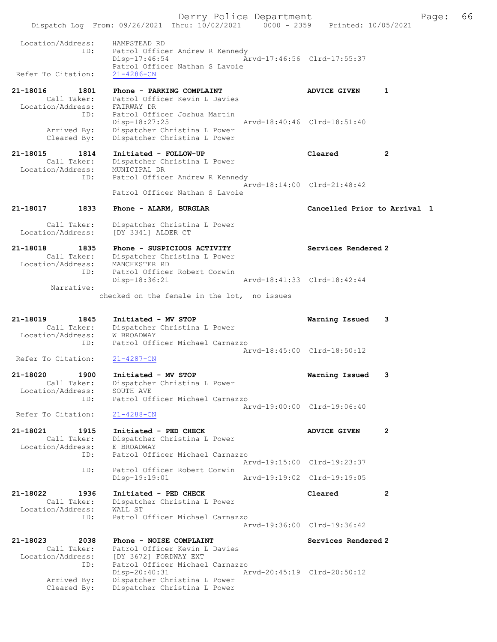Derry Police Department Fage: 66 Dispatch Log From: 09/26/2021 Thru: 10/02/2021 0000 - 2359 Printed: 10/05/2021 Location/Address: HAMPSTEAD RD ID: Patrol Officer Andrew R Kennedy Disp-17:46:54 Arvd-17:46:56 Clrd-17:55:37 Patrol Officer Nathan S Lavoie Refer To Citation: 21-4286-CN 21-18016 1801 Phone - PARKING COMPLAINT AND ADVICE GIVEN 1 Call Taker: Patrol Officer Kevin L Davies Location/Address: FAIRWAY DR ID: Patrol Officer Joshua Martin Disp-18:27:25 Arvd-18:40:46 Clrd-18:51:40 Arrived By: Dispatcher Christina L Power Cleared By: Dispatcher Christina L Power 21-18015 1814 Initiated - FOLLOW-UP Cleared 2 Call Taker: Dispatcher Christina L Power Location/Address: MUNICIPAL DR ID: Patrol Officer Andrew R Kennedy Arvd-18:14:00 Clrd-21:48:42 Patrol Officer Nathan S Lavoie 21-18017 1833 Phone - ALARM, BURGLAR Cancelled Prior to Arrival 1 Call Taker: Dispatcher Christina L Power Location/Address: [DY 3341] ALDER CT 21-18018 1835 Phone - SUSPICIOUS ACTIVITY Services Rendered 2 Call Taker: Dispatcher Christina L Power Location/Address: MANCHESTER RD ID: Patrol Officer Robert Corwin<br>Disp-18:36:21 Arvd-18:41:33 Clrd-18:42:44 Disp-18:36:21 Narrative: checked on the female in the lot, no issues 21-18019 1845 Initiated - MV STOP Warning Issued 3 Call Taker: Dispatcher Christina L Power Location/Address: W BROADWAY ID: Patrol Officer Michael Carnazzo Arvd-18:45:00 Clrd-18:50:12 Refer To Citation: 21-4287-CN 21-18020 1900 Initiated - MV STOP Warning Issued 3 Call Taker: Dispatcher Christina L Power Location/Address: SOUTH AVE ID: Patrol Officer Michael Carnazzo Arvd-19:00:00 Clrd-19:06:40 Refer To Citation: 21-4288-CN 21-18021 1915 Initiated - PED CHECK ADVICE GIVEN 2 Call Taker: Dispatcher Christina L Power Location/Address: E BROADWAY ID: Patrol Officer Michael Carnazzo Arvd-19:15:00 Clrd-19:23:37 ID: Patrol Officer Robert Corwin Disp-19:19:01 Arvd-19:19:02 Clrd-19:19:05 21-18022 1936 Initiated - PED CHECK Cleared 2 Call Taker: Dispatcher Christina L Power Location/Address: WALL ST ID: Patrol Officer Michael Carnazzo Arvd-19:36:00 Clrd-19:36:42 21-18023 2038 Phone - NOISE COMPLAINT Services Rendered 2 Call Taker: Patrol Officer Kevin L Davies Location/Address: [DY 3672] FORDWAY EXT ID: Patrol Officer Michael Carnazzo Disp-20:40:31 Arvd-20:45:19 Clrd-20:50:12 Arrived By: Dispatcher Christina L Power Cleared By: Dispatcher Christina L Power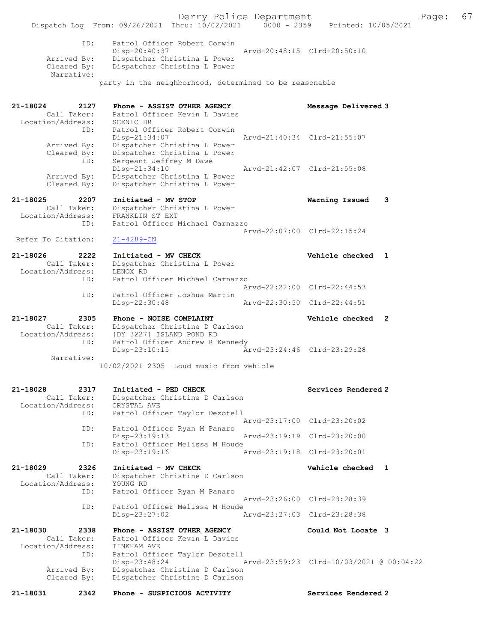Derry Police Department Fage: 67 Dispatch Log From: 09/26/2021 Thru: 10/02/2021 0000 - 2359 Printed: 10/05/2021 ID: Patrol Officer Robert Corwin Disp-20:40:37 Arvd-20:48:15 Clrd-20:50:10 Arrived By: Dispatcher Christina L Power Cleared By: Dispatcher Christina L Power Narrative: party in the neighborhood, determined to be reasonable 21-18024 2127 Phone - ASSIST OTHER AGENCY Message Delivered 3 Call Taker: Patrol Officer Kevin L Davies Location/Address: SCENIC DR ID: Patrol Officer Robert Corwin<br>Disp-21:34:07 Disp-21:34:07 Arvd-21:40:34 Clrd-21:55:07 Arrived By: Dispatcher Christina L Power Cleared By: Dispatcher Christina L Power ID: Sergeant Jeffrey M Dawe Disp-21:34:10 Arvd-21:42:07 Clrd-21:55:08 Arrived By: Dispatcher Christina L Power Cleared By: Dispatcher Christina L Power 21-18025 2207 Initiated - MV STOP Warning Issued 3 Call Taker: Dispatcher Christina L Power Location/Address: FRANKLIN ST EXT ID: Patrol Officer Michael Carnazzo Arvd-22:07:00 Clrd-22:15:24<br>21-4289-CN Refer To Citation: 21-18026 2222 Initiated - MV CHECK Vehicle checked 1 Call Taker: Dispatcher Christina L Power Location/Address: LENOX RD ID: Patrol Officer Michael Carnazzo Arvd-22:22:00 Clrd-22:44:53 ID: Patrol Officer Joshua Martin Disp-22:30:48 Arvd-22:30:50 Clrd-22:44:51 21-18027 2305 Phone - NOISE COMPLAINT Vehicle checked 2 Call Taker: Dispatcher Christine D Carlson Location/Address: [DY 3227] ISLAND POND RD ID: Patrol Officer Andrew R Kennedy Disp-23:10:15 Arvd-23:24:46 Clrd-23:29:28 Narrative: 10/02/2021 2305 Loud music from vehicle 21-18028 2317 Initiated - PED CHECK Services Rendered 2 Call Taker: Dispatcher Christine D Carlson Location/Address: CRYSTAL AVE ID: Patrol Officer Taylor Dezotell Arvd-23:17:00 Clrd-23:20:02 ID: Patrol Officer Ryan M Panaro Disp-23:19:13 Arvd-23:19:19 Clrd-23:20:00<br>TD: Patrol Officer Melissa M Houde Patrol Officer Melissa M Houde<br>Disp-23:19:16 Disp-23:19:16 Arvd-23:19:18 Clrd-23:20:01 21-18029 2326 Initiated - MV CHECK Vehicle checked 1<br>Call Taker: Dispatcher Christine D Carlson Dispatcher Christine D Carlson<br>YOUNG RD Location/Address:<br>ID: Patrol Officer Ryan M Panaro Arvd-23:26:00 Clrd-23:28:39 ID: Patrol Officer Melissa M Houde Disp-23:27:02 Arvd-23:27:03 Clrd-23:28:38 21-18030 2338 Phone - ASSIST OTHER AGENCY Could Not Locate 3 Call Taker: Patrol Officer Kevin L Davies Location/Address: TINKHAM AVE ID: Patrol Officer Taylor Dezotell<br>Disp-23:48:24 Disp-23:48:24 Arvd-23:59:23 Clrd-10/03/2021 @ 00:04:22 Arrived By: Dispatcher Christine D Carlson Cleared By: Dispatcher Christine D Carlson 21-18031 2342 Phone - SUSPICIOUS ACTIVITY Services Rendered 2